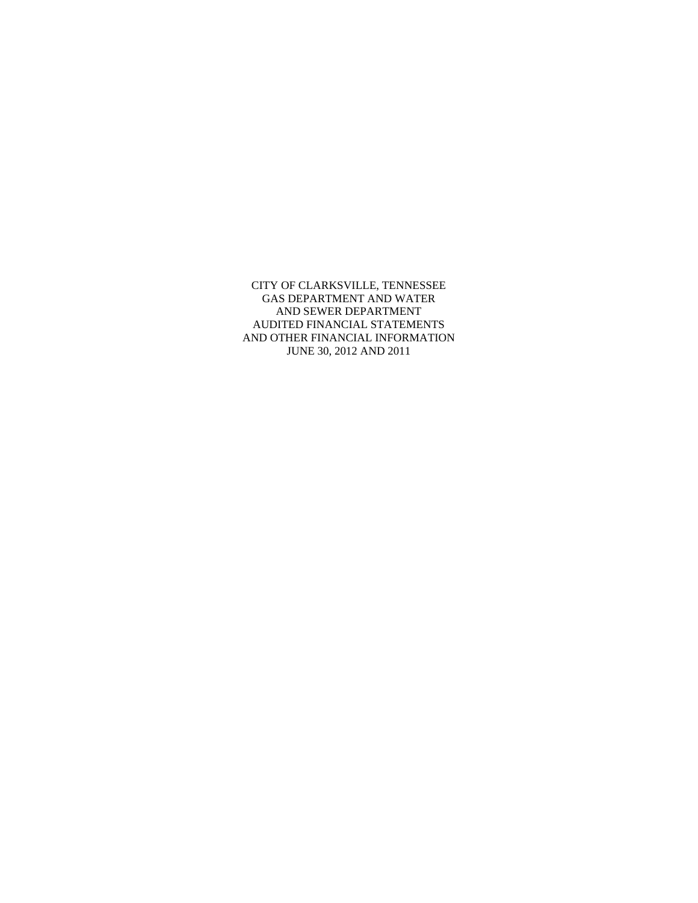CITY OF CLARKSVILLE, TENNESSEE GAS DEPARTMENT AND WATER AND SEWER DEPARTMENT AUDITED FINANCIAL STATEMENTS AND OTHER FINANCIAL INFORMATION JUNE 30, 2012 AND 2011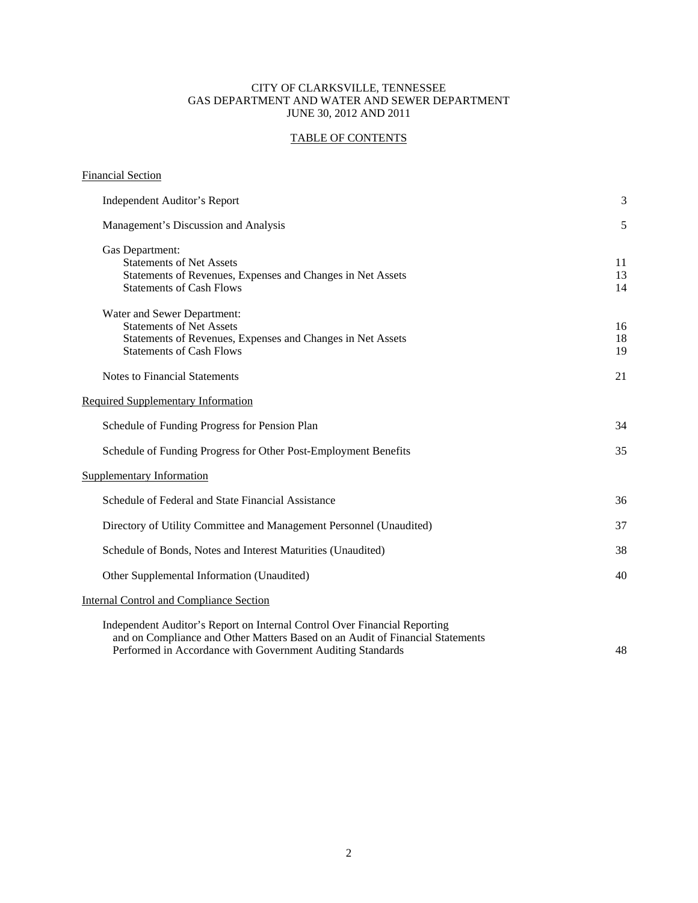#### CITY OF CLARKSVILLE, TENNESSEE GAS DEPARTMENT AND WATER AND SEWER DEPARTMENT JUNE 30, 2012 AND 2011

# TABLE OF CONTENTS

| <b>Financial Section</b>                                                                                                                                                                                                 |                |
|--------------------------------------------------------------------------------------------------------------------------------------------------------------------------------------------------------------------------|----------------|
| Independent Auditor's Report                                                                                                                                                                                             | 3              |
| Management's Discussion and Analysis                                                                                                                                                                                     | 5              |
| Gas Department:<br><b>Statements of Net Assets</b><br>Statements of Revenues, Expenses and Changes in Net Assets<br><b>Statements of Cash Flows</b>                                                                      | 11<br>13<br>14 |
| Water and Sewer Department:<br><b>Statements of Net Assets</b><br>Statements of Revenues, Expenses and Changes in Net Assets<br><b>Statements of Cash Flows</b>                                                          | 16<br>18<br>19 |
| <b>Notes to Financial Statements</b>                                                                                                                                                                                     | 21             |
| <b>Required Supplementary Information</b>                                                                                                                                                                                |                |
| Schedule of Funding Progress for Pension Plan                                                                                                                                                                            | 34             |
| Schedule of Funding Progress for Other Post-Employment Benefits                                                                                                                                                          | 35             |
| <b>Supplementary Information</b>                                                                                                                                                                                         |                |
| Schedule of Federal and State Financial Assistance                                                                                                                                                                       | 36             |
| Directory of Utility Committee and Management Personnel (Unaudited)                                                                                                                                                      | 37             |
| Schedule of Bonds, Notes and Interest Maturities (Unaudited)                                                                                                                                                             | 38             |
| Other Supplemental Information (Unaudited)                                                                                                                                                                               | 40             |
| <b>Internal Control and Compliance Section</b>                                                                                                                                                                           |                |
| Independent Auditor's Report on Internal Control Over Financial Reporting<br>and on Compliance and Other Matters Based on an Audit of Financial Statements<br>Performed in Accordance with Government Auditing Standards | 48             |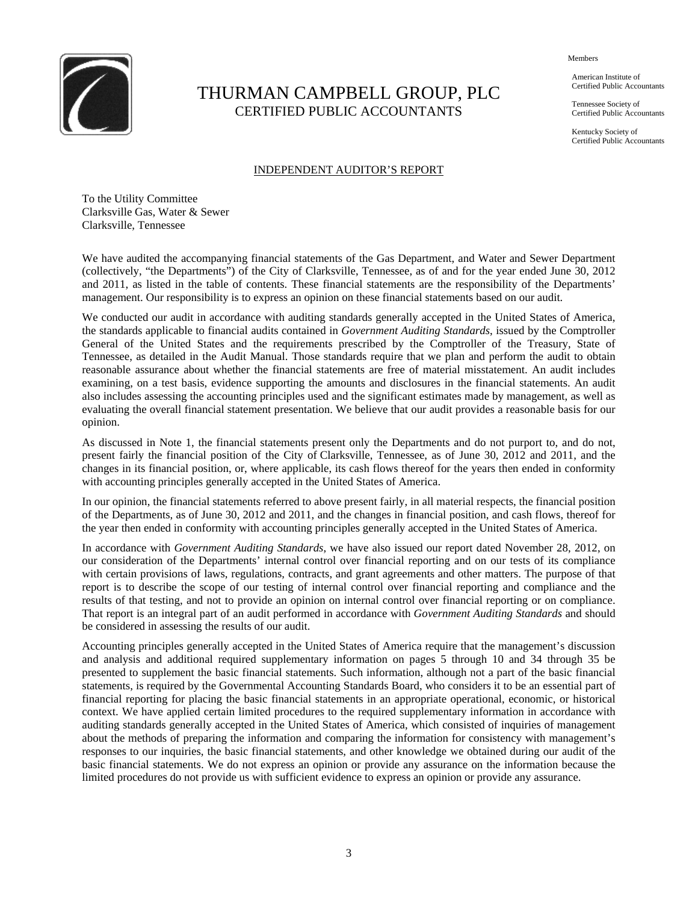

# THURMAN CAMPBELL GROUP, PLC CERTIFIED PUBLIC ACCOUNTANTS

Members

 American Institute of Certified Public Accountants

 Tennessee Society of Certified Public Accountants

 Kentucky Society of Certified Public Accountants

## INDEPENDENT AUDITOR'S REPORT

To the Utility Committee Clarksville Gas, Water & Sewer Clarksville, Tennessee

We have audited the accompanying financial statements of the Gas Department, and Water and Sewer Department (collectively, "the Departments") of the City of Clarksville, Tennessee, as of and for the year ended June 30, 2012 and 2011, as listed in the table of contents. These financial statements are the responsibility of the Departments' management. Our responsibility is to express an opinion on these financial statements based on our audit.

We conducted our audit in accordance with auditing standards generally accepted in the United States of America, the standards applicable to financial audits contained in *Government Auditing Standards*, issued by the Comptroller General of the United States and the requirements prescribed by the Comptroller of the Treasury, State of Tennessee, as detailed in the Audit Manual. Those standards require that we plan and perform the audit to obtain reasonable assurance about whether the financial statements are free of material misstatement. An audit includes examining, on a test basis, evidence supporting the amounts and disclosures in the financial statements. An audit also includes assessing the accounting principles used and the significant estimates made by management, as well as evaluating the overall financial statement presentation. We believe that our audit provides a reasonable basis for our opinion.

As discussed in Note 1, the financial statements present only the Departments and do not purport to, and do not, present fairly the financial position of the City of Clarksville, Tennessee, as of June 30, 2012 and 2011, and the changes in its financial position, or, where applicable, its cash flows thereof for the years then ended in conformity with accounting principles generally accepted in the United States of America.

In our opinion, the financial statements referred to above present fairly, in all material respects, the financial position of the Departments, as of June 30, 2012 and 2011, and the changes in financial position, and cash flows, thereof for the year then ended in conformity with accounting principles generally accepted in the United States of America.

In accordance with *Government Auditing Standards*, we have also issued our report dated November 28, 2012, on our consideration of the Departments' internal control over financial reporting and on our tests of its compliance with certain provisions of laws, regulations, contracts, and grant agreements and other matters. The purpose of that report is to describe the scope of our testing of internal control over financial reporting and compliance and the results of that testing, and not to provide an opinion on internal control over financial reporting or on compliance. That report is an integral part of an audit performed in accordance with *Government Auditing Standards* and should be considered in assessing the results of our audit.

Accounting principles generally accepted in the United States of America require that the management's discussion and analysis and additional required supplementary information on pages 5 through 10 and 34 through 35 be presented to supplement the basic financial statements. Such information, although not a part of the basic financial statements, is required by the Governmental Accounting Standards Board, who considers it to be an essential part of financial reporting for placing the basic financial statements in an appropriate operational, economic, or historical context. We have applied certain limited procedures to the required supplementary information in accordance with auditing standards generally accepted in the United States of America, which consisted of inquiries of management about the methods of preparing the information and comparing the information for consistency with management's responses to our inquiries, the basic financial statements, and other knowledge we obtained during our audit of the basic financial statements. We do not express an opinion or provide any assurance on the information because the limited procedures do not provide us with sufficient evidence to express an opinion or provide any assurance.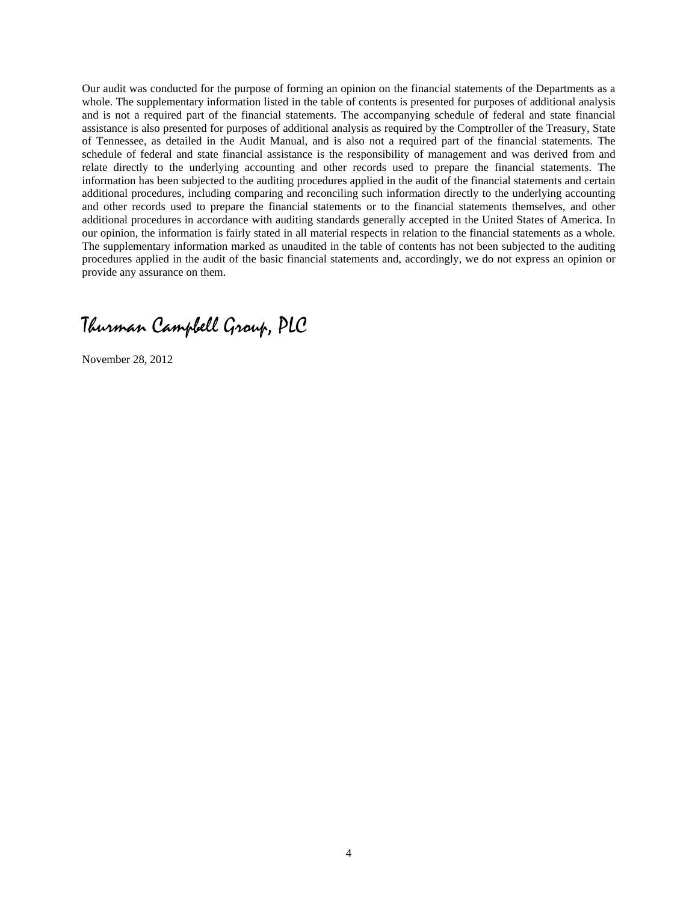Our audit was conducted for the purpose of forming an opinion on the financial statements of the Departments as a whole. The supplementary information listed in the table of contents is presented for purposes of additional analysis and is not a required part of the financial statements. The accompanying schedule of federal and state financial assistance is also presented for purposes of additional analysis as required by the Comptroller of the Treasury, State of Tennessee, as detailed in the Audit Manual, and is also not a required part of the financial statements. The schedule of federal and state financial assistance is the responsibility of management and was derived from and relate directly to the underlying accounting and other records used to prepare the financial statements. The information has been subjected to the auditing procedures applied in the audit of the financial statements and certain additional procedures, including comparing and reconciling such information directly to the underlying accounting and other records used to prepare the financial statements or to the financial statements themselves, and other additional procedures in accordance with auditing standards generally accepted in the United States of America. In our opinion, the information is fairly stated in all material respects in relation to the financial statements as a whole. The supplementary information marked as unaudited in the table of contents has not been subjected to the auditing procedures applied in the audit of the basic financial statements and, accordingly, we do not express an opinion or provide any assurance on them.

Thurman Campbell Group, PLC

November 28, 2012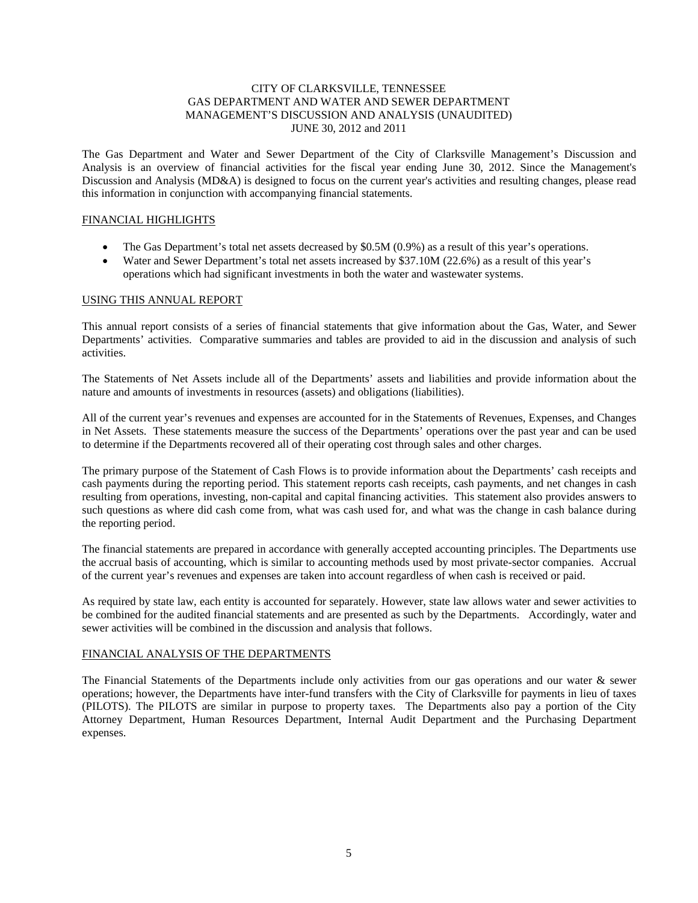### CITY OF CLARKSVILLE, TENNESSEE GAS DEPARTMENT AND WATER AND SEWER DEPARTMENT MANAGEMENT'S DISCUSSION AND ANALYSIS (UNAUDITED) JUNE 30, 2012 and 2011

The Gas Department and Water and Sewer Department of the City of Clarksville Management's Discussion and Analysis is an overview of financial activities for the fiscal year ending June 30, 2012. Since the Management's Discussion and Analysis (MD&A) is designed to focus on the current year's activities and resulting changes, please read this information in conjunction with accompanying financial statements.

#### FINANCIAL HIGHLIGHTS

- The Gas Department's total net assets decreased by \$0.5M (0.9%) as a result of this year's operations.
- Water and Sewer Department's total net assets increased by \$37.10M (22.6%) as a result of this year's operations which had significant investments in both the water and wastewater systems.

#### USING THIS ANNUAL REPORT

This annual report consists of a series of financial statements that give information about the Gas, Water, and Sewer Departments' activities. Comparative summaries and tables are provided to aid in the discussion and analysis of such activities.

The Statements of Net Assets include all of the Departments' assets and liabilities and provide information about the nature and amounts of investments in resources (assets) and obligations (liabilities).

All of the current year's revenues and expenses are accounted for in the Statements of Revenues, Expenses, and Changes in Net Assets. These statements measure the success of the Departments' operations over the past year and can be used to determine if the Departments recovered all of their operating cost through sales and other charges.

The primary purpose of the Statement of Cash Flows is to provide information about the Departments' cash receipts and cash payments during the reporting period. This statement reports cash receipts, cash payments, and net changes in cash resulting from operations, investing, non-capital and capital financing activities. This statement also provides answers to such questions as where did cash come from, what was cash used for, and what was the change in cash balance during the reporting period.

The financial statements are prepared in accordance with generally accepted accounting principles. The Departments use the accrual basis of accounting, which is similar to accounting methods used by most private-sector companies. Accrual of the current year's revenues and expenses are taken into account regardless of when cash is received or paid.

As required by state law, each entity is accounted for separately. However, state law allows water and sewer activities to be combined for the audited financial statements and are presented as such by the Departments. Accordingly, water and sewer activities will be combined in the discussion and analysis that follows.

## FINANCIAL ANALYSIS OF THE DEPARTMENTS

The Financial Statements of the Departments include only activities from our gas operations and our water & sewer operations; however, the Departments have inter-fund transfers with the City of Clarksville for payments in lieu of taxes (PILOTS). The PILOTS are similar in purpose to property taxes. The Departments also pay a portion of the City Attorney Department, Human Resources Department, Internal Audit Department and the Purchasing Department expenses.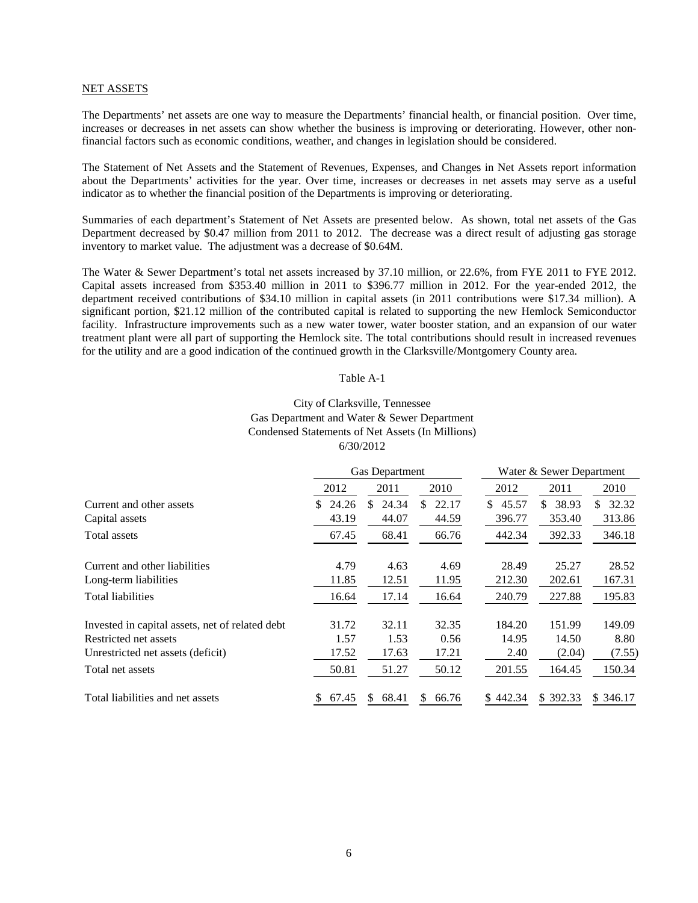#### NET ASSETS

The Departments' net assets are one way to measure the Departments' financial health, or financial position. Over time, increases or decreases in net assets can show whether the business is improving or deteriorating. However, other nonfinancial factors such as economic conditions, weather, and changes in legislation should be considered.

The Statement of Net Assets and the Statement of Revenues, Expenses, and Changes in Net Assets report information about the Departments' activities for the year. Over time, increases or decreases in net assets may serve as a useful indicator as to whether the financial position of the Departments is improving or deteriorating.

Summaries of each department's Statement of Net Assets are presented below. As shown, total net assets of the Gas Department decreased by \$0.47 million from 2011 to 2012. The decrease was a direct result of adjusting gas storage inventory to market value. The adjustment was a decrease of \$0.64M.

The Water & Sewer Department's total net assets increased by 37.10 million, or 22.6%, from FYE 2011 to FYE 2012. Capital assets increased from \$353.40 million in 2011 to \$396.77 million in 2012. For the year-ended 2012, the department received contributions of \$34.10 million in capital assets (in 2011 contributions were \$17.34 million). A significant portion, \$21.12 million of the contributed capital is related to supporting the new Hemlock Semiconductor facility. Infrastructure improvements such as a new water tower, water booster station, and an expansion of our water treatment plant were all part of supporting the Hemlock site. The total contributions should result in increased revenues for the utility and are a good indication of the continued growth in the Clarksville/Montgomery County area.

#### Table A-1

# City of Clarksville, Tennessee Gas Department and Water & Sewer Department 6/30/2012 Condensed Statements of Net Assets (In Millions)

|                                                 |              | <b>Gas Department</b> |              | Water & Sewer Department |              |              |  |
|-------------------------------------------------|--------------|-----------------------|--------------|--------------------------|--------------|--------------|--|
|                                                 | 2012         | 2011                  | 2010         | 2012                     | 2011         | 2010         |  |
| Current and other assets                        | 24.26<br>\$. | 24.34<br>S.           | 22.17<br>\$. | 45.57<br>S.              | 38.93<br>SS. | 32.32<br>\$. |  |
| Capital assets                                  | 43.19        | 44.07                 | 44.59        | 396.77                   | 353.40       | 313.86       |  |
| Total assets                                    | 67.45        | 68.41                 | 66.76        | 442.34                   | 392.33       | 346.18       |  |
| Current and other liabilities                   | 4.79         | 4.63                  | 4.69         | 28.49                    | 25.27        | 28.52        |  |
| Long-term liabilities                           | 11.85        | 12.51                 | 11.95        | 212.30                   | 202.61       | 167.31       |  |
| <b>Total liabilities</b>                        | 16.64        | 17.14                 | 16.64        | 240.79                   | 227.88       | 195.83       |  |
| Invested in capital assets, net of related debt | 31.72        | 32.11                 | 32.35        | 184.20                   | 151.99       | 149.09       |  |
| Restricted net assets                           | 1.57         | 1.53                  | 0.56         | 14.95                    | 14.50        | 8.80         |  |
| Unrestricted net assets (deficit)               | 17.52        | 17.63                 | 17.21        | 2.40                     | (2.04)       | (7.55)       |  |
| Total net assets                                | 50.81        | 51.27                 | 50.12        | 201.55                   | 164.45       | 150.34       |  |
| Total liabilities and net assets                | 67.45        | 68.41<br>S.           | S.<br>66.76  | \$442.34                 | \$392.33     | \$ 346.17    |  |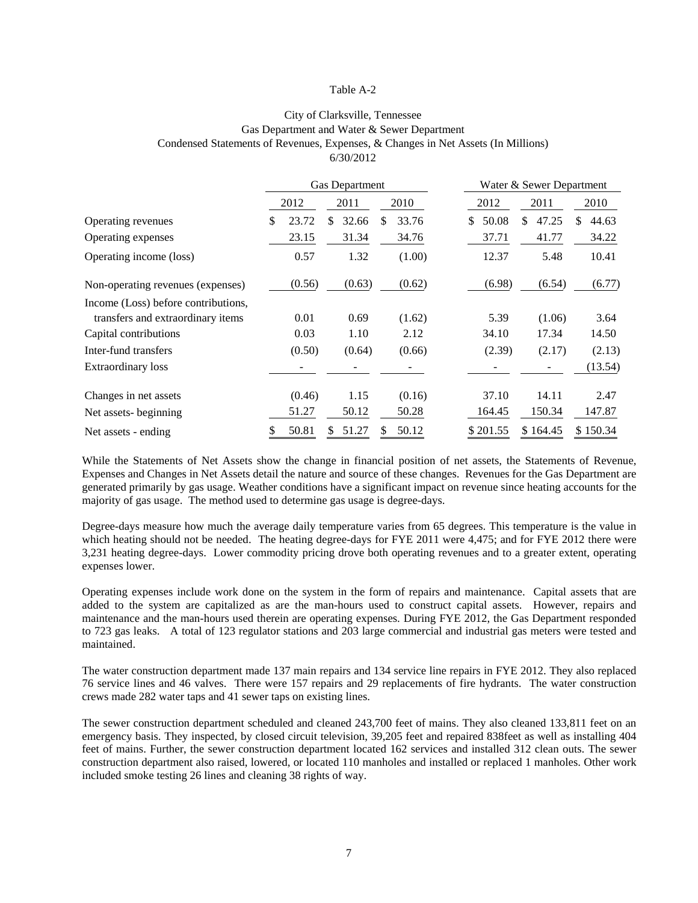#### Table A-2

# City of Clarksville, Tennessee Gas Department and Water & Sewer Department Condensed Statements of Revenues, Expenses, & Changes in Net Assets (In Millions) 6/30/2012

|                                                                          | <b>Gas Department</b> |        |    |        |    |        |   | Water & Sewer Department |    |          |    |          |
|--------------------------------------------------------------------------|-----------------------|--------|----|--------|----|--------|---|--------------------------|----|----------|----|----------|
|                                                                          |                       | 2012   |    | 2011   |    | 2010   |   | 2012                     |    | 2011     |    | 2010     |
| Operating revenues                                                       | \$.                   | 23.72  | \$ | 32.66  | S. | 33.76  | S | 50.08                    | \$ | 47.25    | \$ | 44.63    |
| Operating expenses                                                       |                       | 23.15  |    | 31.34  |    | 34.76  |   | 37.71                    |    | 41.77    |    | 34.22    |
| Operating income (loss)                                                  |                       | 0.57   |    | 1.32   |    | (1.00) |   | 12.37                    |    | 5.48     |    | 10.41    |
| Non-operating revenues (expenses)                                        |                       | (0.56) |    | (0.63) |    | (0.62) |   | (6.98)                   |    | (6.54)   |    | (6.77)   |
| Income (Loss) before contributions,<br>transfers and extraordinary items |                       | 0.01   |    | 0.69   |    | (1.62) |   | 5.39                     |    | (1.06)   |    | 3.64     |
| Capital contributions                                                    |                       | 0.03   |    | 1.10   |    | 2.12   |   | 34.10                    |    | 17.34    |    | 14.50    |
| Inter-fund transfers                                                     |                       | (0.50) |    | (0.64) |    | (0.66) |   | (2.39)                   |    | (2.17)   |    | (2.13)   |
| <b>Extraordinary loss</b>                                                |                       |        |    |        |    |        |   |                          |    |          |    | (13.54)  |
| Changes in net assets                                                    |                       | (0.46) |    | 1.15   |    | (0.16) |   | 37.10                    |    | 14.11    |    | 2.47     |
| Net assets-beginning                                                     |                       | 51.27  |    | 50.12  |    | 50.28  |   | 164.45                   |    | 150.34   |    | 147.87   |
| Net assets - ending                                                      | S                     | 50.81  | S. | 51.27  | S. | 50.12  |   | \$201.55                 |    | \$164.45 |    | \$150.34 |

While the Statements of Net Assets show the change in financial position of net assets, the Statements of Revenue, Expenses and Changes in Net Assets detail the nature and source of these changes. Revenues for the Gas Department are generated primarily by gas usage. Weather conditions have a significant impact on revenue since heating accounts for the majority of gas usage. The method used to determine gas usage is degree-days.

Degree-days measure how much the average daily temperature varies from 65 degrees. This temperature is the value in which heating should not be needed. The heating degree-days for FYE 2011 were 4,475; and for FYE 2012 there were 3,231 heating degree-days. Lower commodity pricing drove both operating revenues and to a greater extent, operating expenses lower.

Operating expenses include work done on the system in the form of repairs and maintenance. Capital assets that are added to the system are capitalized as are the man-hours used to construct capital assets. However, repairs and maintenance and the man-hours used therein are operating expenses. During FYE 2012, the Gas Department responded to 723 gas leaks. A total of 123 regulator stations and 203 large commercial and industrial gas meters were tested and maintained.

The water construction department made 137 main repairs and 134 service line repairs in FYE 2012. They also replaced 76 service lines and 46 valves. There were 157 repairs and 29 replacements of fire hydrants. The water construction crews made 282 water taps and 41 sewer taps on existing lines.

The sewer construction department scheduled and cleaned 243,700 feet of mains. They also cleaned 133,811 feet on an emergency basis. They inspected, by closed circuit television, 39,205 feet and repaired 838feet as well as installing 404 feet of mains. Further, the sewer construction department located 162 services and installed 312 clean outs. The sewer construction department also raised, lowered, or located 110 manholes and installed or replaced 1 manholes. Other work included smoke testing 26 lines and cleaning 38 rights of way.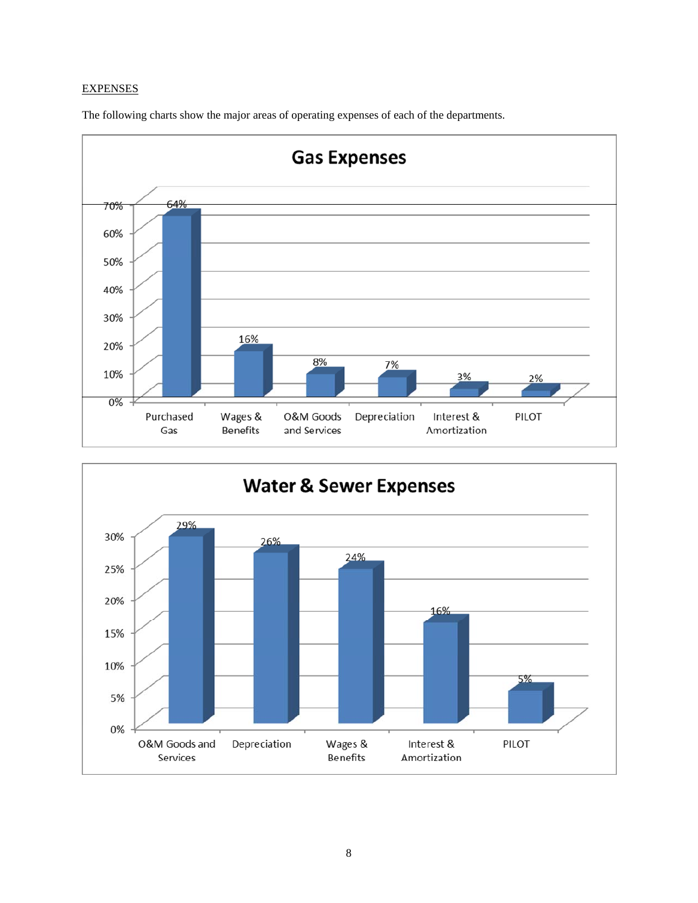# **EXPENSES**

The following charts show the major areas of operating expenses of each of the departments.



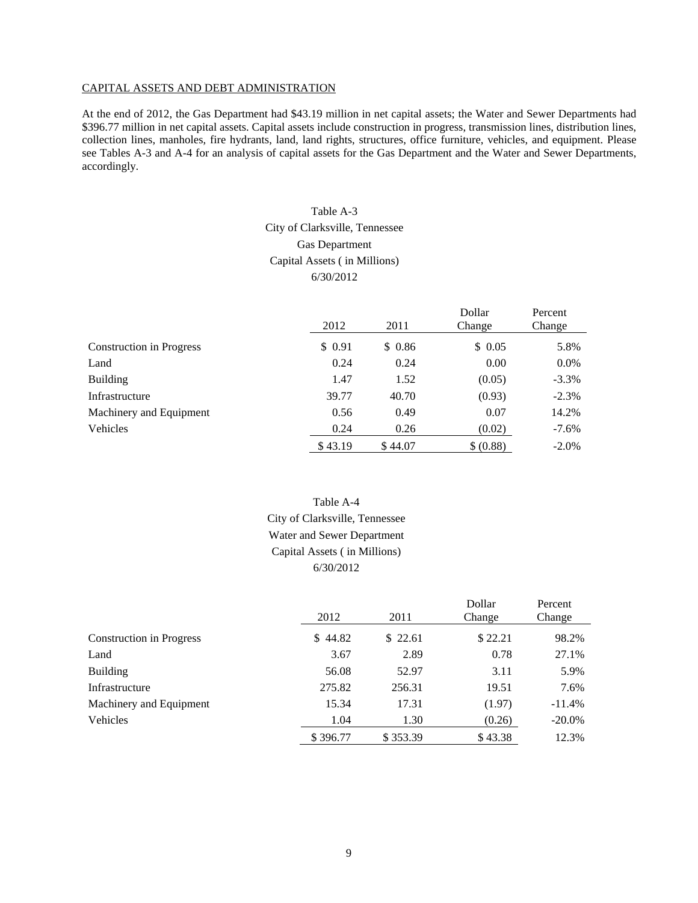#### CAPITAL ASSETS AND DEBT ADMINISTRATION

At the end of 2012, the Gas Department had \$43.19 million in net capital assets; the Water and Sewer Departments had \$396.77 million in net capital assets. Capital assets include construction in progress, transmission lines, distribution lines, collection lines, manholes, fire hydrants, land, land rights, structures, office furniture, vehicles, and equipment. Please see Tables A-3 and A-4 for an analysis of capital assets for the Gas Department and the Water and Sewer Departments, accordingly.

# Table A-3

# City of Clarksville, Tennessee Gas Department Capital Assets ( in Millions) 6/30/2012

|                                 | 2012    | 2011    | Dollar<br>Change | Percent<br>Change |
|---------------------------------|---------|---------|------------------|-------------------|
| <b>Construction in Progress</b> | \$0.91  | \$0.86  | \$0.05           | 5.8%              |
| Land                            | 0.24    | 0.24    | 0.00             | 0.0%              |
| <b>Building</b>                 | 1.47    | 1.52    | (0.05)           | $-3.3\%$          |
| Infrastructure                  | 39.77   | 40.70   | (0.93)           | $-2.3%$           |
| Machinery and Equipment         | 0.56    | 0.49    | 0.07             | 14.2%             |
| Vehicles                        | 0.24    | 0.26    | (0.02)           | $-7.6\%$          |
|                                 | \$43.19 | \$44.07 | \$ (0.88)        | $-2.0\%$          |

# Table A-4 City of Clarksville, Tennessee Water and Sewer Department Capital Assets ( in Millions) 6/30/2012

|                                 | 2012     | 2011     | Dollar<br>Change | Percent<br>Change |
|---------------------------------|----------|----------|------------------|-------------------|
| <b>Construction in Progress</b> | \$44.82  | \$22.61  | \$22.21          | 98.2%             |
| Land                            | 3.67     | 2.89     | 0.78             | 27.1%             |
| <b>Building</b>                 | 56.08    | 52.97    | 3.11             | 5.9%              |
| Infrastructure                  | 275.82   | 256.31   | 19.51            | 7.6%              |
| Machinery and Equipment         | 15.34    | 17.31    | (1.97)           | $-11.4%$          |
| Vehicles                        | 1.04     | 1.30     | (0.26)           | $-20.0\%$         |
|                                 | \$396.77 | \$353.39 | \$43.38          | 12.3%             |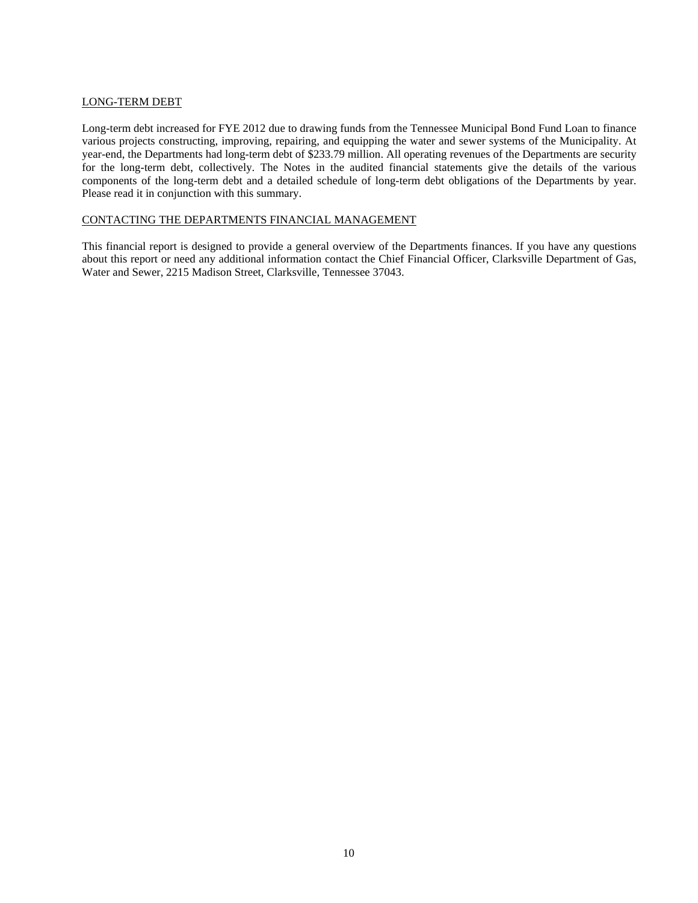#### LONG-TERM DEBT

Long-term debt increased for FYE 2012 due to drawing funds from the Tennessee Municipal Bond Fund Loan to finance various projects constructing, improving, repairing, and equipping the water and sewer systems of the Municipality. At year-end, the Departments had long-term debt of \$233.79 million. All operating revenues of the Departments are security for the long-term debt, collectively. The Notes in the audited financial statements give the details of the various components of the long-term debt and a detailed schedule of long-term debt obligations of the Departments by year. Please read it in conjunction with this summary.

#### CONTACTING THE DEPARTMENTS FINANCIAL MANAGEMENT

This financial report is designed to provide a general overview of the Departments finances. If you have any questions about this report or need any additional information contact the Chief Financial Officer, Clarksville Department of Gas, Water and Sewer, 2215 Madison Street, Clarksville, Tennessee 37043.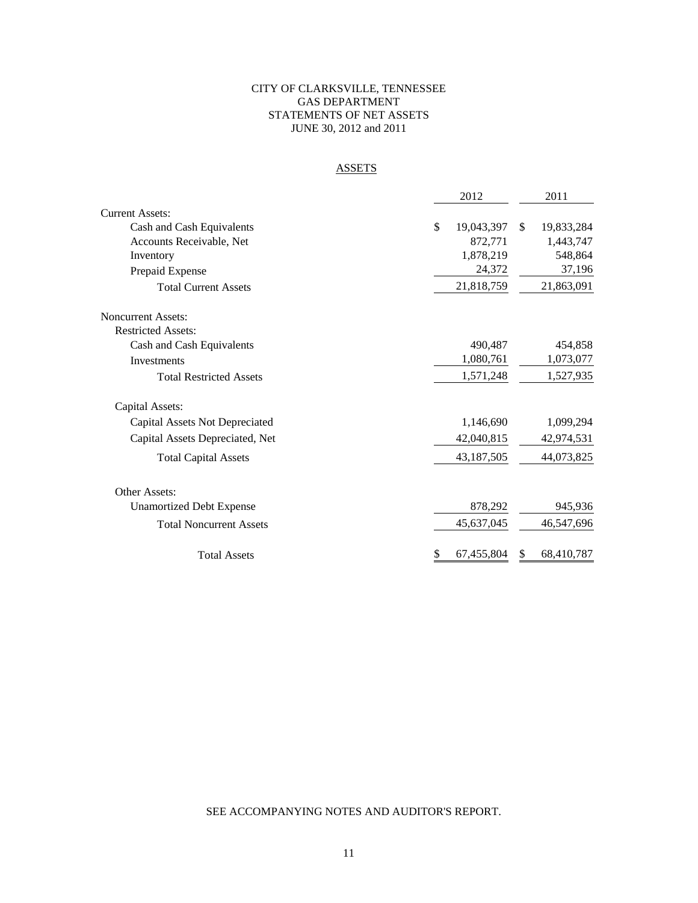# CITY OF CLARKSVILLE, TENNESSEE GAS DEPARTMENT STATEMENTS OF NET ASSETS JUNE 30, 2012 and 2011

# **ASSETS**

|                                 | 2012             | 2011                        |
|---------------------------------|------------------|-----------------------------|
| Current Assets:                 |                  |                             |
| Cash and Cash Equivalents       | \$<br>19,043,397 | 19,833,284<br><sup>\$</sup> |
| Accounts Receivable, Net        | 872,771          | 1,443,747                   |
| Inventory                       | 1,878,219        | 548,864                     |
| Prepaid Expense                 | 24,372           | 37,196                      |
| <b>Total Current Assets</b>     | 21,818,759       | 21,863,091                  |
| <b>Noncurrent Assets:</b>       |                  |                             |
| <b>Restricted Assets:</b>       |                  |                             |
| Cash and Cash Equivalents       | 490.487          | 454,858                     |
| Investments                     | 1,080,761        | 1,073,077                   |
| <b>Total Restricted Assets</b>  | 1,571,248        | 1,527,935                   |
| Capital Assets:                 |                  |                             |
| Capital Assets Not Depreciated  | 1,146,690        | 1,099,294                   |
| Capital Assets Depreciated, Net | 42,040,815       | 42,974,531                  |
| <b>Total Capital Assets</b>     | 43,187,505       | 44,073,825                  |
| Other Assets:                   |                  |                             |
| <b>Unamortized Debt Expense</b> | 878,292          | 945,936                     |
| <b>Total Noncurrent Assets</b>  | 45,637,045       | 46,547,696                  |
| <b>Total Assets</b>             | \$<br>67,455,804 | 68,410,787<br>\$            |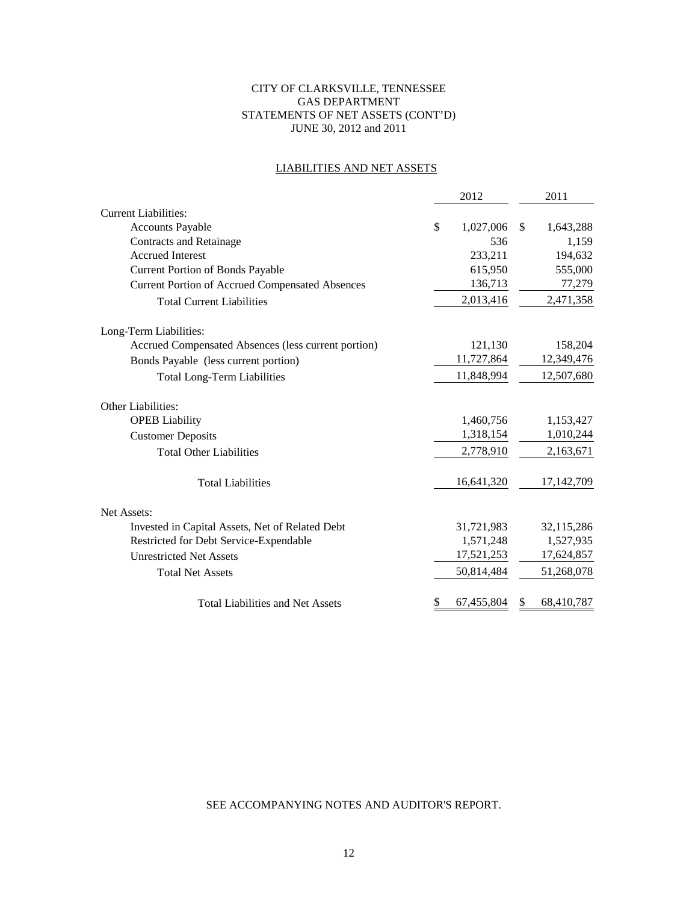# CITY OF CLARKSVILLE, TENNESSEE GAS DEPARTMENT STATEMENTS OF NET ASSETS (CONT'D) JUNE 30, 2012 and 2011

# LIABILITIES AND NET ASSETS

|                                                        | 2012 |            |              | 2011       |
|--------------------------------------------------------|------|------------|--------------|------------|
| <b>Current Liabilities:</b>                            |      |            |              |            |
| <b>Accounts Payable</b>                                | \$   | 1,027,006  | $\mathbb{S}$ | 1,643,288  |
| <b>Contracts and Retainage</b>                         |      | 536        |              | 1,159      |
| <b>Accrued Interest</b>                                |      | 233,211    |              | 194,632    |
| <b>Current Portion of Bonds Payable</b>                |      | 615,950    |              | 555,000    |
| <b>Current Portion of Accrued Compensated Absences</b> |      | 136,713    |              | 77,279     |
| <b>Total Current Liabilities</b>                       |      | 2,013,416  |              | 2,471,358  |
| Long-Term Liabilities:                                 |      |            |              |            |
| Accrued Compensated Absences (less current portion)    |      | 121,130    |              | 158,204    |
| Bonds Payable (less current portion)                   |      | 11,727,864 |              | 12,349,476 |
| <b>Total Long-Term Liabilities</b>                     |      | 11,848,994 |              | 12,507,680 |
| Other Liabilities:                                     |      |            |              |            |
| <b>OPEB</b> Liability                                  |      | 1,460,756  |              | 1,153,427  |
| <b>Customer Deposits</b>                               |      | 1,318,154  |              | 1,010,244  |
| <b>Total Other Liabilities</b>                         |      | 2,778,910  |              | 2,163,671  |
| <b>Total Liabilities</b>                               |      | 16,641,320 |              | 17,142,709 |
| Net Assets:                                            |      |            |              |            |
| Invested in Capital Assets, Net of Related Debt        |      | 31,721,983 |              | 32,115,286 |
| Restricted for Debt Service-Expendable                 |      | 1,571,248  |              | 1,527,935  |
| <b>Unrestricted Net Assets</b>                         |      | 17,521,253 |              | 17,624,857 |
| <b>Total Net Assets</b>                                |      | 50,814,484 |              | 51,268,078 |
| <b>Total Liabilities and Net Assets</b>                | \$   | 67,455,804 | S            | 68,410,787 |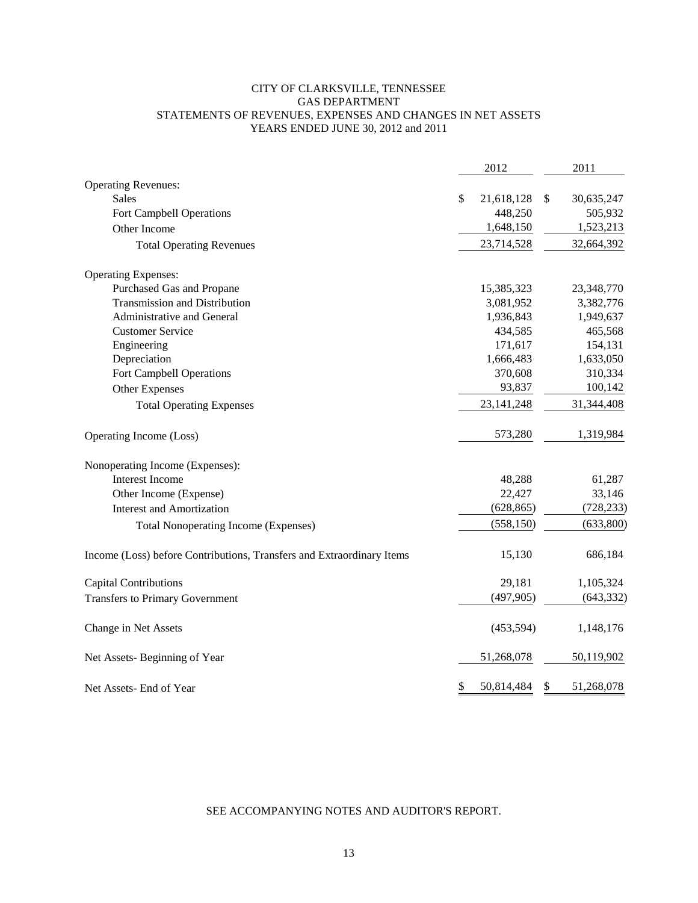# CITY OF CLARKSVILLE, TENNESSEE GAS DEPARTMENT STATEMENTS OF REVENUES, EXPENSES AND CHANGES IN NET ASSETS YEARS ENDED JUNE 30, 2012 and 2011

|                                                                       | 2012             | 2011             |
|-----------------------------------------------------------------------|------------------|------------------|
| <b>Operating Revenues:</b>                                            |                  |                  |
| <b>Sales</b>                                                          | \$<br>21,618,128 | \$<br>30,635,247 |
| Fort Campbell Operations                                              | 448,250          | 505,932          |
| Other Income                                                          | 1,648,150        | 1,523,213        |
| <b>Total Operating Revenues</b>                                       | 23,714,528       | 32,664,392       |
| <b>Operating Expenses:</b>                                            |                  |                  |
| Purchased Gas and Propane                                             | 15,385,323       | 23,348,770       |
| <b>Transmission and Distribution</b>                                  | 3,081,952        | 3,382,776        |
| Administrative and General                                            | 1,936,843        | 1,949,637        |
| <b>Customer Service</b>                                               | 434,585          | 465,568          |
| Engineering                                                           | 171,617          | 154,131          |
| Depreciation                                                          | 1,666,483        | 1,633,050        |
| Fort Campbell Operations                                              | 370,608          | 310,334          |
| Other Expenses                                                        | 93,837           | 100,142          |
| <b>Total Operating Expenses</b>                                       | 23, 141, 248     | 31,344,408       |
| Operating Income (Loss)                                               | 573,280          | 1,319,984        |
| Nonoperating Income (Expenses):                                       |                  |                  |
| <b>Interest Income</b>                                                | 48,288           | 61,287           |
| Other Income (Expense)                                                | 22,427           | 33,146           |
| <b>Interest and Amortization</b>                                      | (628, 865)       | (728, 233)       |
| <b>Total Nonoperating Income (Expenses)</b>                           | (558, 150)       | (633,800)        |
| Income (Loss) before Contributions, Transfers and Extraordinary Items | 15,130           | 686,184          |
| <b>Capital Contributions</b>                                          | 29,181           | 1,105,324        |
| <b>Transfers to Primary Government</b>                                | (497, 905)       | (643, 332)       |
| Change in Net Assets                                                  | (453, 594)       | 1,148,176        |
| Net Assets-Beginning of Year                                          | 51,268,078       | 50,119,902       |
| Net Assets- End of Year                                               | \$<br>50,814,484 | \$<br>51,268,078 |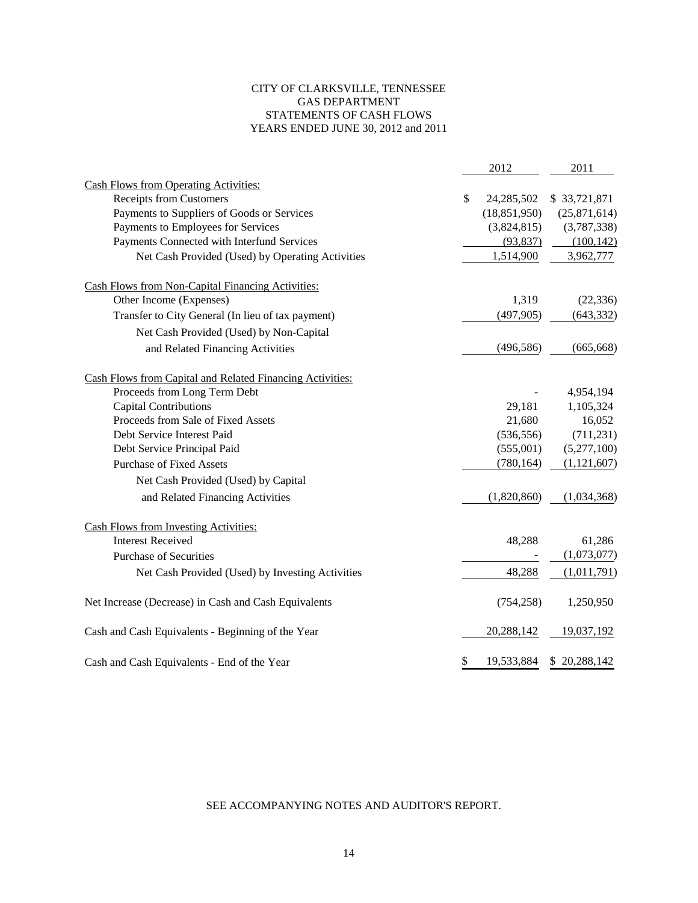# CITY OF CLARKSVILLE, TENNESSEE GAS DEPARTMENT STATEMENTS OF CASH FLOWS YEARS ENDED JUNE 30, 2012 and 2011

|                                                           | 2012             | 2011          |
|-----------------------------------------------------------|------------------|---------------|
| <b>Cash Flows from Operating Activities:</b>              |                  |               |
| <b>Receipts from Customers</b>                            | \$<br>24,285,502 | \$33,721,871  |
| Payments to Suppliers of Goods or Services                | (18, 851, 950)   | (25,871,614)  |
| Payments to Employees for Services                        | (3,824,815)      | (3,787,338)   |
| Payments Connected with Interfund Services                | (93, 837)        | (100, 142)    |
| Net Cash Provided (Used) by Operating Activities          | 1,514,900        | 3,962,777     |
| <b>Cash Flows from Non-Capital Financing Activities:</b>  |                  |               |
| Other Income (Expenses)                                   | 1,319            | (22, 336)     |
| Transfer to City General (In lieu of tax payment)         | (497, 905)       | (643, 332)    |
| Net Cash Provided (Used) by Non-Capital                   |                  |               |
| and Related Financing Activities                          | (496, 586)       | (665, 668)    |
| Cash Flows from Capital and Related Financing Activities: |                  |               |
| Proceeds from Long Term Debt                              |                  | 4,954,194     |
| <b>Capital Contributions</b>                              | 29,181           | 1,105,324     |
| Proceeds from Sale of Fixed Assets                        | 21,680           | 16,052        |
| Debt Service Interest Paid                                | (536, 556)       | (711, 231)    |
| Debt Service Principal Paid                               | (555,001)        | (5,277,100)   |
| <b>Purchase of Fixed Assets</b>                           | (780, 164)       | (1, 121, 607) |
| Net Cash Provided (Used) by Capital                       |                  |               |
| and Related Financing Activities                          | (1,820,860)      | (1,034,368)   |
| <b>Cash Flows from Investing Activities:</b>              |                  |               |
| <b>Interest Received</b>                                  | 48,288           | 61,286        |
| <b>Purchase of Securities</b>                             |                  | (1,073,077)   |
| Net Cash Provided (Used) by Investing Activities          | 48,288           | (1,011,791)   |
| Net Increase (Decrease) in Cash and Cash Equivalents      | (754, 258)       | 1,250,950     |
| Cash and Cash Equivalents - Beginning of the Year         | 20,288,142       | 19,037,192    |
| Cash and Cash Equivalents - End of the Year               | \$<br>19,533,884 | \$20,288,142  |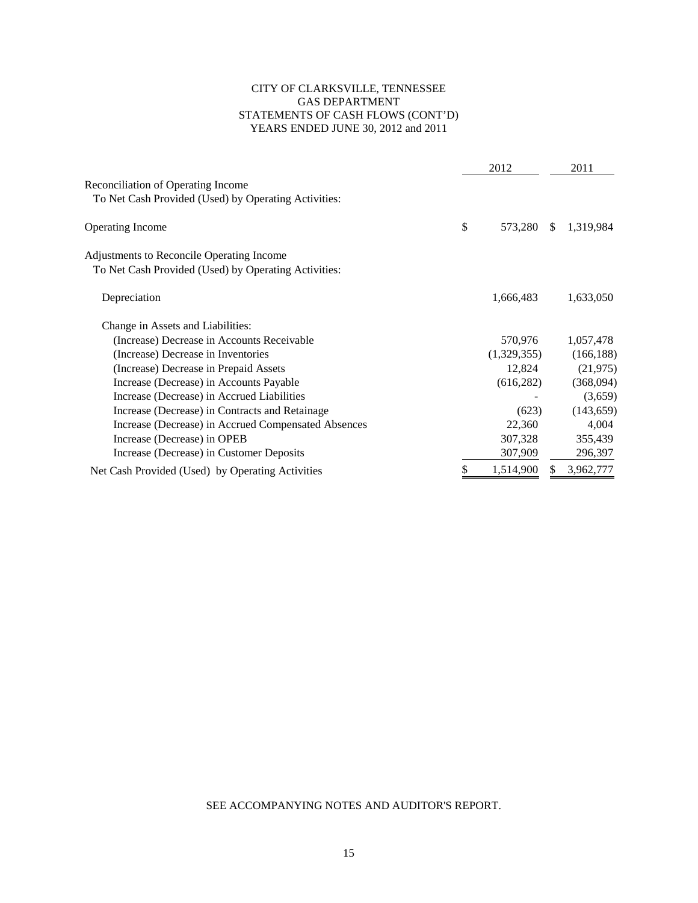# CITY OF CLARKSVILLE, TENNESSEE GAS DEPARTMENT STATEMENTS OF CASH FLOWS (CONT'D) YEARS ENDED JUNE 30, 2012 and 2011

|                                                                                                          | 2012            |               | 2011       |
|----------------------------------------------------------------------------------------------------------|-----------------|---------------|------------|
| <b>Reconciliation of Operating Income</b><br>To Net Cash Provided (Used) by Operating Activities:        |                 |               |            |
| <b>Operating Income</b>                                                                                  | \$<br>573,280   | <sup>\$</sup> | 1,319,984  |
| <b>Adjustments to Reconcile Operating Income</b><br>To Net Cash Provided (Used) by Operating Activities: |                 |               |            |
| Depreciation                                                                                             | 1,666,483       |               | 1,633,050  |
| Change in Assets and Liabilities:                                                                        |                 |               |            |
| (Increase) Decrease in Accounts Receivable                                                               | 570,976         |               | 1,057,478  |
| (Increase) Decrease in Inventories                                                                       | (1,329,355)     |               | (166, 188) |
| (Increase) Decrease in Prepaid Assets                                                                    | 12,824          |               | (21, 975)  |
| Increase (Decrease) in Accounts Payable                                                                  | (616, 282)      |               | (368,094)  |
| Increase (Decrease) in Accrued Liabilities                                                               |                 |               | (3,659)    |
| Increase (Decrease) in Contracts and Retainage                                                           | (623)           |               | (143, 659) |
| Increase (Decrease) in Accrued Compensated Absences                                                      | 22,360          |               | 4,004      |
| Increase (Decrease) in OPEB                                                                              | 307,328         |               | 355,439    |
| Increase (Decrease) in Customer Deposits                                                                 | 307,909         |               | 296,397    |
| Net Cash Provided (Used) by Operating Activities                                                         | \$<br>1,514,900 | \$            | 3,962,777  |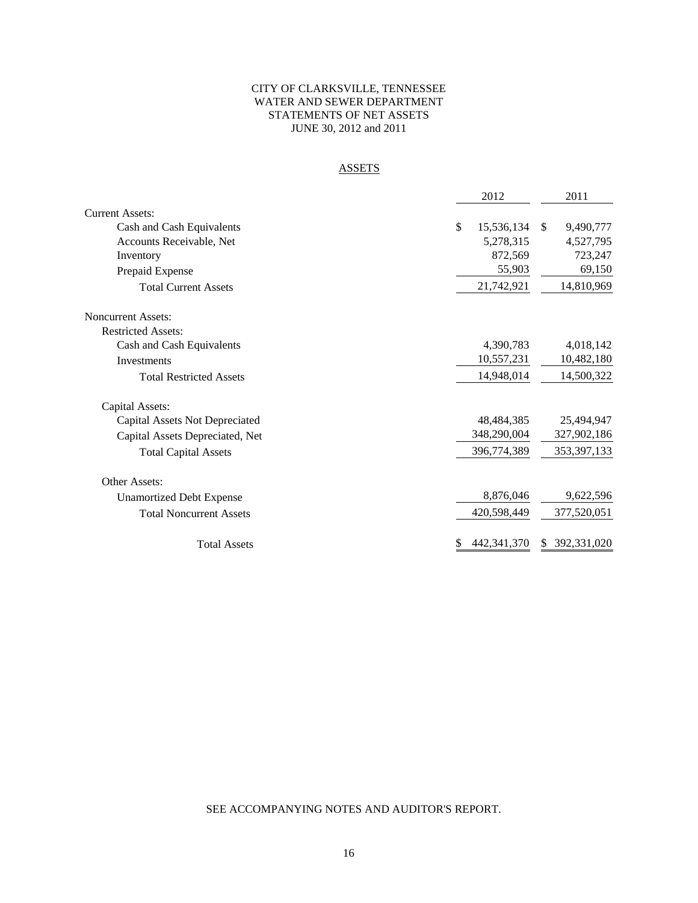# CITY OF CLARKSVILLE, TENNESSEE WATER AND SEWER DEPARTMENT STATEMENTS OF NET ASSETS JUNE 30, 2012 and 2011

# **ASSETS**

|                                 | 2012             | 2011                      |  |  |
|---------------------------------|------------------|---------------------------|--|--|
| <b>Current Assets:</b>          |                  |                           |  |  |
| Cash and Cash Equivalents       | \$<br>15,536,134 | 9,490,777<br>$\mathbb{S}$ |  |  |
| Accounts Receivable, Net        | 5,278,315        | 4,527,795                 |  |  |
| Inventory                       | 872,569          | 723,247                   |  |  |
| Prepaid Expense                 | 55,903           | 69,150                    |  |  |
| <b>Total Current Assets</b>     | 21,742,921       | 14,810,969                |  |  |
| <b>Noncurrent Assets:</b>       |                  |                           |  |  |
| <b>Restricted Assets:</b>       |                  |                           |  |  |
| Cash and Cash Equivalents       | 4,390,783        | 4,018,142                 |  |  |
| Investments                     | 10,557,231       | 10,482,180                |  |  |
| <b>Total Restricted Assets</b>  | 14,948,014       | 14,500,322                |  |  |
| Capital Assets:                 |                  |                           |  |  |
| Capital Assets Not Depreciated  | 48.484.385       | 25,494,947                |  |  |
| Capital Assets Depreciated, Net | 348,290,004      | 327,902,186               |  |  |
| <b>Total Capital Assets</b>     | 396,774,389      | 353, 397, 133             |  |  |
| Other Assets:                   |                  |                           |  |  |
| <b>Unamortized Debt Expense</b> | 8,876,046        | 9,622,596                 |  |  |
| <b>Total Noncurrent Assets</b>  | 420,598,449      | 377,520,051               |  |  |
| <b>Total Assets</b>             | 442, 341, 370    | 392,331,020<br>S.         |  |  |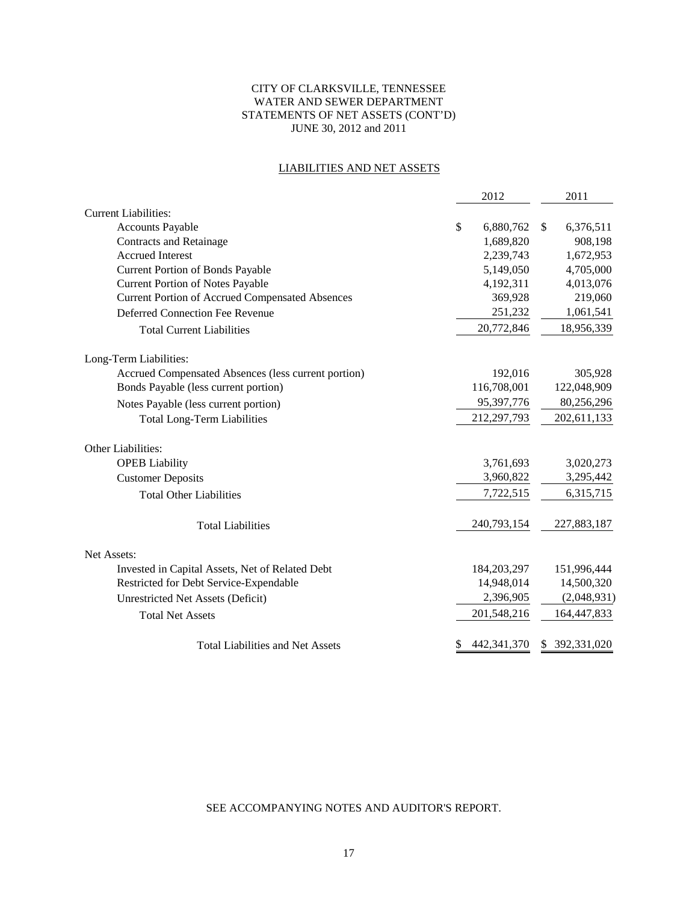# CITY OF CLARKSVILLE, TENNESSEE WATER AND SEWER DEPARTMENT STATEMENTS OF NET ASSETS (CONT'D) JUNE 30, 2012 and 2011

# LIABILITIES AND NET ASSETS

|                                                        | 2012                |              | 2011           |
|--------------------------------------------------------|---------------------|--------------|----------------|
| <b>Current Liabilities:</b>                            |                     |              |                |
| <b>Accounts Payable</b>                                | \$<br>6,880,762     | $\mathbb{S}$ | 6,376,511      |
| <b>Contracts and Retainage</b>                         | 1,689,820           |              | 908,198        |
| <b>Accrued Interest</b>                                | 2,239,743           |              | 1,672,953      |
| <b>Current Portion of Bonds Payable</b>                | 5,149,050           |              | 4,705,000      |
| <b>Current Portion of Notes Payable</b>                | 4,192,311           |              | 4,013,076      |
| <b>Current Portion of Accrued Compensated Absences</b> | 369,928             |              | 219,060        |
| <b>Deferred Connection Fee Revenue</b>                 | 251,232             |              | 1,061,541      |
| <b>Total Current Liabilities</b>                       | 20,772,846          |              | 18,956,339     |
| Long-Term Liabilities:                                 |                     |              |                |
| Accrued Compensated Absences (less current portion)    | 192,016             |              | 305,928        |
| Bonds Payable (less current portion)                   | 116,708,001         |              | 122,048,909    |
| Notes Payable (less current portion)                   | 95,397,776          |              | 80,256,296     |
| <b>Total Long-Term Liabilities</b>                     | 212,297,793         |              | 202,611,133    |
| Other Liabilities:                                     |                     |              |                |
| <b>OPEB</b> Liability                                  | 3,761,693           |              | 3,020,273      |
| <b>Customer Deposits</b>                               | 3,960,822           |              | 3,295,442      |
| <b>Total Other Liabilities</b>                         | 7,722,515           |              | 6,315,715      |
| <b>Total Liabilities</b>                               | 240,793,154         |              | 227,883,187    |
| Net Assets:                                            |                     |              |                |
| Invested in Capital Assets, Net of Related Debt        | 184, 203, 297       |              | 151,996,444    |
| Restricted for Debt Service-Expendable                 | 14,948,014          |              | 14,500,320     |
| <b>Unrestricted Net Assets (Deficit)</b>               | 2,396,905           |              | (2,048,931)    |
| <b>Total Net Assets</b>                                | 201,548,216         |              | 164,447,833    |
| <b>Total Liabilities and Net Assets</b>                | \$<br>442, 341, 370 |              | \$ 392,331,020 |
|                                                        |                     |              |                |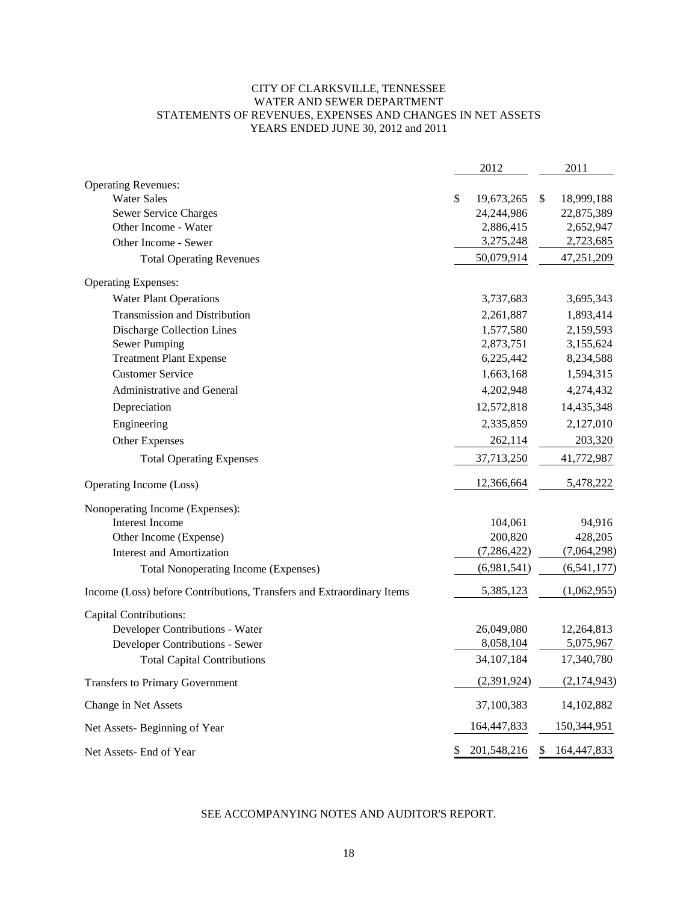# CITY OF CLARKSVILLE, TENNESSEE WATER AND SEWER DEPARTMENT STATEMENTS OF REVENUES, EXPENSES AND CHANGES IN NET ASSETS YEARS ENDED JUNE 30, 2012 and 2011

|                                                                       | 2012              | 2011              |
|-----------------------------------------------------------------------|-------------------|-------------------|
| <b>Operating Revenues:</b>                                            |                   |                   |
| <b>Water Sales</b>                                                    | \$<br>19,673,265  | \$<br>18,999,188  |
| Sewer Service Charges                                                 | 24,244,986        | 22,875,389        |
| Other Income - Water                                                  | 2,886,415         | 2,652,947         |
| Other Income - Sewer                                                  | 3,275,248         | 2,723,685         |
| <b>Total Operating Revenues</b>                                       | 50,079,914        | 47,251,209        |
| <b>Operating Expenses:</b>                                            |                   |                   |
| <b>Water Plant Operations</b>                                         | 3,737,683         | 3,695,343         |
| Transmission and Distribution                                         | 2,261,887         | 1,893,414         |
| <b>Discharge Collection Lines</b>                                     | 1,577,580         | 2,159,593         |
| <b>Sewer Pumping</b>                                                  | 2,873,751         | 3,155,624         |
| <b>Treatment Plant Expense</b>                                        | 6,225,442         | 8,234,588         |
| <b>Customer Service</b>                                               | 1,663,168         | 1,594,315         |
| Administrative and General                                            | 4,202,948         | 4,274,432         |
| Depreciation                                                          | 12,572,818        | 14,435,348        |
| Engineering                                                           | 2,335,859         | 2,127,010         |
| Other Expenses                                                        | 262,114           | 203,320           |
| <b>Total Operating Expenses</b>                                       | 37,713,250        | 41,772,987        |
| Operating Income (Loss)                                               | 12,366,664        | 5,478,222         |
| Nonoperating Income (Expenses):                                       |                   |                   |
| Interest Income                                                       | 104,061           | 94,916            |
| Other Income (Expense)                                                | 200,820           | 428,205           |
| <b>Interest and Amortization</b>                                      | (7, 286, 422)     | (7,064,298)       |
| <b>Total Nonoperating Income (Expenses)</b>                           | (6,981,541)       | (6, 541, 177)     |
| Income (Loss) before Contributions, Transfers and Extraordinary Items | 5,385,123         | (1,062,955)       |
| <b>Capital Contributions:</b>                                         |                   |                   |
| Developer Contributions - Water                                       | 26,049,080        | 12,264,813        |
| Developer Contributions - Sewer                                       | 8,058,104         | 5,075,967         |
| <b>Total Capital Contributions</b>                                    | 34, 107, 184      | 17,340,780        |
| <b>Transfers to Primary Government</b>                                | (2,391,924)       | (2,174,943)       |
| Change in Net Assets                                                  | 37,100,383        | 14,102,882        |
| Net Assets-Beginning of Year                                          | 164,447,833       | 150,344,951       |
| Net Assets- End of Year                                               | \$<br>201,548,216 | \$<br>164,447,833 |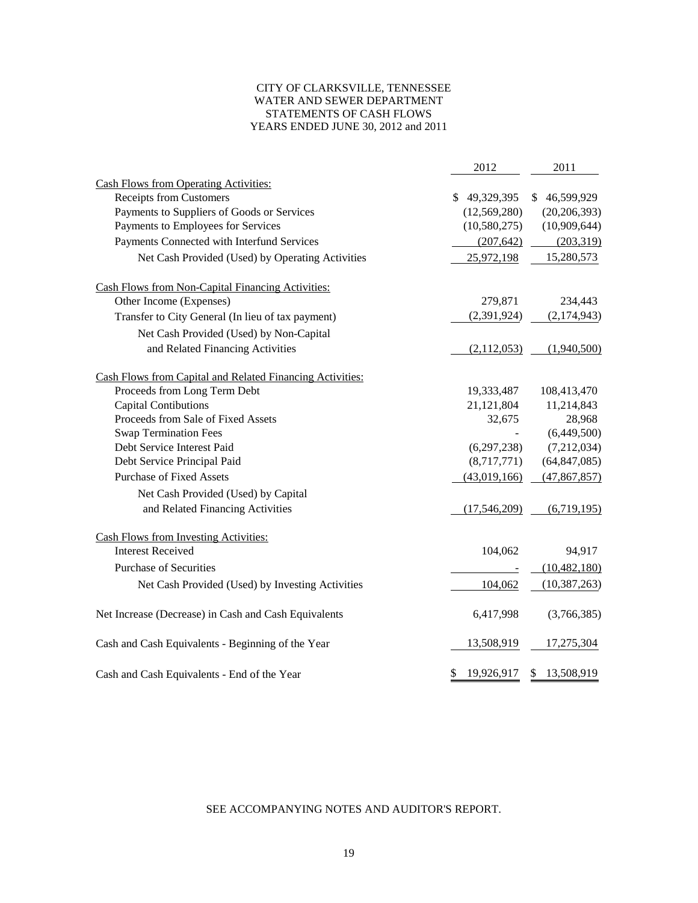### CITY OF CLARKSVILLE, TENNESSEE WATER AND SEWER DEPARTMENT STATEMENTS OF CASH FLOWS YEARS ENDED JUNE 30, 2012 and 2011

|                                                           | 2012             | 2011             |
|-----------------------------------------------------------|------------------|------------------|
| <b>Cash Flows from Operating Activities:</b>              |                  |                  |
| <b>Receipts from Customers</b>                            | \$49,329,395     | \$46,599,929     |
| Payments to Suppliers of Goods or Services                | (12, 569, 280)   | (20, 206, 393)   |
| Payments to Employees for Services                        | (10, 580, 275)   | (10,909,644)     |
| Payments Connected with Interfund Services                | (207, 642)       | (203, 319)       |
| Net Cash Provided (Used) by Operating Activities          | 25,972,198       | 15,280,573       |
| <b>Cash Flows from Non-Capital Financing Activities:</b>  |                  |                  |
| Other Income (Expenses)                                   | 279,871          | 234,443          |
| Transfer to City General (In lieu of tax payment)         | (2,391,924)      | (2,174,943)      |
| Net Cash Provided (Used) by Non-Capital                   |                  |                  |
| and Related Financing Activities                          | (2,112,053)      | (1,940,500)      |
| Cash Flows from Capital and Related Financing Activities: |                  |                  |
| Proceeds from Long Term Debt                              | 19,333,487       | 108,413,470      |
| Capital Contibutions                                      | 21,121,804       | 11,214,843       |
| Proceeds from Sale of Fixed Assets                        | 32,675           | 28,968           |
| <b>Swap Termination Fees</b>                              |                  | (6,449,500)      |
| Debt Service Interest Paid                                | (6,297,238)      | (7,212,034)      |
| Debt Service Principal Paid                               | (8,717,771)      | (64, 847, 085)   |
| <b>Purchase of Fixed Assets</b>                           | (43,019,166)     | (47, 867, 857)   |
| Net Cash Provided (Used) by Capital                       |                  |                  |
| and Related Financing Activities                          | (17,546,209)     | (6,719,195)      |
| <b>Cash Flows from Investing Activities:</b>              |                  |                  |
| <b>Interest Received</b>                                  | 104,062          | 94,917           |
| <b>Purchase of Securities</b>                             |                  | (10, 482, 180)   |
| Net Cash Provided (Used) by Investing Activities          | 104,062          | (10, 387, 263)   |
| Net Increase (Decrease) in Cash and Cash Equivalents      | 6,417,998        | (3,766,385)      |
| Cash and Cash Equivalents - Beginning of the Year         | 13,508,919       | 17,275,304       |
| Cash and Cash Equivalents - End of the Year               | 19,926,917<br>\$ | 13,508,919<br>\$ |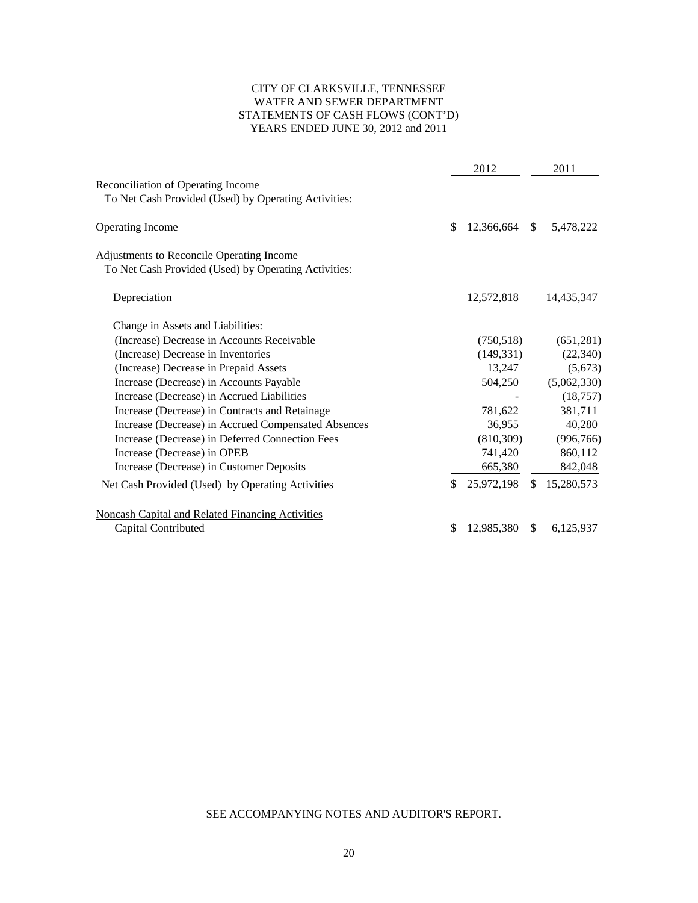# CITY OF CLARKSVILLE, TENNESSEE WATER AND SEWER DEPARTMENT STATEMENTS OF CASH FLOWS (CONT'D) YEARS ENDED JUNE 30, 2012 and 2011

|                                                                                                   |     | 2012                    |               | 2011        |
|---------------------------------------------------------------------------------------------------|-----|-------------------------|---------------|-------------|
| <b>Reconciliation of Operating Income</b><br>To Net Cash Provided (Used) by Operating Activities: |     |                         |               |             |
| <b>Operating Income</b>                                                                           | \$. | 12,366,664 \$ 5,478,222 |               |             |
| Adjustments to Reconcile Operating Income                                                         |     |                         |               |             |
| To Net Cash Provided (Used) by Operating Activities:                                              |     |                         |               |             |
| Depreciation                                                                                      |     | 12,572,818              |               | 14,435,347  |
| Change in Assets and Liabilities:                                                                 |     |                         |               |             |
| (Increase) Decrease in Accounts Receivable                                                        |     | (750, 518)              |               | (651, 281)  |
| (Increase) Decrease in Inventories                                                                |     | (149, 331)              |               | (22, 340)   |
| (Increase) Decrease in Prepaid Assets                                                             |     | 13,247                  |               | (5, 673)    |
| Increase (Decrease) in Accounts Payable                                                           |     | 504,250                 |               | (5,062,330) |
| Increase (Decrease) in Accrued Liabilities                                                        |     |                         |               | (18, 757)   |
| Increase (Decrease) in Contracts and Retainage                                                    |     | 781,622                 |               | 381,711     |
| Increase (Decrease) in Accrued Compensated Absences                                               |     | 36,955                  |               | 40,280      |
| Increase (Decrease) in Deferred Connection Fees                                                   |     | (810, 309)              |               | (996, 766)  |
| Increase (Decrease) in OPEB                                                                       |     | 741,420                 |               | 860,112     |
| Increase (Decrease) in Customer Deposits                                                          |     | 665,380                 |               | 842,048     |
| Net Cash Provided (Used) by Operating Activities                                                  | S   | 25,972,198              | \$            | 15,280,573  |
| Noncash Capital and Related Financing Activities                                                  |     |                         |               |             |
| Capital Contributed                                                                               | \$  | 12,985,380              | $\mathcal{S}$ | 6,125,937   |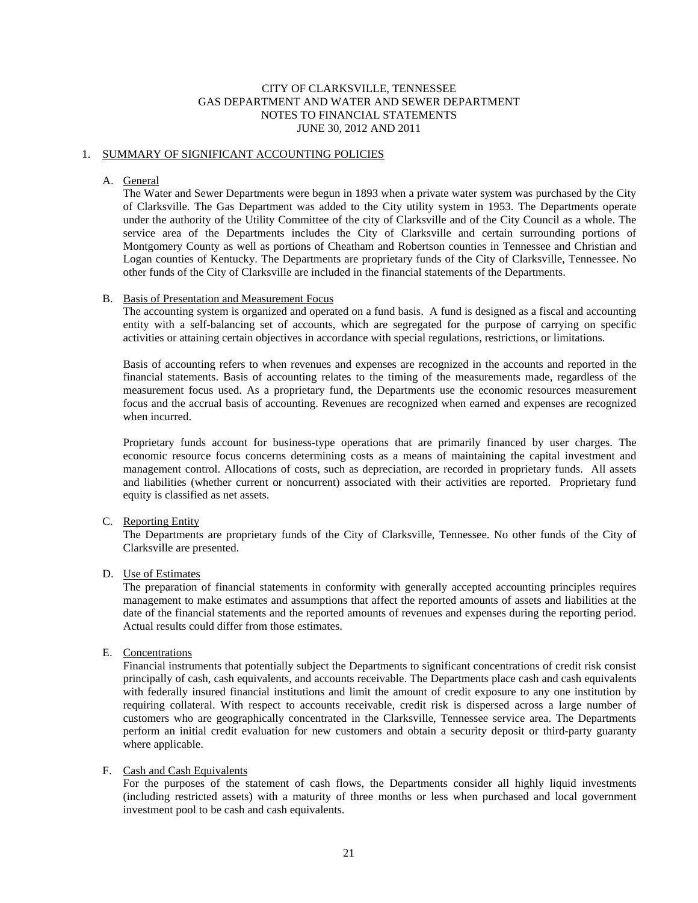### CITY OF CLARKSVILLE, TENNESSEE GAS DEPARTMENT AND WATER AND SEWER DEPARTMENT NOTES TO FINANCIAL STATEMENTS JUNE 30, 2012 AND 2011

#### 1. SUMMARY OF SIGNIFICANT ACCOUNTING POLICIES

#### A. General

The Water and Sewer Departments were begun in 1893 when a private water system was purchased by the City of Clarksville. The Gas Department was added to the City utility system in 1953. The Departments operate under the authority of the Utility Committee of the city of Clarksville and of the City Council as a whole. The service area of the Departments includes the City of Clarksville and certain surrounding portions of Montgomery County as well as portions of Cheatham and Robertson counties in Tennessee and Christian and Logan counties of Kentucky. The Departments are proprietary funds of the City of Clarksville, Tennessee. No other funds of the City of Clarksville are included in the financial statements of the Departments.

#### B. Basis of Presentation and Measurement Focus

The accounting system is organized and operated on a fund basis. A fund is designed as a fiscal and accounting entity with a self-balancing set of accounts, which are segregated for the purpose of carrying on specific activities or attaining certain objectives in accordance with special regulations, restrictions, or limitations.

Basis of accounting refers to when revenues and expenses are recognized in the accounts and reported in the financial statements. Basis of accounting relates to the timing of the measurements made, regardless of the measurement focus used. As a proprietary fund, the Departments use the economic resources measurement focus and the accrual basis of accounting. Revenues are recognized when earned and expenses are recognized when incurred.

Proprietary funds account for business-type operations that are primarily financed by user charges. The economic resource focus concerns determining costs as a means of maintaining the capital investment and management control. Allocations of costs, such as depreciation, are recorded in proprietary funds. All assets and liabilities (whether current or noncurrent) associated with their activities are reported. Proprietary fund equity is classified as net assets.

### C. Reporting Entity

The Departments are proprietary funds of the City of Clarksville, Tennessee. No other funds of the City of Clarksville are presented.

#### D. Use of Estimates

The preparation of financial statements in conformity with generally accepted accounting principles requires management to make estimates and assumptions that affect the reported amounts of assets and liabilities at the date of the financial statements and the reported amounts of revenues and expenses during the reporting period. Actual results could differ from those estimates.

#### E. Concentrations

Financial instruments that potentially subject the Departments to significant concentrations of credit risk consist principally of cash, cash equivalents, and accounts receivable. The Departments place cash and cash equivalents with federally insured financial institutions and limit the amount of credit exposure to any one institution by requiring collateral. With respect to accounts receivable, credit risk is dispersed across a large number of customers who are geographically concentrated in the Clarksville, Tennessee service area. The Departments perform an initial credit evaluation for new customers and obtain a security deposit or third-party guaranty where applicable.

#### F. Cash and Cash Equivalents

For the purposes of the statement of cash flows, the Departments consider all highly liquid investments (including restricted assets) with a maturity of three months or less when purchased and local government investment pool to be cash and cash equivalents.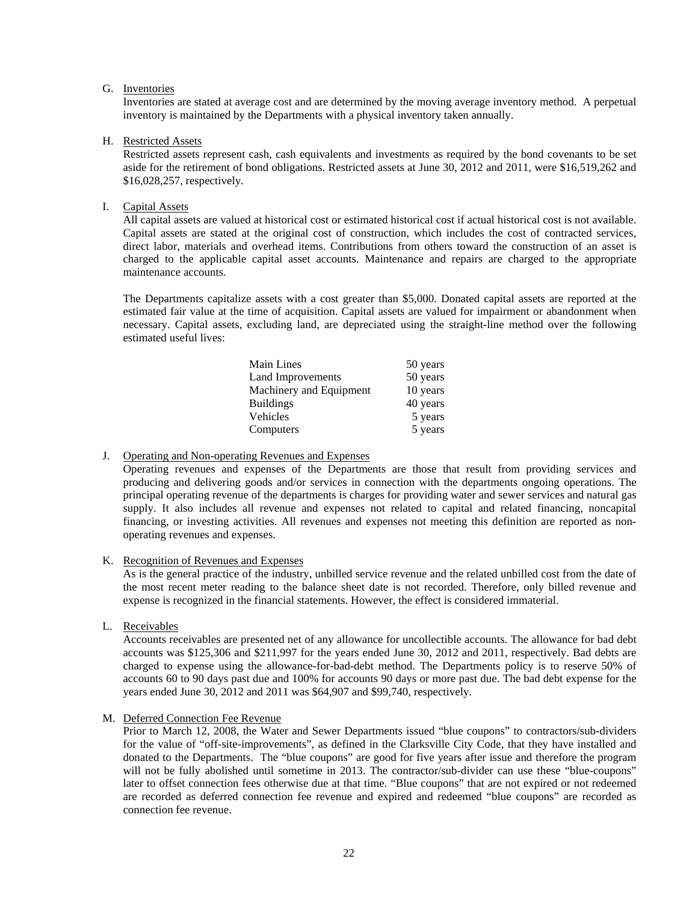## G. Inventories

Inventories are stated at average cost and are determined by the moving average inventory method. A perpetual inventory is maintained by the Departments with a physical inventory taken annually.

#### H. Restricted Assets

Restricted assets represent cash, cash equivalents and investments as required by the bond covenants to be set aside for the retirement of bond obligations. Restricted assets at June 30, 2012 and 2011, were \$16,519,262 and \$16,028,257, respectively.

### I. Capital Assets

All capital assets are valued at historical cost or estimated historical cost if actual historical cost is not available. Capital assets are stated at the original cost of construction, which includes the cost of contracted services, direct labor, materials and overhead items. Contributions from others toward the construction of an asset is charged to the applicable capital asset accounts. Maintenance and repairs are charged to the appropriate maintenance accounts.

The Departments capitalize assets with a cost greater than \$5,000. Donated capital assets are reported at the estimated fair value at the time of acquisition. Capital assets are valued for impairment or abandonment when necessary. Capital assets, excluding land, are depreciated using the straight-line method over the following estimated useful lives:

| Main Lines              | 50 years |
|-------------------------|----------|
| Land Improvements       | 50 years |
| Machinery and Equipment | 10 years |
| <b>Buildings</b>        | 40 years |
| Vehicles                | 5 years  |
| Computers               | 5 years  |

### J. Operating and Non-operating Revenues and Expenses

Operating revenues and expenses of the Departments are those that result from providing services and producing and delivering goods and/or services in connection with the departments ongoing operations. The principal operating revenue of the departments is charges for providing water and sewer services and natural gas supply. It also includes all revenue and expenses not related to capital and related financing, noncapital financing, or investing activities. All revenues and expenses not meeting this definition are reported as nonoperating revenues and expenses.

#### K. Recognition of Revenues and Expenses

As is the general practice of the industry, unbilled service revenue and the related unbilled cost from the date of the most recent meter reading to the balance sheet date is not recorded. Therefore, only billed revenue and expense is recognized in the financial statements. However, the effect is considered immaterial.

L. Receivables

Accounts receivables are presented net of any allowance for uncollectible accounts. The allowance for bad debt accounts was \$125,306 and \$211,997 for the years ended June 30, 2012 and 2011, respectively. Bad debts are charged to expense using the allowance-for-bad-debt method. The Departments policy is to reserve 50% of accounts 60 to 90 days past due and 100% for accounts 90 days or more past due. The bad debt expense for the years ended June 30, 2012 and 2011 was \$64,907 and \$99,740, respectively.

## M. Deferred Connection Fee Revenue

Prior to March 12, 2008, the Water and Sewer Departments issued "blue coupons" to contractors/sub-dividers for the value of "off-site-improvements", as defined in the Clarksville City Code, that they have installed and donated to the Departments. The "blue coupons" are good for five years after issue and therefore the program will not be fully abolished until sometime in 2013. The contractor/sub-divider can use these "blue-coupons" later to offset connection fees otherwise due at that time. "Blue coupons" that are not expired or not redeemed are recorded as deferred connection fee revenue and expired and redeemed "blue coupons" are recorded as connection fee revenue.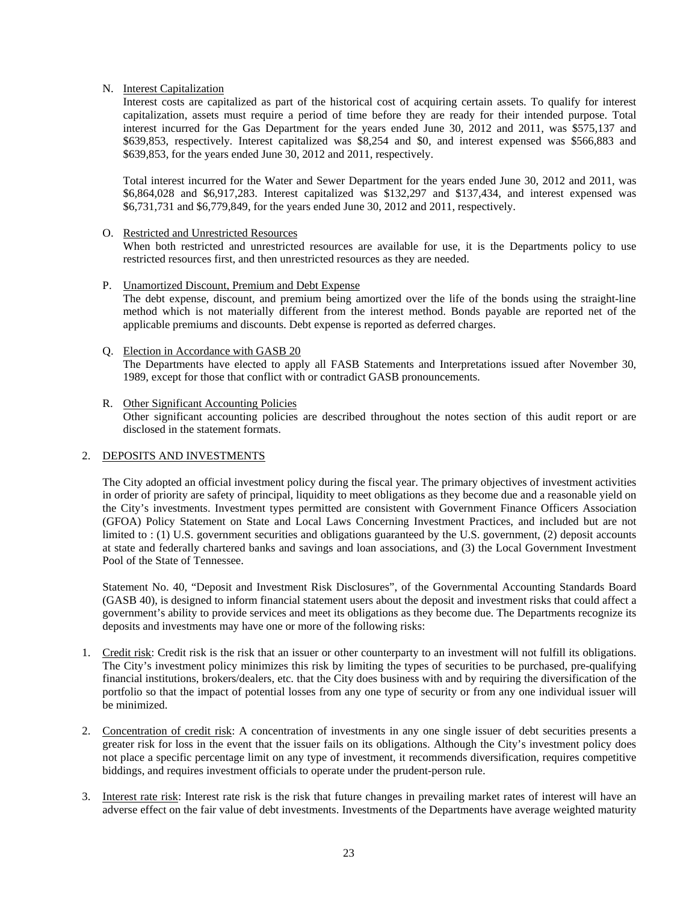### N. Interest Capitalization

Interest costs are capitalized as part of the historical cost of acquiring certain assets. To qualify for interest capitalization, assets must require a period of time before they are ready for their intended purpose. Total interest incurred for the Gas Department for the years ended June 30, 2012 and 2011, was \$575,137 and \$639,853, respectively. Interest capitalized was \$8,254 and \$0, and interest expensed was \$566,883 and \$639,853, for the years ended June 30, 2012 and 2011, respectively.

Total interest incurred for the Water and Sewer Department for the years ended June 30, 2012 and 2011, was \$6,864,028 and \$6,917,283. Interest capitalized was \$132,297 and \$137,434, and interest expensed was \$6,731,731 and \$6,779,849, for the years ended June 30, 2012 and 2011, respectively.

#### O. Restricted and Unrestricted Resources

When both restricted and unrestricted resources are available for use, it is the Departments policy to use restricted resources first, and then unrestricted resources as they are needed.

#### P. Unamortized Discount, Premium and Debt Expense

The debt expense, discount, and premium being amortized over the life of the bonds using the straight-line method which is not materially different from the interest method. Bonds payable are reported net of the applicable premiums and discounts. Debt expense is reported as deferred charges.

#### Q. Election in Accordance with GASB 20

The Departments have elected to apply all FASB Statements and Interpretations issued after November 30, 1989, except for those that conflict with or contradict GASB pronouncements.

### R. Other Significant Accounting Policies Other significant accounting policies are described throughout the notes section of this audit report or are disclosed in the statement formats.

### 2. DEPOSITS AND INVESTMENTS

The City adopted an official investment policy during the fiscal year. The primary objectives of investment activities in order of priority are safety of principal, liquidity to meet obligations as they become due and a reasonable yield on the City's investments. Investment types permitted are consistent with Government Finance Officers Association (GFOA) Policy Statement on State and Local Laws Concerning Investment Practices, and included but are not limited to : (1) U.S. government securities and obligations guaranteed by the U.S. government, (2) deposit accounts at state and federally chartered banks and savings and loan associations, and (3) the Local Government Investment Pool of the State of Tennessee.

Statement No. 40, "Deposit and Investment Risk Disclosures", of the Governmental Accounting Standards Board (GASB 40), is designed to inform financial statement users about the deposit and investment risks that could affect a government's ability to provide services and meet its obligations as they become due. The Departments recognize its deposits and investments may have one or more of the following risks:

- 1. Credit risk: Credit risk is the risk that an issuer or other counterparty to an investment will not fulfill its obligations. The City's investment policy minimizes this risk by limiting the types of securities to be purchased, pre-qualifying financial institutions, brokers/dealers, etc. that the City does business with and by requiring the diversification of the portfolio so that the impact of potential losses from any one type of security or from any one individual issuer will be minimized.
- 2. Concentration of credit risk: A concentration of investments in any one single issuer of debt securities presents a greater risk for loss in the event that the issuer fails on its obligations. Although the City's investment policy does not place a specific percentage limit on any type of investment, it recommends diversification, requires competitive biddings, and requires investment officials to operate under the prudent-person rule.
- 3. Interest rate risk: Interest rate risk is the risk that future changes in prevailing market rates of interest will have an adverse effect on the fair value of debt investments. Investments of the Departments have average weighted maturity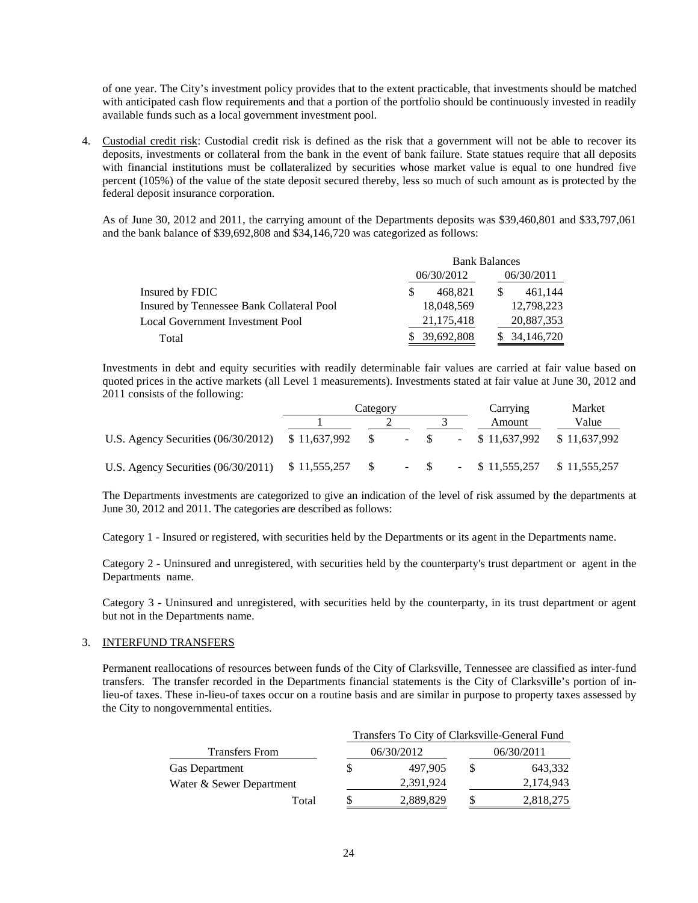of one year. The City's investment policy provides that to the extent practicable, that investments should be matched with anticipated cash flow requirements and that a portion of the portfolio should be continuously invested in readily available funds such as a local government investment pool.

4. Custodial credit risk: Custodial credit risk is defined as the risk that a government will not be able to recover its deposits, investments or collateral from the bank in the event of bank failure. State statues require that all deposits with financial institutions must be collateralized by securities whose market value is equal to one hundred five percent (105%) of the value of the state deposit secured thereby, less so much of such amount as is protected by the federal deposit insurance corporation.

As of June 30, 2012 and 2011, the carrying amount of the Departments deposits was \$39,460,801 and \$33,797,061 and the bank balance of \$39,692,808 and \$34,146,720 was categorized as follows:

|                                           | <b>Bank Balances</b> |            |  |            |  |
|-------------------------------------------|----------------------|------------|--|------------|--|
|                                           |                      | 06/30/2012 |  | 06/30/2011 |  |
| Insured by FDIC                           |                      | 468.821    |  | 461.144    |  |
| Insured by Tennessee Bank Collateral Pool |                      | 18,048,569 |  | 12,798,223 |  |
| Local Government Investment Pool          |                      | 21,175,418 |  | 20,887,353 |  |
| Total                                     |                      | 39,692,808 |  | 34,146,720 |  |

Investments in debt and equity securities with readily determinable fair values are carried at fair value based on quoted prices in the active markets (all Level 1 measurements). Investments stated at fair value at June 30, 2012 and 2011 consists of the following:

|                                                        | Category |                 |  |  |  | Carrying                               | Market |
|--------------------------------------------------------|----------|-----------------|--|--|--|----------------------------------------|--------|
|                                                        |          |                 |  |  |  | Amount                                 | Value  |
| U.S. Agency Securities (06/30/2012) \$11,637,992       |          | $\sim$ S $\sim$ |  |  |  | $-$ \$ $-$ \$ 11,637,992 \$ 11,637,992 |        |
| U.S. Agency Securities $(06/30/2011)$ \$ 11,555,257 \$ |          |                 |  |  |  | $-$ \$ $-$ \$ 11.555.257 \$ 11.555.257 |        |

The Departments investments are categorized to give an indication of the level of risk assumed by the departments at June 30, 2012 and 2011. The categories are described as follows:

Category 1 - Insured or registered, with securities held by the Departments or its agent in the Departments name.

Category 2 - Uninsured and unregistered, with securities held by the counterparty's trust department or agent in the Departments name.

Category 3 - Uninsured and unregistered, with securities held by the counterparty, in its trust department or agent but not in the Departments name.

#### 3. INTERFUND TRANSFERS

Permanent reallocations of resources between funds of the City of Clarksville, Tennessee are classified as inter-fund transfers. The transfer recorded in the Departments financial statements is the City of Clarksville's portion of inlieu-of taxes. These in-lieu-of taxes occur on a routine basis and are similar in purpose to property taxes assessed by the City to nongovernmental entities.

|                          | Transfers To City of Clarksville-General Fund |            |  |            |  |  |  |
|--------------------------|-----------------------------------------------|------------|--|------------|--|--|--|
| <b>Transfers From</b>    |                                               | 06/30/2012 |  | 06/30/2011 |  |  |  |
| <b>Gas Department</b>    |                                               | 497,905    |  | 643,332    |  |  |  |
| Water & Sewer Department |                                               | 2,391,924  |  | 2.174.943  |  |  |  |
| Total                    |                                               | 2,889,829  |  | 2,818,275  |  |  |  |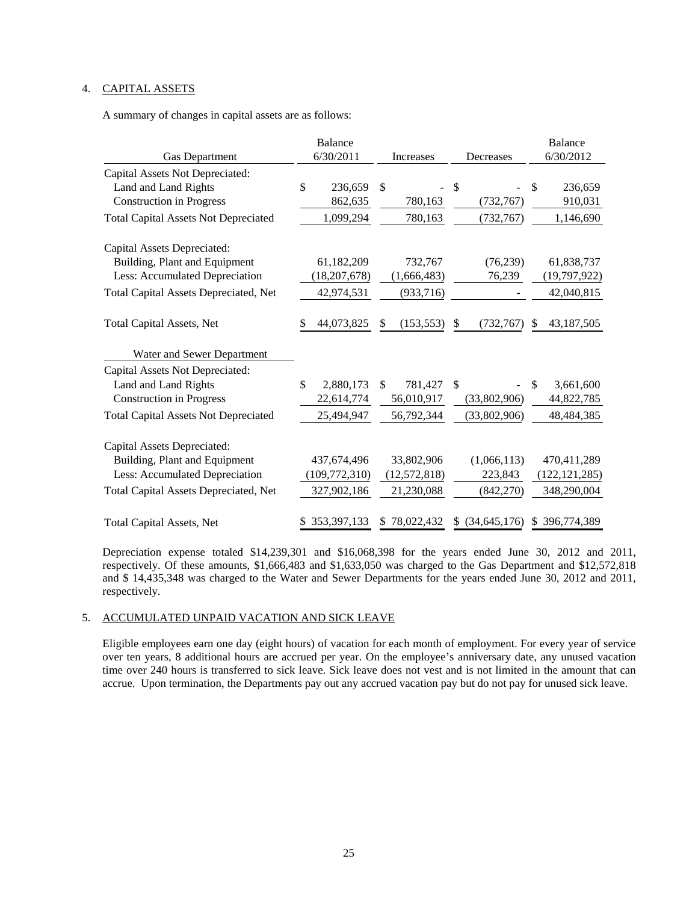# 4. CAPITAL ASSETS

A summary of changes in capital assets are as follows:

|                                             | <b>Balance</b>  |                  |                      | <b>Balance</b>     |
|---------------------------------------------|-----------------|------------------|----------------------|--------------------|
| <b>Gas Department</b>                       | 6/30/2011       | Increases        | Decreases            | 6/30/2012          |
| Capital Assets Not Depreciated:             |                 |                  |                      |                    |
| Land and Land Rights                        | \$<br>236,659   | \$               | \$                   | \$<br>236,659      |
| <b>Construction in Progress</b>             | 862,635         | 780,163          | (732, 767)           | 910,031            |
| <b>Total Capital Assets Not Depreciated</b> | 1,099,294       | 780,163          | (732, 767)           | 1,146,690          |
| Capital Assets Depreciated:                 |                 |                  |                      |                    |
| Building, Plant and Equipment               | 61,182,209      | 732,767          | (76, 239)            | 61,838,737         |
| Less: Accumulated Depreciation              | (18, 207, 678)  | (1,666,483)      | 76,239               | (19,797,922)       |
| Total Capital Assets Depreciated, Net       | 42,974,531      | (933, 716)       |                      | 42,040,815         |
| <b>Total Capital Assets, Net</b>            | 44,073,825      | (153, 553)<br>S. | (732, 767)<br>S      | 43, 187, 505<br>S. |
| Water and Sewer Department                  |                 |                  |                      |                    |
| Capital Assets Not Depreciated:             |                 |                  |                      |                    |
| Land and Land Rights                        | \$<br>2,880,173 | \$<br>781,427    | <sup>\$</sup>        | \$<br>3,661,600    |
| <b>Construction in Progress</b>             | 22,614,774      | 56,010,917       | (33,802,906)         | 44,822,785         |
| <b>Total Capital Assets Not Depreciated</b> | 25,494,947      | 56,792,344       | (33,802,906)         | 48,484,385         |
| Capital Assets Depreciated:                 |                 |                  |                      |                    |
| Building, Plant and Equipment               | 437,674,496     | 33,802,906       | (1,066,113)          | 470,411,289        |
| Less: Accumulated Depreciation              | (109, 772, 310) | (12, 572, 818)   | 223,843              | (122, 121, 285)    |
| Total Capital Assets Depreciated, Net       | 327,902,186     | 21,230,088       | (842, 270)           | 348,290,004        |
| <b>Total Capital Assets, Net</b>            | 353, 397, 133   | 78,022,432<br>S  | (34, 645, 176)<br>S. | \$396,774,389      |

Depreciation expense totaled \$14,239,301 and \$16,068,398 for the years ended June 30, 2012 and 2011, respectively. Of these amounts, \$1,666,483 and \$1,633,050 was charged to the Gas Department and \$12,572,818 and \$ 14,435,348 was charged to the Water and Sewer Departments for the years ended June 30, 2012 and 2011, respectively.

## 5. ACCUMULATED UNPAID VACATION AND SICK LEAVE

Eligible employees earn one day (eight hours) of vacation for each month of employment. For every year of service over ten years, 8 additional hours are accrued per year. On the employee's anniversary date, any unused vacation time over 240 hours is transferred to sick leave. Sick leave does not vest and is not limited in the amount that can accrue. Upon termination, the Departments pay out any accrued vacation pay but do not pay for unused sick leave.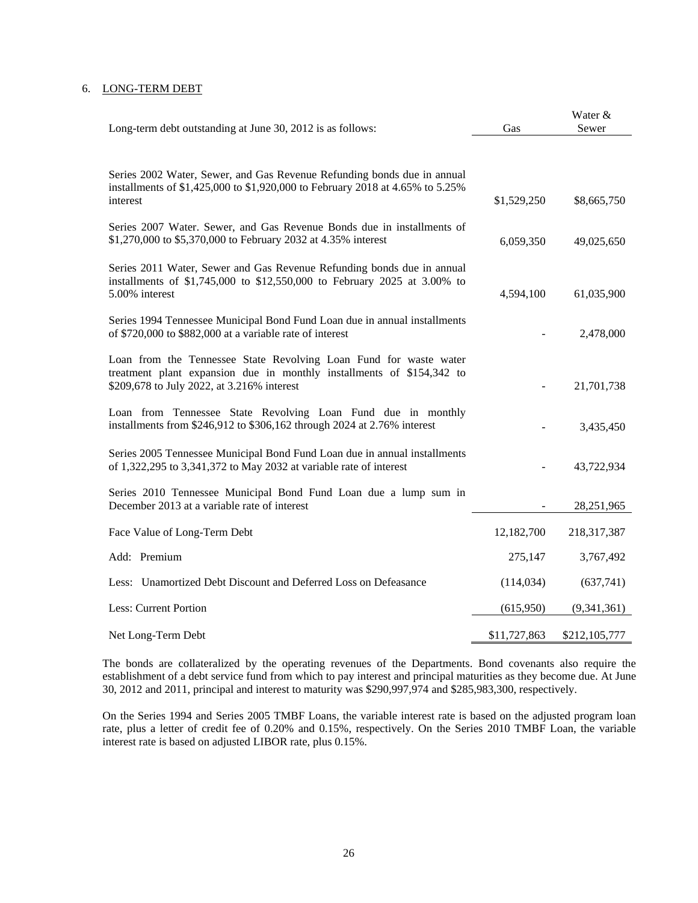### 6. LONG-TERM DEBT

| Long-term debt outstanding at June 30, 2012 is as follows:                                                                                                                               | Gas          | Water &<br>Sewer |
|------------------------------------------------------------------------------------------------------------------------------------------------------------------------------------------|--------------|------------------|
|                                                                                                                                                                                          |              |                  |
| Series 2002 Water, Sewer, and Gas Revenue Refunding bonds due in annual<br>installments of \$1,425,000 to \$1,920,000 to February 2018 at 4.65% to 5.25%                                 |              |                  |
| interest                                                                                                                                                                                 | \$1,529,250  | \$8,665,750      |
| Series 2007 Water. Sewer, and Gas Revenue Bonds due in installments of<br>\$1,270,000 to \$5,370,000 to February 2032 at 4.35% interest                                                  | 6,059,350    | 49,025,650       |
| Series 2011 Water, Sewer and Gas Revenue Refunding bonds due in annual<br>installments of \$1,745,000 to \$12,550,000 to February 2025 at 3.00% to<br>5.00% interest                     | 4,594,100    | 61,035,900       |
| Series 1994 Tennessee Municipal Bond Fund Loan due in annual installments<br>of \$720,000 to \$882,000 at a variable rate of interest                                                    |              | 2,478,000        |
| Loan from the Tennessee State Revolving Loan Fund for waste water<br>treatment plant expansion due in monthly installments of \$154,342 to<br>\$209,678 to July 2022, at 3.216% interest |              | 21,701,738       |
| Loan from Tennessee State Revolving Loan Fund due in monthly<br>installments from \$246,912 to \$306,162 through 2024 at 2.76% interest                                                  |              | 3,435,450        |
| Series 2005 Tennessee Municipal Bond Fund Loan due in annual installments<br>of 1,322,295 to 3,341,372 to May 2032 at variable rate of interest                                          |              | 43,722,934       |
| Series 2010 Tennessee Municipal Bond Fund Loan due a lump sum in<br>December 2013 at a variable rate of interest                                                                         |              | 28, 251, 965     |
| Face Value of Long-Term Debt                                                                                                                                                             | 12,182,700   | 218,317,387      |
| Add: Premium                                                                                                                                                                             | 275,147      | 3,767,492        |
| Less: Unamortized Debt Discount and Deferred Loss on Defeasance                                                                                                                          | (114, 034)   | (637,741)        |
| Less: Current Portion                                                                                                                                                                    | (615,950)    | (9,341,361)      |
| Net Long-Term Debt                                                                                                                                                                       | \$11,727,863 | \$212,105,777    |

The bonds are collateralized by the operating revenues of the Departments. Bond covenants also require the establishment of a debt service fund from which to pay interest and principal maturities as they become due. At June 30, 2012 and 2011, principal and interest to maturity was \$290,997,974 and \$285,983,300, respectively.

On the Series 1994 and Series 2005 TMBF Loans, the variable interest rate is based on the adjusted program loan rate, plus a letter of credit fee of 0.20% and 0.15%, respectively. On the Series 2010 TMBF Loan, the variable interest rate is based on adjusted LIBOR rate, plus 0.15%.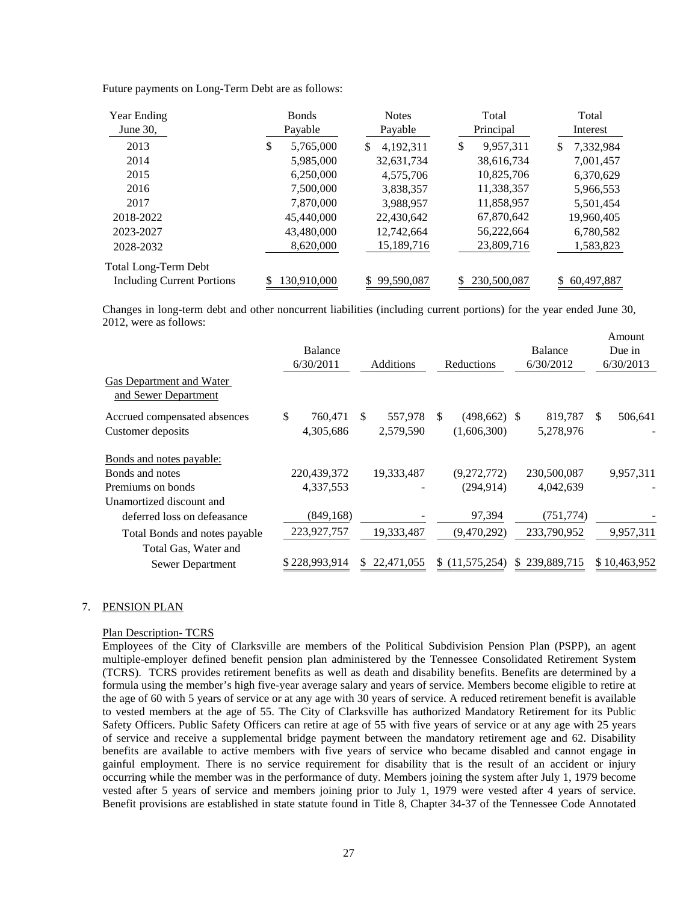Future payments on Long-Term Debt are as follows:

| <b>Year Ending</b>                | <b>B</b> onds   | <b>Notes</b>    |           | Total       |    | Total      |
|-----------------------------------|-----------------|-----------------|-----------|-------------|----|------------|
| June $30$ ,                       | Payable         | Payable         | Principal |             |    | Interest   |
| 2013                              | \$<br>5,765,000 | 4,192,311<br>\$ | S         | 9,957,311   | S  | 7,332,984  |
| 2014                              | 5,985,000       | 32,631,734      |           | 38,616,734  |    | 7,001,457  |
| 2015                              | 6,250,000       | 4,575,706       |           | 10,825,706  |    | 6,370,629  |
| 2016                              | 7,500,000       | 3,838,357       |           | 11,338,357  |    | 5,966,553  |
| 2017                              | 7,870,000       | 3,988,957       |           | 11,858,957  |    | 5,501,454  |
| 2018-2022                         | 45,440,000      | 22,430,642      |           | 67,870,642  |    | 19,960,405 |
| 2023-2027                         | 43,480,000      | 12,742,664      |           | 56,222,664  |    | 6,780,582  |
| 2028-2032                         | 8,620,000       | 15,189,716      |           | 23,809,716  |    | 1,583,823  |
| Total Long-Term Debt              |                 |                 |           |             |    |            |
| <b>Including Current Portions</b> | 130,910,000     | 99,590,087      |           | 230,500,087 | \$ | 60,497,887 |

Changes in long-term debt and other noncurrent liabilities (including current portions) for the year ended June 30, 2012, were as follows:

| Gas Department and Water<br>and Sewer Department | Balance<br>6/30/2011 |    | <b>Additions</b> |    | Reductions      | Balance<br>6/30/2012 |    | Amount<br>Due in<br>6/30/2013 |
|--------------------------------------------------|----------------------|----|------------------|----|-----------------|----------------------|----|-------------------------------|
| Accrued compensated absences                     | \$<br>760,471        | S. | 557,978          | S. | $(498, 662)$ \$ | 819,787              | £. | 506,641                       |
| Customer deposits                                | 4,305,686            |    | 2,579,590        |    | (1,606,300)     | 5,278,976            |    |                               |
| Bonds and notes payable:                         |                      |    |                  |    |                 |                      |    |                               |
| Bonds and notes                                  | 220,439,372          |    | 19,333,487       |    | (9,272,772)     | 230,500,087          |    | 9,957,311                     |
| Premiums on bonds                                | 4,337,553            |    |                  |    | (294, 914)      | 4,042,639            |    |                               |
| Unamortized discount and                         |                      |    |                  |    |                 |                      |    |                               |
| deferred loss on defeasance                      | (849, 168)           |    |                  |    | 97,394          | (751, 774)           |    |                               |
| Total Bonds and notes payable                    | 223,927,757          |    | 19,333,487       |    | (9,470,292)     | 233,790,952          |    | 9,957,311                     |
| Total Gas, Water and                             |                      |    |                  |    |                 |                      |    |                               |
| Sewer Department                                 | \$228,993,914        | S. | 22,471,055       | S. | (11, 575, 254)  | \$239,889,715        |    | \$10,463,952                  |

#### 7. PENSION PLAN

#### Plan Description- TCRS

Employees of the City of Clarksville are members of the Political Subdivision Pension Plan (PSPP), an agent multiple-employer defined benefit pension plan administered by the Tennessee Consolidated Retirement System (TCRS). TCRS provides retirement benefits as well as death and disability benefits. Benefits are determined by a formula using the member's high five-year average salary and years of service. Members become eligible to retire at the age of 60 with 5 years of service or at any age with 30 years of service. A reduced retirement benefit is available to vested members at the age of 55. The City of Clarksville has authorized Mandatory Retirement for its Public Safety Officers. Public Safety Officers can retire at age of 55 with five years of service or at any age with 25 years of service and receive a supplemental bridge payment between the mandatory retirement age and 62. Disability benefits are available to active members with five years of service who became disabled and cannot engage in gainful employment. There is no service requirement for disability that is the result of an accident or injury occurring while the member was in the performance of duty. Members joining the system after July 1, 1979 become vested after 5 years of service and members joining prior to July 1, 1979 were vested after 4 years of service. Benefit provisions are established in state statute found in Title 8, Chapter 34-37 of the Tennessee Code Annotated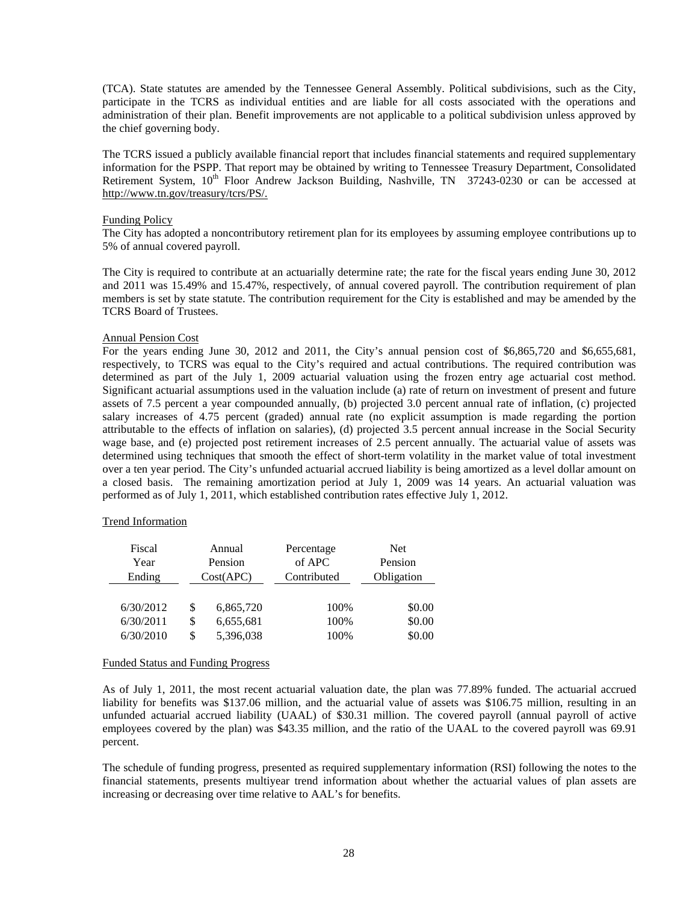(TCA). State statutes are amended by the Tennessee General Assembly. Political subdivisions, such as the City, participate in the TCRS as individual entities and are liable for all costs associated with the operations and administration of their plan. Benefit improvements are not applicable to a political subdivision unless approved by the chief governing body.

The TCRS issued a publicly available financial report that includes financial statements and required supplementary information for the PSPP. That report may be obtained by writing to Tennessee Treasury Department, Consolidated Retirement System, 10<sup>th</sup> Floor Andrew Jackson Building, Nashville, TN 37243-0230 or can be accessed at http://www.tn.gov/treasury/tcrs/PS/.

#### Funding Policy

The City has adopted a noncontributory retirement plan for its employees by assuming employee contributions up to 5% of annual covered payroll.

The City is required to contribute at an actuarially determine rate; the rate for the fiscal years ending June 30, 2012 and 2011 was 15.49% and 15.47%, respectively, of annual covered payroll. The contribution requirement of plan members is set by state statute. The contribution requirement for the City is established and may be amended by the TCRS Board of Trustees.

#### Annual Pension Cost

For the years ending June 30, 2012 and 2011, the City's annual pension cost of \$6,865,720 and \$6,655,681, respectively, to TCRS was equal to the City's required and actual contributions. The required contribution was determined as part of the July 1, 2009 actuarial valuation using the frozen entry age actuarial cost method. Significant actuarial assumptions used in the valuation include (a) rate of return on investment of present and future assets of 7.5 percent a year compounded annually, (b) projected 3.0 percent annual rate of inflation, (c) projected salary increases of 4.75 percent (graded) annual rate (no explicit assumption is made regarding the portion attributable to the effects of inflation on salaries), (d) projected 3.5 percent annual increase in the Social Security wage base, and (e) projected post retirement increases of 2.5 percent annually. The actuarial value of assets was determined using techniques that smooth the effect of short-term volatility in the market value of total investment over a ten year period. The City's unfunded actuarial accrued liability is being amortized as a level dollar amount on a closed basis. The remaining amortization period at July 1, 2009 was 14 years. An actuarial valuation was performed as of July 1, 2011, which established contribution rates effective July 1, 2012.

#### Trend Information

| Fiscal    |           | Annual    | Percentage  | <b>Net</b> |
|-----------|-----------|-----------|-------------|------------|
| Year      |           | Pension   | of APC      | Pension    |
| Ending    | Cost(APC) |           | Contributed | Obligation |
|           |           |           |             |            |
| 6/30/2012 | \$        | 6,865,720 | 100%        | \$0.00     |
| 6/30/2011 | \$        | 6,655,681 | 100%        | \$0.00     |
| 6/30/2010 | S         | 5,396,038 | 100%        | \$0.00     |

#### Funded Status and Funding Progress

As of July 1, 2011, the most recent actuarial valuation date, the plan was 77.89% funded. The actuarial accrued liability for benefits was \$137.06 million, and the actuarial value of assets was \$106.75 million, resulting in an unfunded actuarial accrued liability (UAAL) of \$30.31 million. The covered payroll (annual payroll of active employees covered by the plan) was \$43.35 million, and the ratio of the UAAL to the covered payroll was 69.91 percent.

The schedule of funding progress, presented as required supplementary information (RSI) following the notes to the financial statements, presents multiyear trend information about whether the actuarial values of plan assets are increasing or decreasing over time relative to AAL's for benefits.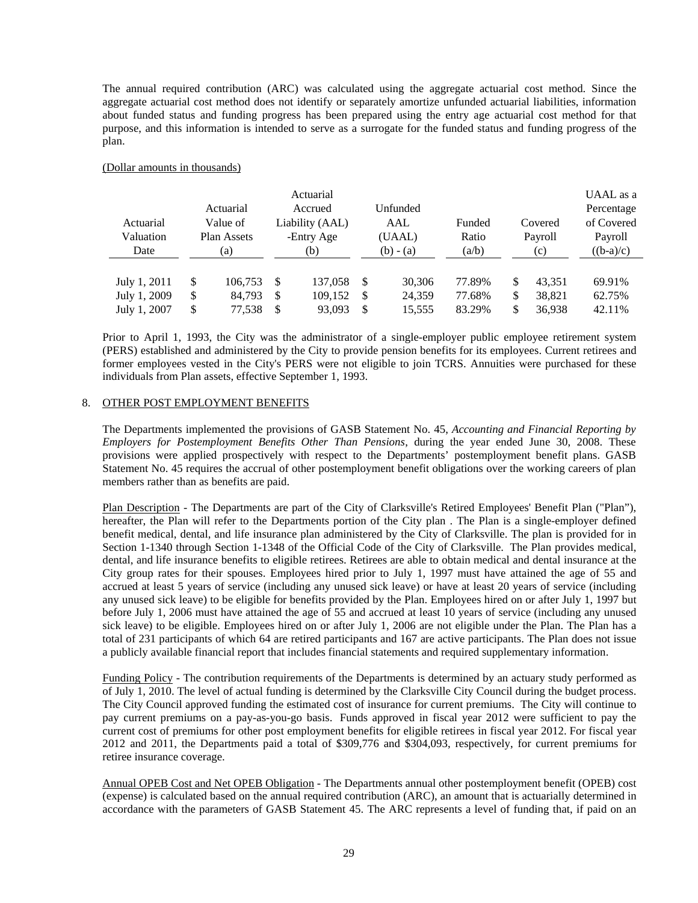The annual required contribution (ARC) was calculated using the aggregate actuarial cost method. Since the aggregate actuarial cost method does not identify or separately amortize unfunded actuarial liabilities, information about funded status and funding progress has been prepared using the entry age actuarial cost method for that purpose, and this information is intended to serve as a surrogate for the funded status and funding progress of the plan.

### (Dollar amounts in thousands)

|              |                           |          |         | Actuarial       |               |             |        | UAAL as a    |             |
|--------------|---------------------------|----------|---------|-----------------|---------------|-------------|--------|--------------|-------------|
|              | Actuarial                 |          | Accrued |                 | Unfunded      |             |        | Percentage   |             |
| Actuarial    |                           | Value of |         | Liability (AAL) |               | AAL         | Funded | Covered      | of Covered  |
| Valuation    | Plan Assets<br>-Entry Age |          |         |                 |               | (UAAL)      | Ratio  | Payroll      | Payroll     |
| Date         |                           | (a)      | (b)     |                 |               | $(b) - (a)$ | (a/b)  | (c)          | $((b-a)/c)$ |
|              |                           |          |         |                 |               |             |        |              |             |
| July 1, 2011 | \$                        | 106.753  | -S      | 137,058         | -S            | 30,306      | 77.89% | \$<br>43.351 | 69.91%      |
| July 1, 2009 | \$                        | 84,793   | -S      | 109,152         | -S            | 24,359      | 77.68% | \$<br>38,821 | 62.75%      |
| July 1, 2007 | \$                        | 77,538   | -S      | 93,093          | <sup>\$</sup> | 15,555      | 83.29% | \$<br>36,938 | 42.11%      |

Prior to April 1, 1993, the City was the administrator of a single-employer public employee retirement system (PERS) established and administered by the City to provide pension benefits for its employees. Current retirees and former employees vested in the City's PERS were not eligible to join TCRS. Annuities were purchased for these individuals from Plan assets, effective September 1, 1993.

#### 8. OTHER POST EMPLOYMENT BENEFITS

The Departments implemented the provisions of GASB Statement No. 45, *Accounting and Financial Reporting by Employers for Postemployment Benefits Other Than Pensions*, during the year ended June 30, 2008. These provisions were applied prospectively with respect to the Departments' postemployment benefit plans. GASB Statement No. 45 requires the accrual of other postemployment benefit obligations over the working careers of plan members rather than as benefits are paid.

Plan Description - The Departments are part of the City of Clarksville's Retired Employees' Benefit Plan ("Plan"), hereafter, the Plan will refer to the Departments portion of the City plan . The Plan is a single-employer defined benefit medical, dental, and life insurance plan administered by the City of Clarksville. The plan is provided for in Section 1-1340 through Section 1-1348 of the Official Code of the City of Clarksville. The Plan provides medical, dental, and life insurance benefits to eligible retirees. Retirees are able to obtain medical and dental insurance at the City group rates for their spouses. Employees hired prior to July 1, 1997 must have attained the age of 55 and accrued at least 5 years of service (including any unused sick leave) or have at least 20 years of service (including any unused sick leave) to be eligible for benefits provided by the Plan. Employees hired on or after July 1, 1997 but before July 1, 2006 must have attained the age of 55 and accrued at least 10 years of service (including any unused sick leave) to be eligible. Employees hired on or after July 1, 2006 are not eligible under the Plan. The Plan has a total of 231 participants of which 64 are retired participants and 167 are active participants. The Plan does not issue a publicly available financial report that includes financial statements and required supplementary information.

Funding Policy - The contribution requirements of the Departments is determined by an actuary study performed as of July 1, 2010. The level of actual funding is determined by the Clarksville City Council during the budget process. The City Council approved funding the estimated cost of insurance for current premiums. The City will continue to pay current premiums on a pay-as-you-go basis. Funds approved in fiscal year 2012 were sufficient to pay the current cost of premiums for other post employment benefits for eligible retirees in fiscal year 2012. For fiscal year 2012 and 2011, the Departments paid a total of \$309,776 and \$304,093, respectively, for current premiums for retiree insurance coverage.

Annual OPEB Cost and Net OPEB Obligation - The Departments annual other postemployment benefit (OPEB) cost (expense) is calculated based on the annual required contribution (ARC), an amount that is actuarially determined in accordance with the parameters of GASB Statement 45. The ARC represents a level of funding that, if paid on an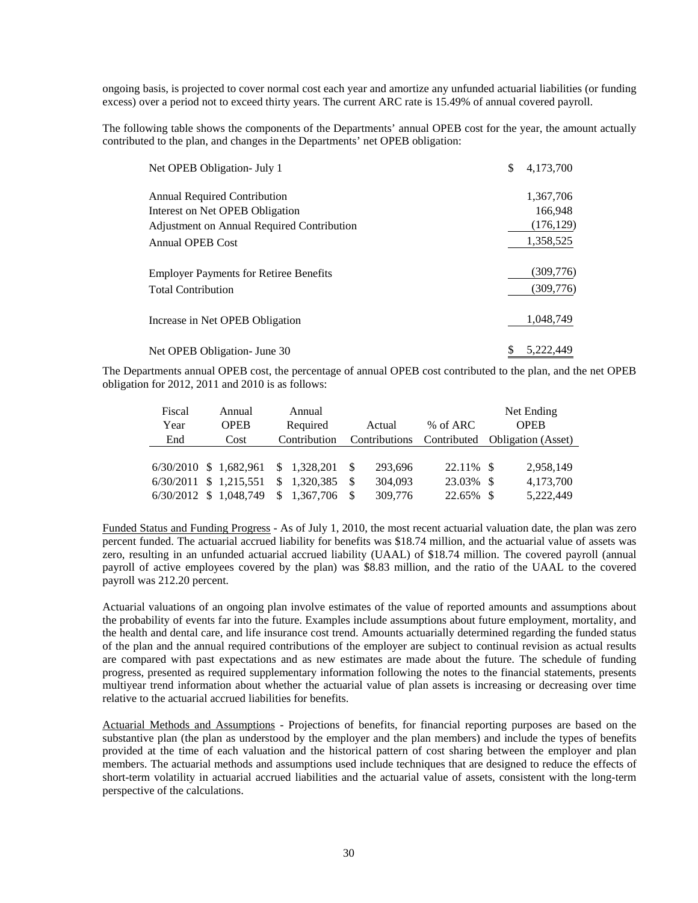ongoing basis, is projected to cover normal cost each year and amortize any unfunded actuarial liabilities (or funding excess) over a period not to exceed thirty years. The current ARC rate is 15.49% of annual covered payroll.

The following table shows the components of the Departments' annual OPEB cost for the year, the amount actually contributed to the plan, and changes in the Departments' net OPEB obligation:

| Net OPEB Obligation- July 1                   | \$<br>4,173,700 |
|-----------------------------------------------|-----------------|
| <b>Annual Required Contribution</b>           | 1,367,706       |
| Interest on Net OPEB Obligation               | 166,948         |
| Adjustment on Annual Required Contribution    | (176, 129)      |
| <b>Annual OPEB Cost</b>                       | 1,358,525       |
| <b>Employer Payments for Retiree Benefits</b> | (309,776)       |
| <b>Total Contribution</b>                     | (309,776)       |
| Increase in Net OPEB Obligation               | 1.048.749       |
| Net OPEB Obligation- June 30                  | 5.222.449       |

The Departments annual OPEB cost, the percentage of annual OPEB cost contributed to the plan, and the net OPEB obligation for 2012, 2011 and 2010 is as follows:

| Fiscal                 | Annual                   |     | Annual       |    |               |             |                           | Net Ending  |
|------------------------|--------------------------|-----|--------------|----|---------------|-------------|---------------------------|-------------|
| Year                   | <b>OPEB</b>              |     | Required     |    | Actual        | % of ARC    |                           | <b>OPER</b> |
| End                    | Cost                     |     | Contribution |    | Contributions | Contributed | <b>Obligation</b> (Asset) |             |
|                        |                          |     |              |    |               |             |                           |             |
|                        | $6/30/2010$ \$ 1,682,961 |     | \$1,328,201  |    | 293,696       | 22.11% \$   |                           | 2,958,149   |
| 6/30/2011 \$ 1,215,551 |                          | \$. | 1.320.385    | -S | 304,093       | 23.03%      | - \$                      | 4,173,700   |
|                        | 6/30/2012 \$ 1,048,749   |     | \$1,367,706  |    | 309,776       | 22.65%      | -8                        | 5,222,449   |

Funded Status and Funding Progress - As of July 1, 2010, the most recent actuarial valuation date, the plan was zero percent funded. The actuarial accrued liability for benefits was \$18.74 million, and the actuarial value of assets was zero, resulting in an unfunded actuarial accrued liability (UAAL) of \$18.74 million. The covered payroll (annual payroll of active employees covered by the plan) was \$8.83 million, and the ratio of the UAAL to the covered payroll was 212.20 percent.

Actuarial valuations of an ongoing plan involve estimates of the value of reported amounts and assumptions about the probability of events far into the future. Examples include assumptions about future employment, mortality, and the health and dental care, and life insurance cost trend. Amounts actuarially determined regarding the funded status of the plan and the annual required contributions of the employer are subject to continual revision as actual results are compared with past expectations and as new estimates are made about the future. The schedule of funding progress, presented as required supplementary information following the notes to the financial statements, presents multiyear trend information about whether the actuarial value of plan assets is increasing or decreasing over time relative to the actuarial accrued liabilities for benefits.

Actuarial Methods and Assumptions - Projections of benefits, for financial reporting purposes are based on the substantive plan (the plan as understood by the employer and the plan members) and include the types of benefits provided at the time of each valuation and the historical pattern of cost sharing between the employer and plan members. The actuarial methods and assumptions used include techniques that are designed to reduce the effects of short-term volatility in actuarial accrued liabilities and the actuarial value of assets, consistent with the long-term perspective of the calculations.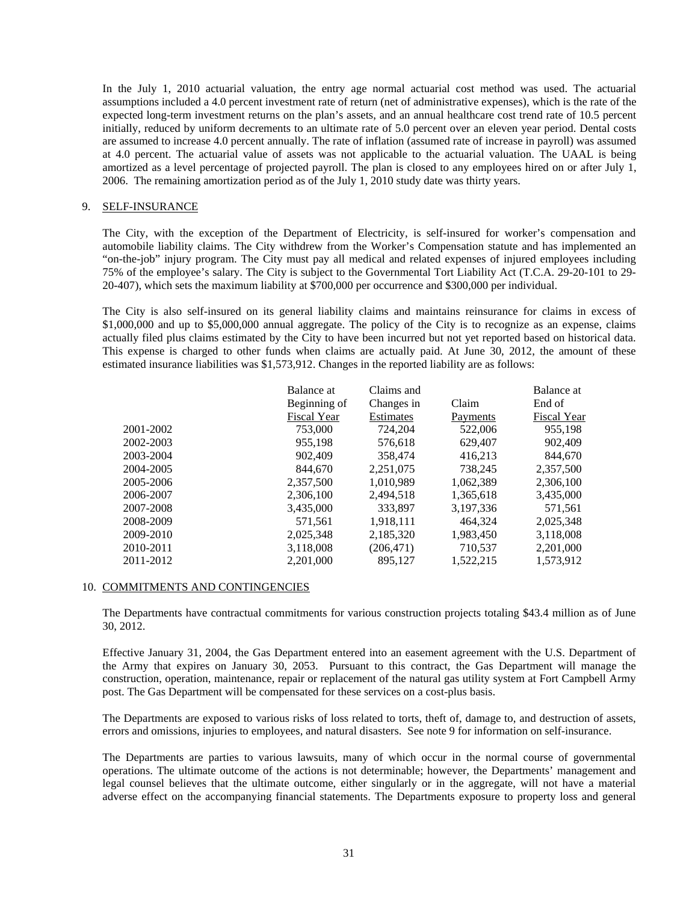In the July 1, 2010 actuarial valuation, the entry age normal actuarial cost method was used. The actuarial assumptions included a 4.0 percent investment rate of return (net of administrative expenses), which is the rate of the expected long-term investment returns on the plan's assets, and an annual healthcare cost trend rate of 10.5 percent initially, reduced by uniform decrements to an ultimate rate of 5.0 percent over an eleven year period. Dental costs are assumed to increase 4.0 percent annually. The rate of inflation (assumed rate of increase in payroll) was assumed at 4.0 percent. The actuarial value of assets was not applicable to the actuarial valuation. The UAAL is being amortized as a level percentage of projected payroll. The plan is closed to any employees hired on or after July 1, 2006. The remaining amortization period as of the July 1, 2010 study date was thirty years.

### 9. SELF-INSURANCE

The City, with the exception of the Department of Electricity, is self-insured for worker's compensation and automobile liability claims. The City withdrew from the Worker's Compensation statute and has implemented an "on-the-job" injury program. The City must pay all medical and related expenses of injured employees including 75% of the employee's salary. The City is subject to the Governmental Tort Liability Act (T.C.A. 29-20-101 to 29- 20-407), which sets the maximum liability at \$700,000 per occurrence and \$300,000 per individual.

The City is also self-insured on its general liability claims and maintains reinsurance for claims in excess of \$1,000,000 and up to \$5,000,000 annual aggregate. The policy of the City is to recognize as an expense, claims actually filed plus claims estimated by the City to have been incurred but not yet reported based on historical data. This expense is charged to other funds when claims are actually paid. At June 30, 2012, the amount of these estimated insurance liabilities was \$1,573,912. Changes in the reported liability are as follows:

|           | Balance at   | Claims and |           | Balance at         |
|-----------|--------------|------------|-----------|--------------------|
|           | Beginning of | Changes in | Claim     | End of             |
|           | Fiscal Year  | Estimates  | Payments  | <b>Fiscal Year</b> |
| 2001-2002 | 753,000      | 724,204    | 522,006   | 955,198            |
| 2002-2003 | 955,198      | 576,618    | 629,407   | 902,409            |
| 2003-2004 | 902,409      | 358,474    | 416,213   | 844,670            |
| 2004-2005 | 844,670      | 2,251,075  | 738.245   | 2,357,500          |
| 2005-2006 | 2,357,500    | 1,010,989  | 1,062,389 | 2,306,100          |
| 2006-2007 | 2,306,100    | 2,494,518  | 1,365,618 | 3,435,000          |
| 2007-2008 | 3,435,000    | 333.897    | 3.197.336 | 571,561            |
| 2008-2009 | 571,561      | 1,918,111  | 464.324   | 2,025,348          |
| 2009-2010 | 2,025,348    | 2,185,320  | 1,983,450 | 3,118,008          |
| 2010-2011 | 3,118,008    | (206, 471) | 710,537   | 2,201,000          |
| 2011-2012 | 2,201,000    | 895,127    | 1,522,215 | 1,573,912          |

#### 10. COMMITMENTS AND CONTINGENCIES

The Departments have contractual commitments for various construction projects totaling \$43.4 million as of June 30, 2012.

Effective January 31, 2004, the Gas Department entered into an easement agreement with the U.S. Department of the Army that expires on January 30, 2053. Pursuant to this contract, the Gas Department will manage the construction, operation, maintenance, repair or replacement of the natural gas utility system at Fort Campbell Army post. The Gas Department will be compensated for these services on a cost-plus basis.

The Departments are exposed to various risks of loss related to torts, theft of, damage to, and destruction of assets, errors and omissions, injuries to employees, and natural disasters. See note 9 for information on self-insurance.

The Departments are parties to various lawsuits, many of which occur in the normal course of governmental operations. The ultimate outcome of the actions is not determinable; however, the Departments' management and legal counsel believes that the ultimate outcome, either singularly or in the aggregate, will not have a material adverse effect on the accompanying financial statements. The Departments exposure to property loss and general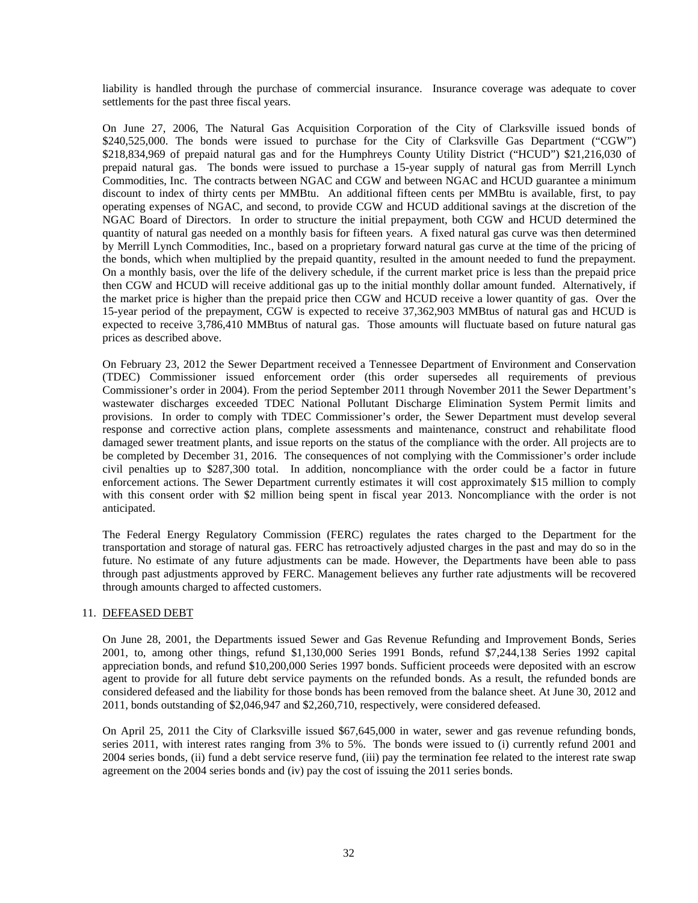liability is handled through the purchase of commercial insurance. Insurance coverage was adequate to cover settlements for the past three fiscal years.

On June 27, 2006, The Natural Gas Acquisition Corporation of the City of Clarksville issued bonds of \$240,525,000. The bonds were issued to purchase for the City of Clarksville Gas Department ("CGW") \$218,834,969 of prepaid natural gas and for the Humphreys County Utility District ("HCUD") \$21,216,030 of prepaid natural gas. The bonds were issued to purchase a 15-year supply of natural gas from Merrill Lynch Commodities, Inc. The contracts between NGAC and CGW and between NGAC and HCUD guarantee a minimum discount to index of thirty cents per MMBtu. An additional fifteen cents per MMBtu is available, first, to pay operating expenses of NGAC, and second, to provide CGW and HCUD additional savings at the discretion of the NGAC Board of Directors. In order to structure the initial prepayment, both CGW and HCUD determined the quantity of natural gas needed on a monthly basis for fifteen years. A fixed natural gas curve was then determined by Merrill Lynch Commodities, Inc., based on a proprietary forward natural gas curve at the time of the pricing of the bonds, which when multiplied by the prepaid quantity, resulted in the amount needed to fund the prepayment. On a monthly basis, over the life of the delivery schedule, if the current market price is less than the prepaid price then CGW and HCUD will receive additional gas up to the initial monthly dollar amount funded. Alternatively, if the market price is higher than the prepaid price then CGW and HCUD receive a lower quantity of gas. Over the 15-year period of the prepayment, CGW is expected to receive 37,362,903 MMBtus of natural gas and HCUD is expected to receive 3,786,410 MMBtus of natural gas. Those amounts will fluctuate based on future natural gas prices as described above.

On February 23, 2012 the Sewer Department received a Tennessee Department of Environment and Conservation (TDEC) Commissioner issued enforcement order (this order supersedes all requirements of previous Commissioner's order in 2004). From the period September 2011 through November 2011 the Sewer Department's wastewater discharges exceeded TDEC National Pollutant Discharge Elimination System Permit limits and provisions. In order to comply with TDEC Commissioner's order, the Sewer Department must develop several response and corrective action plans, complete assessments and maintenance, construct and rehabilitate flood damaged sewer treatment plants, and issue reports on the status of the compliance with the order. All projects are to be completed by December 31, 2016. The consequences of not complying with the Commissioner's order include civil penalties up to \$287,300 total. In addition, noncompliance with the order could be a factor in future enforcement actions. The Sewer Department currently estimates it will cost approximately \$15 million to comply with this consent order with \$2 million being spent in fiscal year 2013. Noncompliance with the order is not anticipated.

The Federal Energy Regulatory Commission (FERC) regulates the rates charged to the Department for the transportation and storage of natural gas. FERC has retroactively adjusted charges in the past and may do so in the future. No estimate of any future adjustments can be made. However, the Departments have been able to pass through past adjustments approved by FERC. Management believes any further rate adjustments will be recovered through amounts charged to affected customers.

## 11. DEFEASED DEBT

On June 28, 2001, the Departments issued Sewer and Gas Revenue Refunding and Improvement Bonds, Series 2001, to, among other things, refund \$1,130,000 Series 1991 Bonds, refund \$7,244,138 Series 1992 capital appreciation bonds, and refund \$10,200,000 Series 1997 bonds. Sufficient proceeds were deposited with an escrow agent to provide for all future debt service payments on the refunded bonds. As a result, the refunded bonds are considered defeased and the liability for those bonds has been removed from the balance sheet. At June 30, 2012 and 2011, bonds outstanding of \$2,046,947 and \$2,260,710, respectively, were considered defeased.

On April 25, 2011 the City of Clarksville issued \$67,645,000 in water, sewer and gas revenue refunding bonds, series 2011, with interest rates ranging from 3% to 5%. The bonds were issued to (i) currently refund 2001 and 2004 series bonds, (ii) fund a debt service reserve fund, (iii) pay the termination fee related to the interest rate swap agreement on the 2004 series bonds and (iv) pay the cost of issuing the 2011 series bonds.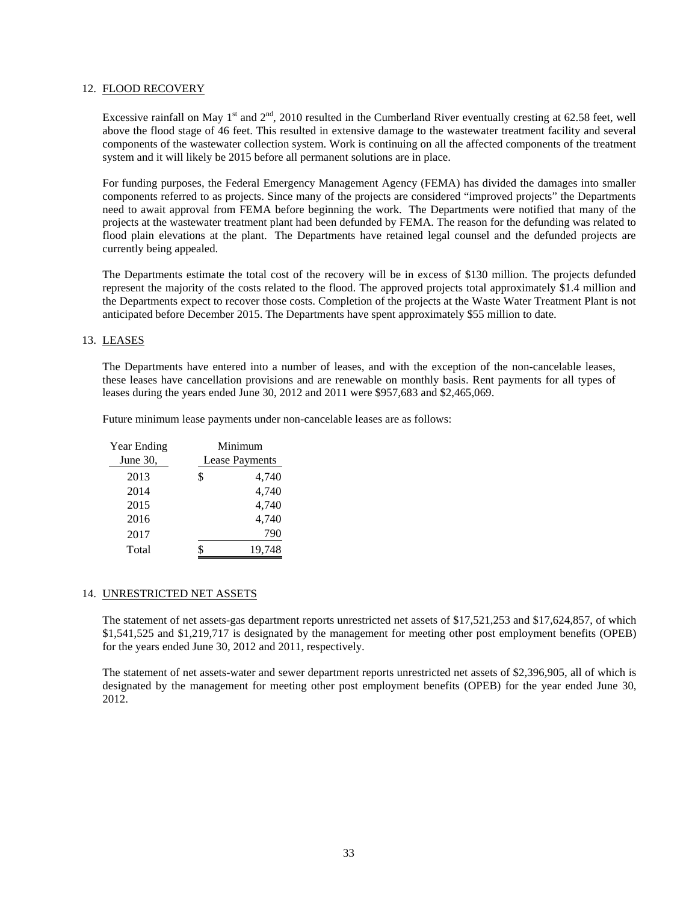#### 12. FLOOD RECOVERY

Excessive rainfall on May 1<sup>st</sup> and  $2<sup>nd</sup>$ , 2010 resulted in the Cumberland River eventually cresting at 62.58 feet, well above the flood stage of 46 feet. This resulted in extensive damage to the wastewater treatment facility and several components of the wastewater collection system. Work is continuing on all the affected components of the treatment system and it will likely be 2015 before all permanent solutions are in place.

For funding purposes, the Federal Emergency Management Agency (FEMA) has divided the damages into smaller components referred to as projects. Since many of the projects are considered "improved projects" the Departments need to await approval from FEMA before beginning the work. The Departments were notified that many of the projects at the wastewater treatment plant had been defunded by FEMA. The reason for the defunding was related to flood plain elevations at the plant. The Departments have retained legal counsel and the defunded projects are currently being appealed.

The Departments estimate the total cost of the recovery will be in excess of \$130 million. The projects defunded represent the majority of the costs related to the flood. The approved projects total approximately \$1.4 million and the Departments expect to recover those costs. Completion of the projects at the Waste Water Treatment Plant is not anticipated before December 2015. The Departments have spent approximately \$55 million to date.

#### 13. LEASES

The Departments have entered into a number of leases, and with the exception of the non-cancelable leases, these leases have cancellation provisions and are renewable on monthly basis. Rent payments for all types of leases during the years ended June 30, 2012 and 2011 were \$957,683 and \$2,465,069.

Future minimum lease payments under non-cancelable leases are as follows:

| Year Ending |                | Minimum |  |  |  |  |  |
|-------------|----------------|---------|--|--|--|--|--|
| June 30,    | Lease Payments |         |  |  |  |  |  |
| 2013        | \$             | 4,740   |  |  |  |  |  |
| 2014        |                | 4,740   |  |  |  |  |  |
| 2015        |                | 4,740   |  |  |  |  |  |
| 2016        |                | 4,740   |  |  |  |  |  |
| 2017        |                | 790     |  |  |  |  |  |
| Total       | S              | 19,748  |  |  |  |  |  |

#### 14. UNRESTRICTED NET ASSETS

The statement of net assets-gas department reports unrestricted net assets of \$17,521,253 and \$17,624,857, of which \$1,541,525 and \$1,219,717 is designated by the management for meeting other post employment benefits (OPEB) for the years ended June 30, 2012 and 2011, respectively.

The statement of net assets-water and sewer department reports unrestricted net assets of \$2,396,905, all of which is designated by the management for meeting other post employment benefits (OPEB) for the year ended June 30, 2012.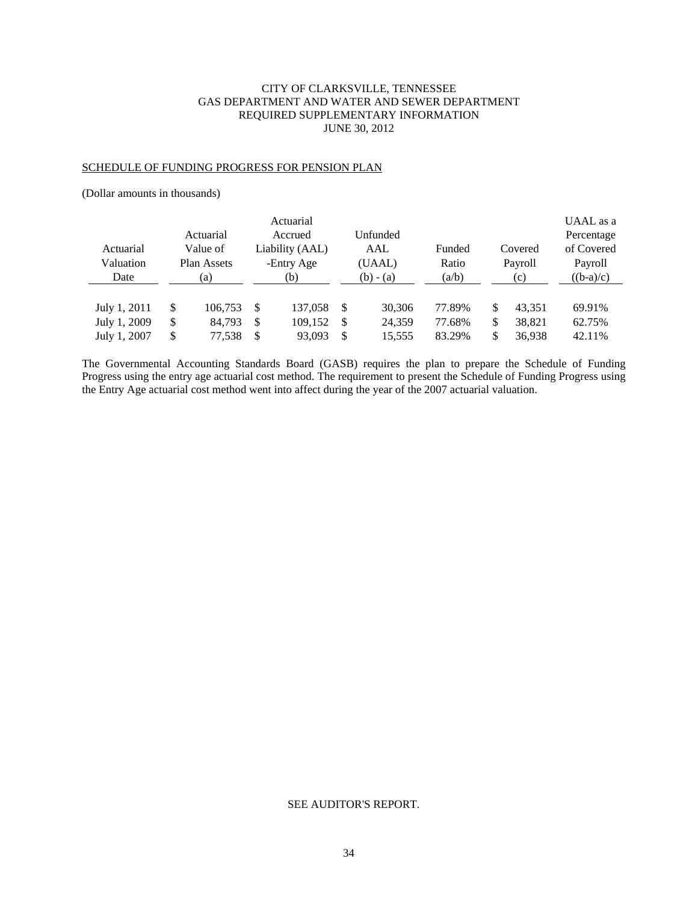# CITY OF CLARKSVILLE, TENNESSEE GAS DEPARTMENT AND WATER AND SEWER DEPARTMENT REQUIRED SUPPLEMENTARY INFORMATION JUNE 30, 2012

#### SCHEDULE OF FUNDING PROGRESS FOR PENSION PLAN

(Dollar amounts in thousands)

| Actuarial<br>Valuation<br>Date | Actuarial<br>Value of<br>Plan Assets<br>(a) |         | Actuarial<br>Accrued<br>Liability (AAL)<br>-Entry Age<br>(b) |         |    | Unfunded<br>AAL<br>(UAAL)<br>$(b) - (a)$ | Funded<br>Ratio<br>(a/b) | Covered<br>Payroll<br>(c) | UAAL as a<br>Percentage<br>of Covered<br>Payroll<br>$((b-a)/c)$ |  |
|--------------------------------|---------------------------------------------|---------|--------------------------------------------------------------|---------|----|------------------------------------------|--------------------------|---------------------------|-----------------------------------------------------------------|--|
| July 1, 2011                   | \$                                          | 106.753 | <sup>\$</sup>                                                | 137,058 | \$ | 30,306                                   | 77.89%                   | \$<br>43,351              | 69.91%                                                          |  |
| July 1, 2009                   | \$                                          | 84.793  | \$                                                           | 109,152 | -S | 24,359                                   | 77.68%                   | \$<br>38,821              | 62.75%                                                          |  |
| July 1, 2007                   | \$                                          | 77,538  | <sup>\$</sup>                                                | 93.093  | \$ | 15,555                                   | 83.29%                   | \$<br>36.938              | 42.11%                                                          |  |

The Governmental Accounting Standards Board (GASB) requires the plan to prepare the Schedule of Funding Progress using the entry age actuarial cost method. The requirement to present the Schedule of Funding Progress using the Entry Age actuarial cost method went into affect during the year of the 2007 actuarial valuation.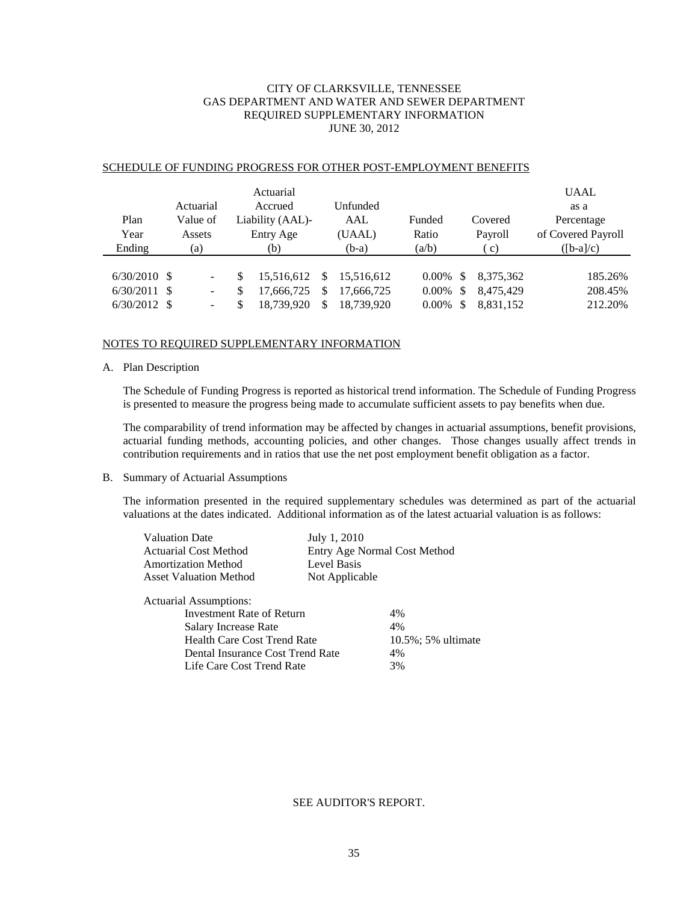# CITY OF CLARKSVILLE, TENNESSEE GAS DEPARTMENT AND WATER AND SEWER DEPARTMENT REQUIRED SUPPLEMENTARY INFORMATION JUNE 30, 2012

| Plan<br>Year<br>Ending                        | Actuarial<br>Value of<br>Assets<br>(a) | Actuarial<br>Accrued<br>Liability (AAL)-<br>Entry Age<br>(b) | Unfunded<br>AAL<br>(UAAL)<br>$(b-a)$             | Funded<br>Ratio<br>(a/b)      | Covered<br>Payroll<br>c)                             | <b>UAAL</b><br>as a<br>Percentage<br>of Covered Payroll<br>$([b-a]/c)$ |
|-----------------------------------------------|----------------------------------------|--------------------------------------------------------------|--------------------------------------------------|-------------------------------|------------------------------------------------------|------------------------------------------------------------------------|
| $6/30/2010$ \$<br>6/30/2011<br>$6/30/2012$ \$ | -<br>- \$<br>-<br>$\overline{a}$       | 15,516,612<br>S<br>\$<br>17,666,725<br>18.739.920            | 15.516.612<br>S<br>17.666.725<br>18.739.920<br>S | 0.00%<br>$0.00\%$<br>$0.00\%$ | 8,375,362<br>\$<br>8,475,429<br>\$<br>8,831,152<br>S | 185.26%<br>208.45%<br>212.20%                                          |

#### SCHEDULE OF FUNDING PROGRESS FOR OTHER POST-EMPLOYMENT BENEFITS

#### NOTES TO REQUIRED SUPPLEMENTARY INFORMATION

#### A. Plan Description

The Schedule of Funding Progress is reported as historical trend information. The Schedule of Funding Progress is presented to measure the progress being made to accumulate sufficient assets to pay benefits when due.

The comparability of trend information may be affected by changes in actuarial assumptions, benefit provisions, actuarial funding methods, accounting policies, and other changes. Those changes usually affect trends in contribution requirements and in ratios that use the net post employment benefit obligation as a factor.

#### B. Summary of Actuarial Assumptions

The information presented in the required supplementary schedules was determined as part of the actuarial valuations at the dates indicated. Additional information as of the latest actuarial valuation is as follows:

| <b>Valuation Date</b>         | July 1, 2010                 |
|-------------------------------|------------------------------|
| <b>Actuarial Cost Method</b>  | Entry Age Normal Cost Method |
| <b>Amortization Method</b>    | Level Basis                  |
| <b>Asset Valuation Method</b> | Not Applicable               |
| <b>Actuarial Assumptions:</b> |                              |

| 4%                     |
|------------------------|
| 4%                     |
| $10.5\%$ ; 5% ultimate |
| 4%                     |
| 3%                     |
|                        |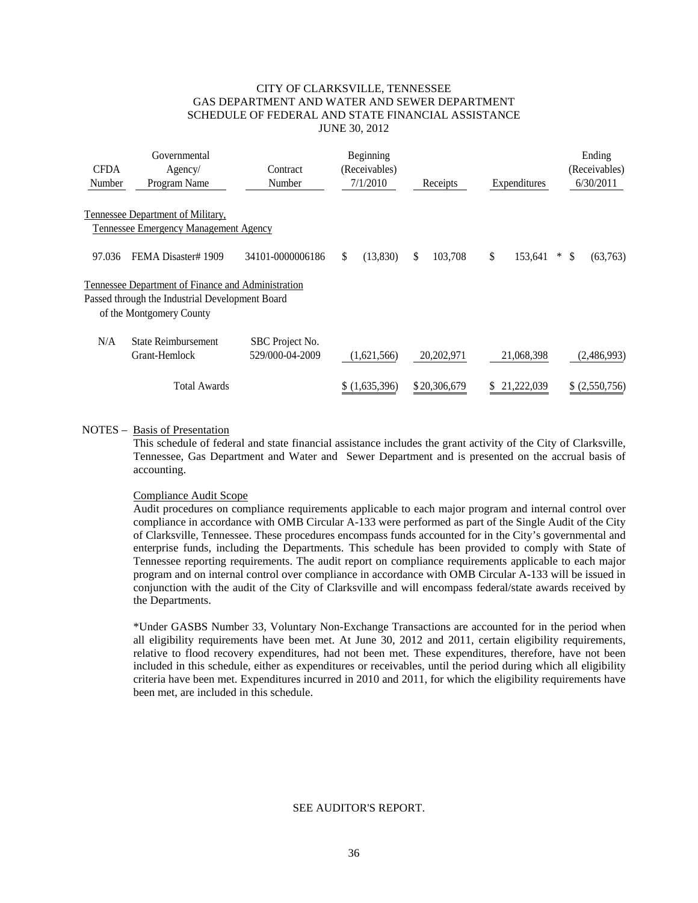### CITY OF CLARKSVILLE, TENNESSEE GAS DEPARTMENT AND WATER AND SEWER DEPARTMENT SCHEDULE OF FEDERAL AND STATE FINANCIAL ASSISTANCE JUNE 30, 2012

| <b>CFDA</b><br>Number | Governmental<br>Agency/<br>Program Name            | Contract<br>Number                 | Beginning<br>(Receivables)<br>7/1/2010 | Receipts     | Expenditures  | Ending<br>(Receivables)<br>6/30/2011 |
|-----------------------|----------------------------------------------------|------------------------------------|----------------------------------------|--------------|---------------|--------------------------------------|
|                       | Tennessee Department of Military,                  |                                    |                                        |              |               |                                      |
|                       | <b>Tennessee Emergency Management Agency</b>       |                                    |                                        |              |               |                                      |
| 97.036                | FEMA Disaster#1909                                 | 34101-0000006186                   | \$<br>(13,830)                         | 103,708<br>S | \$<br>153.641 | (63,763)<br>$\ast$<br><sup>\$</sup>  |
|                       | Tennessee Department of Finance and Administration |                                    |                                        |              |               |                                      |
|                       | Passed through the Industrial Development Board    |                                    |                                        |              |               |                                      |
|                       | of the Montgomery County                           |                                    |                                        |              |               |                                      |
| N/A                   | State Reimbursement<br>Grant-Hemlock               | SBC Project No.<br>529/000-04-2009 | (1,621,566)                            | 20,202,971   | 21,068,398    | (2,486,993)                          |
|                       |                                                    |                                    |                                        |              |               |                                      |
|                       | <b>Total Awards</b>                                |                                    | \$(1,635,396)                          | \$20,306,679 | 21,222,039    | (2,550,756)                          |

#### NOTES – Basis of Presentation

This schedule of federal and state financial assistance includes the grant activity of the City of Clarksville, Tennessee, Gas Department and Water and Sewer Department and is presented on the accrual basis of accounting.

### Compliance Audit Scope

Audit procedures on compliance requirements applicable to each major program and internal control over compliance in accordance with OMB Circular A-133 were performed as part of the Single Audit of the City of Clarksville, Tennessee. These procedures encompass funds accounted for in the City's governmental and enterprise funds, including the Departments. This schedule has been provided to comply with State of Tennessee reporting requirements. The audit report on compliance requirements applicable to each major program and on internal control over compliance in accordance with OMB Circular A-133 will be issued in conjunction with the audit of the City of Clarksville and will encompass federal/state awards received by the Departments.

\*Under GASBS Number 33, Voluntary Non-Exchange Transactions are accounted for in the period when all eligibility requirements have been met. At June 30, 2012 and 2011, certain eligibility requirements, relative to flood recovery expenditures, had not been met. These expenditures, therefore, have not been included in this schedule, either as expenditures or receivables, until the period during which all eligibility criteria have been met. Expenditures incurred in 2010 and 2011, for which the eligibility requirements have been met, are included in this schedule.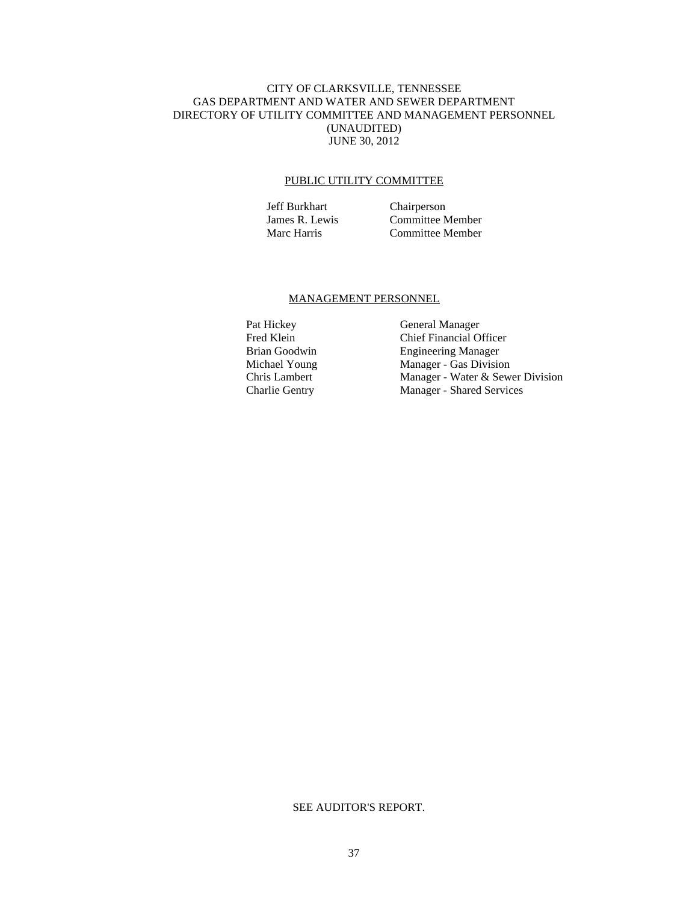### CITY OF CLARKSVILLE, TENNESSEE GAS DEPARTMENT AND WATER AND SEWER DEPARTMENT DIRECTORY OF UTILITY COMMITTEE AND MANAGEMENT PERSONNEL (UNAUDITED) JUNE 30, 2012

#### PUBLIC UTILITY COMMITTEE

Jeff Burkhart Chairperson James R. Lewis Committee Member<br>Marc Harris Committee Member Committee Member

#### MANAGEMENT PERSONNEL

Pat Hickey General Manager Fred Klein Chief Financial Officer<br>Brian Goodwin Engineering Manager Brian Goodwin Engineering Manager<br>Michael Young Manager - Gas Division Manager - Gas Division Chris Lambert Manager - Water & Sewer Division<br>
Charlie Gentry Manager - Shared Services Manager - Shared Services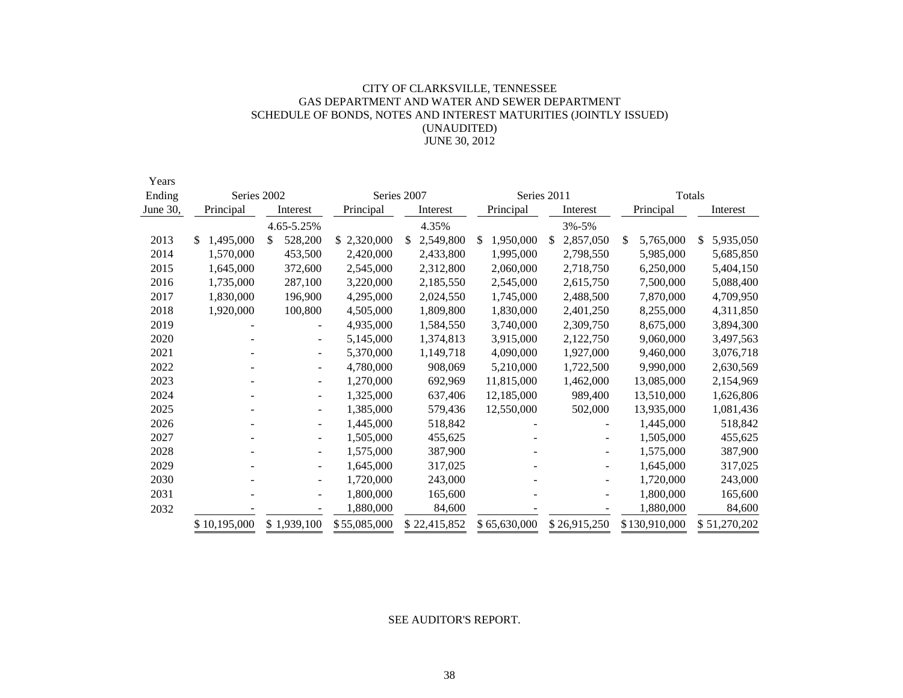# CITY OF CLARKSVILLE, TENNESSEE GAS DEPARTMENT AND WATER AND SEWER DEPARTMENT SCHEDULE OF BONDS, NOTES AND INTEREST MATURITIES (JOINTLY ISSUED) (UNAUDITED) JUNE 30, 2012

| Years    |                 |                          |              |                 |                 |             |              |                         |                 |  |  |  |
|----------|-----------------|--------------------------|--------------|-----------------|-----------------|-------------|--------------|-------------------------|-----------------|--|--|--|
| Ending   | Series 2002     |                          |              | Series 2007     |                 | Series 2011 |              | Totals                  |                 |  |  |  |
| June 30, | Principal       | Interest                 | Principal    | Interest        | Principal       |             | Interest     | Principal               | Interest        |  |  |  |
|          |                 | 4.65-5.25%               |              | 4.35%           |                 |             | 3%-5%        |                         |                 |  |  |  |
| 2013     | 1,495,000<br>S. | 528,200<br>\$            | \$2,320,000  | 2,549,800<br>\$ | 1,950,000<br>S. | \$          | 2,857,050    | \$<br>5,765,000         | 5,935,050<br>\$ |  |  |  |
| 2014     | 1,570,000       | 453,500                  | 2,420,000    | 2,433,800       | 1,995,000       |             | 2,798,550    | 5,985,000               | 5,685,850       |  |  |  |
| 2015     | 1,645,000       | 372,600                  | 2,545,000    | 2,312,800       | 2,060,000       |             | 2,718,750    | 6,250,000               | 5,404,150       |  |  |  |
| 2016     | 1,735,000       | 287,100                  | 3,220,000    | 2,185,550       | 2,545,000       |             | 2,615,750    | 7,500,000               | 5,088,400       |  |  |  |
| 2017     | 1,830,000       | 196,900                  | 4,295,000    | 2,024,550       | 1,745,000       |             | 2,488,500    | 7,870,000               | 4,709,950       |  |  |  |
| 2018     | 1,920,000       | 100,800                  | 4,505,000    | 1,809,800       | 1,830,000       |             | 2,401,250    | 8,255,000               | 4,311,850       |  |  |  |
| 2019     |                 |                          | 4,935,000    | 1,584,550       | 3,740,000       |             | 2,309,750    | 8,675,000               | 3,894,300       |  |  |  |
| 2020     |                 | $\overline{\phantom{0}}$ | 5,145,000    | 1,374,813       | 3,915,000       |             | 2,122,750    | 9,060,000               | 3,497,563       |  |  |  |
| 2021     |                 | $\overline{\phantom{a}}$ | 5,370,000    | 1,149,718       | 4,090,000       |             | 1,927,000    | 9,460,000               | 3,076,718       |  |  |  |
| 2022     |                 | $\overline{\phantom{a}}$ | 4,780,000    | 908,069         | 5,210,000       |             | 1,722,500    | 9,990,000<br>13,085,000 | 2,630,569       |  |  |  |
| 2023     |                 | $\blacksquare$           | 1,270,000    | 692,969         | 11,815,000      |             | 1,462,000    |                         | 2,154,969       |  |  |  |
| 2024     |                 | $\overline{\phantom{a}}$ | 1,325,000    | 637,406         | 12,185,000      |             | 989,400      | 13,510,000              | 1,626,806       |  |  |  |
| 2025     |                 | $\overline{\phantom{a}}$ | 1,385,000    | 579,436         | 12,550,000      |             | 502,000      | 13,935,000              | 1,081,436       |  |  |  |
| 2026     |                 | $\overline{\phantom{a}}$ | 1,445,000    | 518,842         |                 |             |              | 1,445,000               | 518,842         |  |  |  |
| 2027     |                 | $\overline{\phantom{a}}$ | 1,505,000    | 455,625         |                 |             |              | 1,505,000               | 455,625         |  |  |  |
| 2028     |                 | $\blacksquare$           | 1,575,000    | 387,900         |                 |             |              | 1,575,000               | 387,900         |  |  |  |
| 2029     |                 | $\overline{\phantom{a}}$ | 1,645,000    | 317,025         |                 |             |              | 1,645,000               | 317,025         |  |  |  |
| 2030     |                 |                          | 1,720,000    | 243,000         |                 |             |              | 1,720,000               | 243,000         |  |  |  |
| 2031     |                 |                          | 1,800,000    | 165,600         |                 |             |              | 1,800,000               | 165,600         |  |  |  |
| 2032     |                 |                          | 1,880,000    |                 | 84,600          |             |              | 1,880,000               | 84,600          |  |  |  |
|          | \$10,195,000    | \$1,939,100              | \$55,085,000 | \$22,415,852    | \$65,630,000    |             | \$26,915,250 | \$130,910,000           | \$51,270,202    |  |  |  |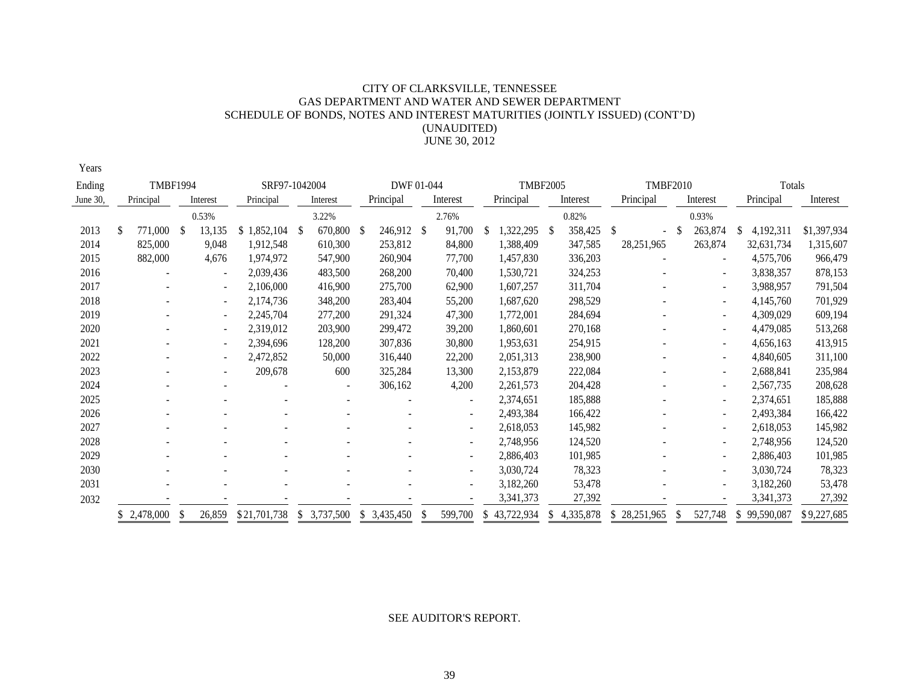# CITY OF CLARKSVILLE, TENNESSEE GAS DEPARTMENT AND WATER AND SEWER DEPARTMENT SCHEDULE OF BONDS, NOTES AND INTEREST MATURITIES (JOINTLY ISSUED) (CONT'D) (UNAUDITED) JUNE 30, 2012

Years

| Ending   |             | <b>TMBF1994</b> |      |                          | SRF97-1042004 |              |            | DWF 01-044  |                          |     | <b>TMBF2005</b> |    |           |                 | <b>TMBF2010</b> |                          |                  | Totals      |  |
|----------|-------------|-----------------|------|--------------------------|---------------|--------------|------------|-------------|--------------------------|-----|-----------------|----|-----------|-----------------|-----------------|--------------------------|------------------|-------------|--|
| June 30, | Principal   |                 |      | Interest                 | Principal     |              | Interest   | Principal   | Interest                 |     | Principal       |    | Interest  | Principal       |                 | Interest                 | Principal        | Interest    |  |
|          |             |                 |      | 0.53%                    |               |              | 3.22%      |             | 2.76%                    |     |                 |    | 0.82%     |                 |                 | 0.93%                    |                  |             |  |
| 2013     | £.          | 771,000         | - \$ | 13,135                   | \$1,852,104   | <sup>S</sup> | 670,800 \$ | 246,912 \$  | 91,700                   |     | 322,295         | -S | 358,425   | S               | <sup>\$</sup>   | 263,874                  | 4,192,311<br>S.  | \$1,397,934 |  |
| 2014     |             | 825,000         |      | 9,048                    | 1,912,548     |              | 610,300    | 253,812     | 84,800                   |     | 1,388,409       |    | 347,585   | 28, 251, 965    |                 | 263,874                  | 32,631,734       | 1,315,607   |  |
| 2015     |             | 882,000         |      | 4,676                    | 1,974,972     |              | 547,900    | 260,904     | 77,700                   |     | 1,457,830       |    | 336,203   |                 |                 |                          | 4,575,706        | 966,479     |  |
| 2016     |             |                 |      |                          | 2,039,436     |              | 483,500    | 268,200     | 70,400                   |     | 1,530,721       |    | 324,253   |                 |                 |                          | 3,838,357        | 878,153     |  |
| 2017     |             |                 |      |                          | 2,106,000     |              | 416,900    | 275,700     | 62,900                   |     | 1,607,257       |    | 311,704   |                 |                 |                          | 3,988,957        | 791,504     |  |
| 2018     |             |                 |      | $\overline{\phantom{a}}$ | 2,174,736     |              | 348,200    | 283,404     | 55,200                   |     | 1,687,620       |    | 298,529   |                 |                 |                          | 4,145,760        | 701,929     |  |
| 2019     |             |                 |      | ٠                        | 2,245,704     |              | 277,200    | 291,324     | 47,300                   |     | 1,772,001       |    | 284,694   |                 |                 |                          | 4,309,029        | 609,194     |  |
| 2020     |             |                 |      |                          | 2,319,012     |              | 203,900    | 299,472     | 39,200                   |     | 1,860,601       |    | 270,168   |                 |                 |                          | 4,479,085        | 513,268     |  |
| 2021     |             |                 |      |                          | 2,394,696     |              | 128,200    | 307,836     | 30,800                   |     | 1,953,631       |    | 254,915   |                 |                 |                          | 4,656,163        | 413,915     |  |
| 2022     |             |                 |      |                          | 2,472,852     |              | 50,000     | 316,440     | 22,200                   |     | 2,051,313       |    | 238,900   |                 |                 |                          | 4,840,605        | 311,100     |  |
| 2023     |             |                 |      |                          | 209,678       |              | 600        | 325,284     | 13,300                   |     | 2,153,879       |    | 222,084   |                 |                 |                          | 2,688,841        | 235,984     |  |
| 2024     |             |                 |      |                          |               |              |            | 306,162     | 4,200                    |     | 2,261,573       |    | 204,428   |                 |                 |                          | 2,567,735        | 208,628     |  |
| 2025     |             |                 |      |                          |               |              |            |             | $\overline{\phantom{a}}$ |     | 2,374,651       |    | 185,888   |                 |                 |                          | 2,374,651        | 185,888     |  |
| 2026     |             |                 |      |                          |               |              |            |             | $\overline{\phantom{a}}$ |     | 2,493,384       |    | 166,422   |                 |                 |                          | 2,493,384        | 166,422     |  |
| 2027     |             |                 |      |                          |               |              |            |             | $\overline{\phantom{a}}$ |     | 2,618,053       |    | 145,982   |                 |                 | $\overline{\phantom{a}}$ | 2,618,053        | 145,982     |  |
| 2028     |             |                 |      |                          |               |              |            |             | $\blacksquare$           |     | 2,748,956       |    | 124,520   |                 |                 |                          | 2,748,956        | 124,520     |  |
| 2029     |             |                 |      |                          |               |              |            |             | $\overline{\phantom{a}}$ |     | 2,886,403       |    | 101,985   |                 |                 | $\overline{\phantom{a}}$ | 2,886,403        | 101,985     |  |
| 2030     |             |                 |      |                          |               |              |            |             | $\overline{\phantom{a}}$ |     | 3,030,724       |    | 78,323    |                 |                 |                          | 3,030,724        | 78,323      |  |
| 2031     |             |                 |      |                          |               |              |            |             | $\overline{\phantom{0}}$ |     | 3,182,260       |    | 53,478    |                 |                 |                          | 3,182,260        | 53,478      |  |
| 2032     |             |                 |      |                          |               |              |            |             |                          |     | 3,341,373       |    | 27,392    |                 |                 |                          | 3,341,373        | 27,392      |  |
|          | \$2,478,000 |                 | -S   | 26,859                   | \$21,701,738  | S.           | 3,737,500  | \$3,435,450 | 599,700                  | \$. | 43,722,934      |    | 4,335,878 | 28,251,965<br>S |                 | 527,748                  | 99,590,087<br>S. | \$9,227,685 |  |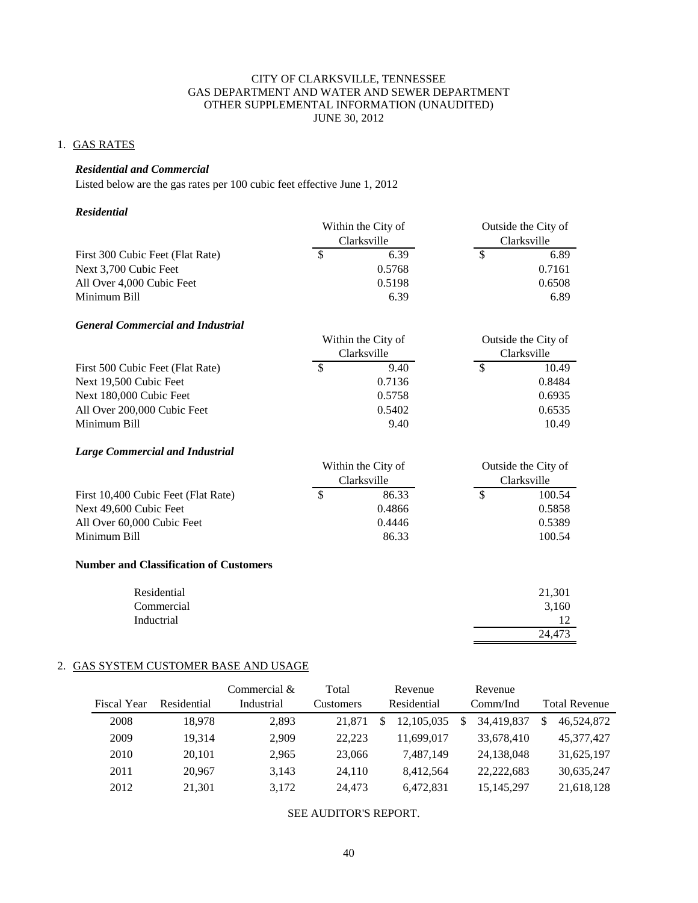# 1. GAS RATES

# *Residential and Commercial*

Listed below are the gas rates per 100 cubic feet effective June 1, 2012

#### *Residential*

|                                               |               | Within the City of |               | Outside the City of |
|-----------------------------------------------|---------------|--------------------|---------------|---------------------|
|                                               |               | Clarksville        |               | Clarksville         |
| First 300 Cubic Feet (Flat Rate)              | $\mathcal{S}$ | 6.39               | \$            | 6.89                |
| Next 3,700 Cubic Feet                         |               | 0.5768             |               | 0.7161              |
| All Over 4,000 Cubic Feet                     |               | 0.5198             |               | 0.6508              |
| Minimum Bill                                  |               | 6.39               |               | 6.89                |
| <b>General Commercial and Industrial</b>      |               |                    |               |                     |
|                                               |               | Within the City of |               | Outside the City of |
|                                               |               | Clarksville        |               | Clarksville         |
| First 500 Cubic Feet (Flat Rate)              | $\mathcal{S}$ | 9.40               | $\mathcal{S}$ | 10.49               |
| Next 19,500 Cubic Feet                        |               | 0.7136             |               | 0.8484              |
| Next 180,000 Cubic Feet                       |               | 0.5758             |               | 0.6935              |
| All Over 200,000 Cubic Feet                   |               | 0.5402             |               | 0.6535              |
| Minimum Bill                                  |               | 9.40               |               | 10.49               |
| <b>Large Commercial and Industrial</b>        |               |                    |               |                     |
|                                               |               | Within the City of |               | Outside the City of |
|                                               |               | Clarksville        |               | Clarksville         |
| First 10,400 Cubic Feet (Flat Rate)           | $\mathcal{S}$ | 86.33              | $\mathcal{S}$ | 100.54              |
| Next 49,600 Cubic Feet                        |               | 0.4866             |               | 0.5858              |
| All Over 60,000 Cubic Feet                    |               | 0.4446             |               | 0.5389              |
| Minimum Bill                                  |               | 86.33              |               | 100.54              |
| <b>Number and Classification of Customers</b> |               |                    |               |                     |
| Residential                                   |               |                    |               | 21,301              |
| Commercial                                    |               |                    |               | 3,160               |
| Inductrial                                    |               |                    |               | 12                  |
|                                               |               |                    |               | 24,473              |

# 2. GAS SYSTEM CUSTOMER BASE AND USAGE

| Fiscal Year | Residential | Commercial $\&$<br>Industrial | Total<br>Customers |   | Revenue<br>Residential |   | Revenue<br>Comm/Ind | <b>Total Revenue</b> |
|-------------|-------------|-------------------------------|--------------------|---|------------------------|---|---------------------|----------------------|
|             |             |                               |                    |   |                        |   |                     |                      |
| 2008        | 18.978      | 2.893                         | 21,871             | S | 12.105.035             | S | 34.419.837          | \$<br>46,524,872     |
| 2009        | 19.314      | 2.909                         | 22.223             |   | 11.699.017             |   | 33,678,410          | 45.377.427           |
| 2010        | 20,101      | 2.965                         | 23,066             |   | 7,487,149              |   | 24,138,048          | 31,625,197           |
| 2011        | 20.967      | 3,143                         | 24,110             |   | 8.412.564              |   | 22.222.683          | 30,635,247           |
| 2012        | 21,301      | 3,172                         | 24,473             |   | 6.472.831              |   | 15, 145, 297        | 21,618,128           |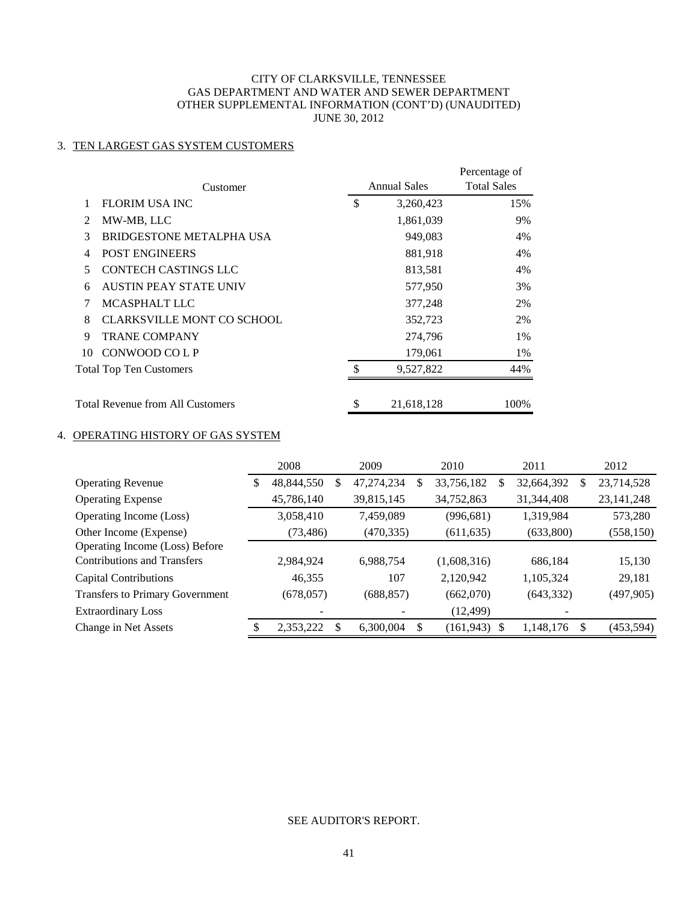# 3. TEN LARGEST GAS SYSTEM CUSTOMERS

|               | Customer                          | <b>Annual Sales</b> | Percentage of<br><b>Total Sales</b> |
|---------------|-----------------------------------|---------------------|-------------------------------------|
|               | <b>FLORIM USA INC</b>             | \$<br>3,260,423     | 15%                                 |
| $\mathcal{L}$ | MW-MB, LLC                        | 1,861,039           | 9%                                  |
| 3             | BRIDGESTONE METALPHA USA          | 949,083             | 4%                                  |
| 4             | <b>POST ENGINEERS</b>             | 881,918             | 4%                                  |
| 5             | <b>CONTECH CASTINGS LLC</b>       | 813,581             | 4%                                  |
| 6             | <b>AUSTIN PEAY STATE UNIV</b>     | 577,950             | 3%                                  |
| 7             | MCASPHALT LLC                     | 377,248             | 2%                                  |
| 8             | <b>CLARKSVILLE MONT CO SCHOOL</b> | 352,723             | 2%                                  |
| 9             | <b>TRANE COMPANY</b>              | 274,796             | 1%                                  |
| 10            | CONWOOD COLP                      | 179,061             | 1%                                  |
|               | <b>Total Top Ten Customers</b>    | \$<br>9,527,822     | 44%                                 |
|               | Total Revenue from All Customers  | \$<br>21,618,128    | 100%                                |

# 4. OPERATING HISTORY OF GAS SYSTEM

|                                        |   | 2008       |    | 2009       |   | 2010            | 2011       |     | 2012         |
|----------------------------------------|---|------------|----|------------|---|-----------------|------------|-----|--------------|
| <b>Operating Revenue</b>               | S | 48,844,550 | \$ | 47,274,234 | S | 33,756,182<br>S | 32,664,392 | S   | 23,714,528   |
| <b>Operating Expense</b>               |   | 45,786,140 |    | 39,815,145 |   | 34,752,863      | 31,344,408 |     | 23, 141, 248 |
| Operating Income (Loss)                |   | 3,058,410  |    | 7,459,089  |   | (996, 681)      | 1,319,984  |     | 573,280      |
| Other Income (Expense)                 |   | (73, 486)  |    | (470, 335) |   | (611, 635)      | (633,800)  |     | (558, 150)   |
| Operating Income (Loss) Before         |   |            |    |            |   |                 |            |     |              |
| <b>Contributions and Transfers</b>     |   | 2,984,924  |    | 6,988,754  |   | (1,608,316)     | 686,184    |     | 15,130       |
| Capital Contributions                  |   | 46,355     |    | 107        |   | 2,120,942       | 1,105,324  |     | 29,181       |
| <b>Transfers to Primary Government</b> |   | (678, 057) |    | (688, 857) |   | (662,070)       | (643, 332) |     | (497,905)    |
| <b>Extraordinary Loss</b>              |   |            |    |            |   | (12, 499)       |            |     |              |
| Change in Net Assets                   |   | 2,353,222  | S  | 6,300,004  | S | $(161, 943)$ \$ | 1,148,176  | \$. | (453, 594)   |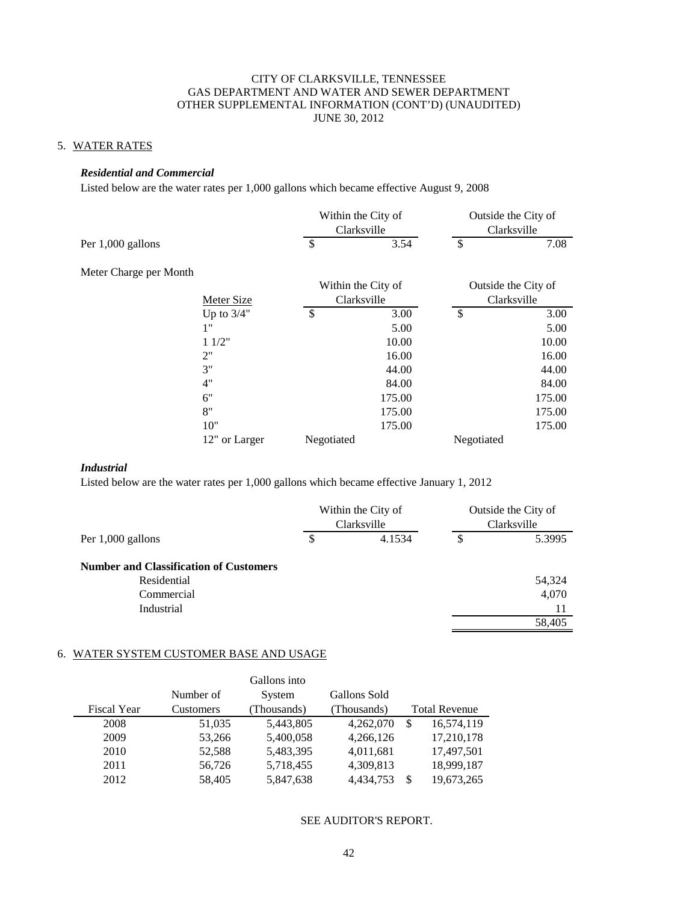# 5. WATER RATES

#### *Residential and Commercial*

Listed below are the water rates per 1,000 gallons which became effective August 9, 2008

|                        |                   | Within the City of<br>Clarksville |        | Outside the City of<br>Clarksville |                     |  |
|------------------------|-------------------|-----------------------------------|--------|------------------------------------|---------------------|--|
| Per 1,000 gallons      |                   | \$                                | 3.54   | \$                                 | 7.08                |  |
| Meter Charge per Month |                   |                                   |        |                                    |                     |  |
|                        |                   | Within the City of                |        |                                    | Outside the City of |  |
|                        | <b>Meter Size</b> | Clarksville                       |        |                                    | Clarksville         |  |
|                        | Up to $3/4"$      | $\mathcal{S}$                     | 3.00   | \$                                 | 3.00                |  |
|                        | 1"                |                                   | 5.00   |                                    | 5.00                |  |
|                        | 11/2"             |                                   | 10.00  |                                    | 10.00               |  |
|                        | 2"                |                                   | 16.00  |                                    | 16.00               |  |
|                        | 3"                |                                   | 44.00  |                                    | 44.00               |  |
|                        | 4"                |                                   | 84.00  |                                    | 84.00               |  |
|                        | 6"                |                                   | 175.00 |                                    | 175.00              |  |
|                        | 8"                |                                   | 175.00 |                                    | 175.00              |  |
|                        | 10"               |                                   | 175.00 |                                    | 175.00              |  |
|                        | 12" or Larger     | Negotiated                        |        | Negotiated                         |                     |  |

### *Industrial*

Listed below are the water rates per 1,000 gallons which became effective January 1, 2012

|                                               | Within the City of<br>Clarksville |        | Outside the City of<br>Clarksville |
|-----------------------------------------------|-----------------------------------|--------|------------------------------------|
| Per 1,000 gallons                             | \$                                | 4.1534 | \$<br>5.3995                       |
| <b>Number and Classification of Customers</b> |                                   |        |                                    |
| Residential                                   |                                   |        | 54,324                             |
| Commercial                                    |                                   |        | 4,070                              |
| Industrial                                    |                                   |        | 11                                 |
|                                               |                                   |        | 58.405                             |

#### 6. WATER SYSTEM CUSTOMER BASE AND USAGE

|                    |           | Gallons into |              |                             |
|--------------------|-----------|--------------|--------------|-----------------------------|
|                    | Number of | System       | Gallons Sold |                             |
| <b>Fiscal Year</b> | Customers | (Thousands)  | (Thousands)  | <b>Total Revenue</b>        |
| 2008               | 51,035    | 5,443,805    | 4,262,070    | 16,574,119<br>S             |
| 2009               | 53,266    | 5,400,058    | 4,266,126    | 17,210,178                  |
| 2010               | 52,588    | 5,483,395    | 4,011,681    | 17,497,501                  |
| 2011               | 56,726    | 5,718,455    | 4,309,813    | 18,999,187                  |
| 2012               | 58,405    | 5,847,638    | 4,434,753    | 19,673,265<br><sup>\$</sup> |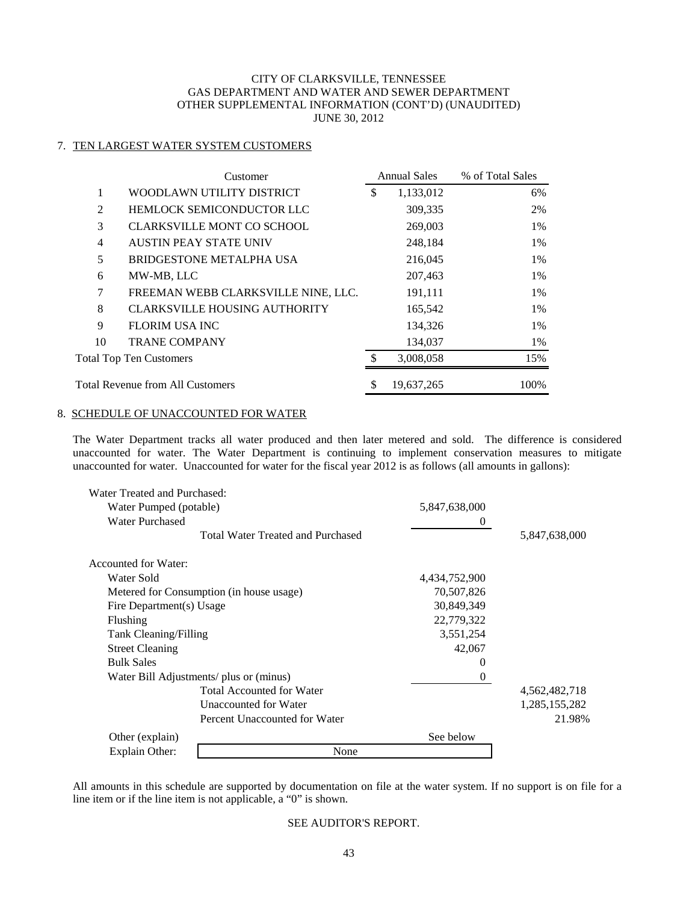# 7. TEN LARGEST WATER SYSTEM CUSTOMERS

|                | Customer                             |               | <b>Annual Sales</b> | % of Total Sales |
|----------------|--------------------------------------|---------------|---------------------|------------------|
| 1              | WOODLAWN UTILITY DISTRICT            | \$            | 1,133,012           | 6%               |
| 2              | HEMLOCK SEMICONDUCTOR LLC            |               | 309,335             | 2%               |
| 3              | <b>CLARKSVILLE MONT CO SCHOOL</b>    |               | 269,003             | 1%               |
| $\overline{4}$ | <b>AUSTIN PEAY STATE UNIV</b>        |               | 248,184             | 1%               |
| 5              | <b>BRIDGESTONE METALPHA USA</b>      | 216,045<br>1% |                     |                  |
| 6              | MW-MB, LLC                           |               | 207,463             | 1%               |
| 7              | FREEMAN WEBB CLARKSVILLE NINE, LLC.  |               | 191,111             | 1%               |
| 8              | <b>CLARKSVILLE HOUSING AUTHORITY</b> |               | 165,542             | 1%               |
| 9              | <b>FLORIM USA INC</b>                |               | 134,326             | 1%               |
| 10             | <b>TRANE COMPANY</b>                 |               | 134,037             | 1%               |
|                | <b>Total Top Ten Customers</b>       | \$            | 3.008.058           | 15%              |
|                | Total Revenue from All Customers     | \$            | 19.637.265          | 100%             |

#### 8. SCHEDULE OF UNACCOUNTED FOR WATER

The Water Department tracks all water produced and then later metered and sold. The difference is considered unaccounted for water. The Water Department is continuing to implement conservation measures to mitigate unaccounted for water. Unaccounted for water for the fiscal year 2012 is as follows (all amounts in gallons):

| Water Treated and Purchased:            |                                          |               |               |
|-----------------------------------------|------------------------------------------|---------------|---------------|
| Water Pumped (potable)                  |                                          | 5,847,638,000 |               |
| <b>Water Purchased</b>                  |                                          | $\theta$      |               |
|                                         | <b>Total Water Treated and Purchased</b> |               | 5,847,638,000 |
| Accounted for Water:                    |                                          |               |               |
| Water Sold                              |                                          | 4,434,752,900 |               |
|                                         | Metered for Consumption (in house usage) | 70,507,826    |               |
| Fire Department(s) Usage                |                                          | 30,849,349    |               |
| Flushing                                |                                          | 22,779,322    |               |
| Tank Cleaning/Filling                   |                                          | 3,551,254     |               |
| <b>Street Cleaning</b>                  |                                          | 42,067        |               |
| <b>Bulk Sales</b>                       |                                          | 0             |               |
| Water Bill Adjustments/ plus or (minus) |                                          | 0             |               |
|                                         | <b>Total Accounted for Water</b>         |               | 4,562,482,718 |
|                                         | Unaccounted for Water                    |               | 1,285,155,282 |
|                                         | Percent Unaccounted for Water            |               | 21.98%        |
| Other (explain)                         |                                          | See below     |               |
| Explain Other:                          | None                                     |               |               |

All amounts in this schedule are supported by documentation on file at the water system. If no support is on file for a line item or if the line item is not applicable, a "0" is shown.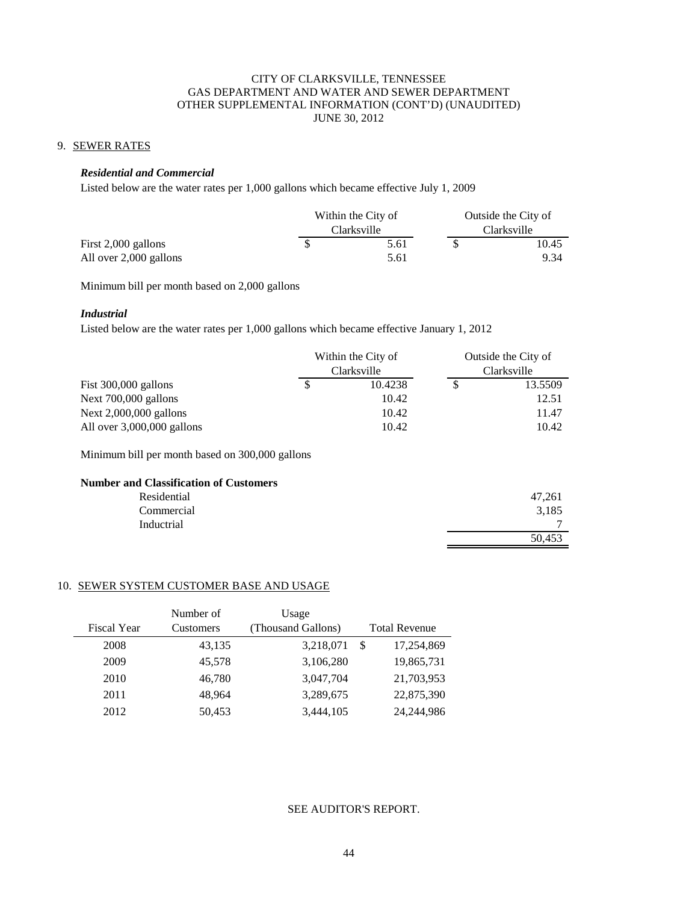# 9. SEWER RATES

#### *Residential and Commercial*

Listed below are the water rates per 1,000 gallons which became effective July 1, 2009

|                        |  | Within the City of |  | Outside the City of |  |
|------------------------|--|--------------------|--|---------------------|--|
|                        |  | Clarksville        |  | Clarksville         |  |
| First 2,000 gallons    |  | 5.61               |  | 10.45               |  |
| All over 2,000 gallons |  | 5.61               |  | 9.34                |  |

Minimum bill per month based on 2,000 gallons

# *Industrial*

Listed below are the water rates per 1,000 gallons which became effective January 1, 2012

|                              | Within the City of |             | Outside the City of |         |  |
|------------------------------|--------------------|-------------|---------------------|---------|--|
|                              |                    | Clarksville | Clarksville         |         |  |
| Fist $300,000$ gallons       |                    | 10.4238     |                     | 13.5509 |  |
| Next $700,000$ gallons       |                    | 10.42       |                     | 12.51   |  |
| Next $2,000,000$ gallons     |                    | 10.42       |                     | 11.47   |  |
| All over $3,000,000$ gallons |                    | 10.42       |                     | 10.42   |  |

Minimum bill per month based on 300,000 gallons

### **Number and Classification of Customers**

| Residential | 47,261 |
|-------------|--------|
| Commercial  | 3,185  |
| Inductrial  | −      |
|             | 50,453 |

#### 10. SEWER SYSTEM CUSTOMER BASE AND USAGE

|                    | Number of        | Usage              |                      |
|--------------------|------------------|--------------------|----------------------|
| <b>Fiscal Year</b> | <b>Customers</b> | (Thousand Gallons) | <b>Total Revenue</b> |
| 2008               | 43,135           | 3,218,071          | 17,254,869<br>-S     |
| 2009               | 45,578           | 3,106,280          | 19,865,731           |
| 2010               | 46,780           | 3,047,704          | 21,703,953           |
| 2011               | 48.964           | 3,289,675          | 22,875,390           |
| 2012               | 50,453           | 3,444,105          | 24, 244, 986         |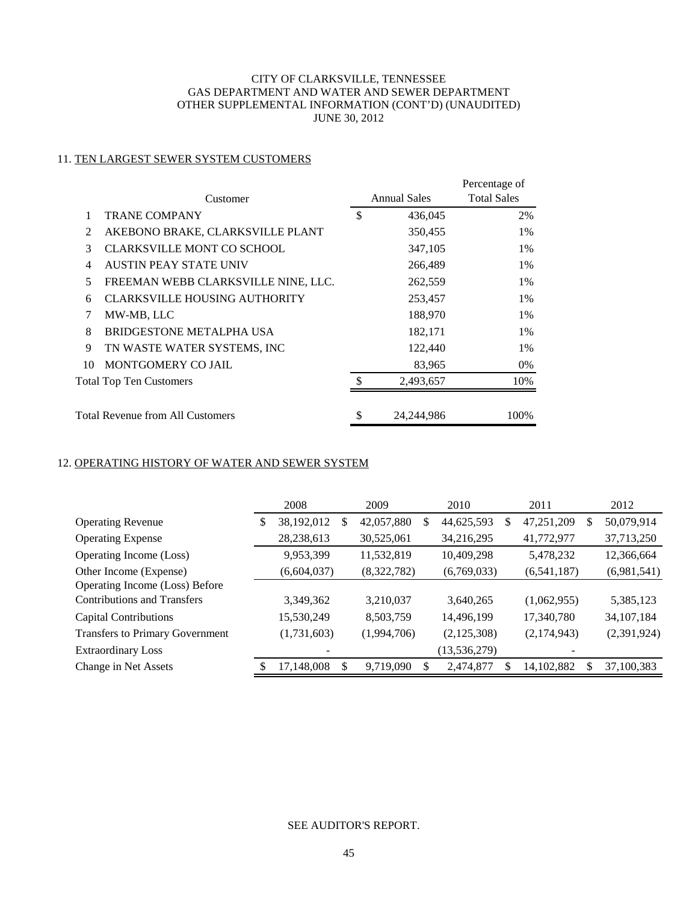# 11. TEN LARGEST SEWER SYSTEM CUSTOMERS

|                                          | Customer                             |     | <b>Annual Sales</b> | Percentage of<br><b>Total Sales</b> |
|------------------------------------------|--------------------------------------|-----|---------------------|-------------------------------------|
|                                          | <b>TRANE COMPANY</b>                 | \$  | 436,045             | 2%                                  |
| 2                                        | AKEBONO BRAKE, CLARKSVILLE PLANT     |     | 350,455             | 1%                                  |
| 3                                        | <b>CLARKSVILLE MONT CO SCHOOL</b>    |     | 347,105             | 1%                                  |
| $\overline{4}$                           | <b>AUSTIN PEAY STATE UNIV</b>        |     | 266,489             | 1%                                  |
| FREEMAN WEBB CLARKSVILLE NINE, LLC.<br>5 |                                      |     | 262,559             | 1%                                  |
| 6                                        | <b>CLARKSVILLE HOUSING AUTHORITY</b> |     | 253,457             | 1%                                  |
| 7                                        | MW-MB, LLC                           |     | 188,970             | 1%                                  |
| 8                                        | BRIDGESTONE METALPHA USA             |     | 182,171             | 1%                                  |
| 9                                        | TN WASTE WATER SYSTEMS, INC          |     | 122,440             | 1%                                  |
| 10                                       | MONTGOMERY CO JAIL                   |     | 83,965              | 0%                                  |
|                                          | Total Top Ten Customers              | \$. | 2,493,657           | 10%                                 |
|                                          | Total Revenue from All Customers     | \$  | 24, 244, 986        | 100%                                |

# 12. OPERATING HISTORY OF WATER AND SEWER SYSTEM

|                                        | 2008 |              |   | 2009        | 2010 |                |   | 2011          |    | 2012         |
|----------------------------------------|------|--------------|---|-------------|------|----------------|---|---------------|----|--------------|
| <b>Operating Revenue</b>               | \$   | 38,192,012   | S | 42,057,880  | S    | 44,625,593     | S | 47,251,209    | S  | 50,079,914   |
| <b>Operating Expense</b>               |      | 28, 238, 613 |   | 30,525,061  |      | 34,216,295     |   | 41,772,977    |    | 37,713,250   |
| Operating Income (Loss)                |      | 9,953,399    |   | 11,532,819  |      | 10,409,298     |   | 5,478,232     |    | 12,366,664   |
| Other Income (Expense)                 |      | (6,604,037)  |   | (8,322,782) |      | (6,769,033)    |   | (6, 541, 187) |    | (6,981,541)  |
| Operating Income (Loss) Before         |      |              |   |             |      |                |   |               |    |              |
| <b>Contributions and Transfers</b>     |      | 3,349,362    |   | 3,210,037   |      | 3,640,265      |   | (1,062,955)   |    | 5,385,123    |
| <b>Capital Contributions</b>           |      | 15,530,249   |   | 8,503,759   |      | 14,496,199     |   | 17,340,780    |    | 34, 107, 184 |
| <b>Transfers to Primary Government</b> |      | (1,731,603)  |   | (1,994,706) |      | (2,125,308)    |   | (2,174,943)   |    | (2,391,924)  |
| <b>Extraordinary Loss</b>              |      | -            |   |             |      | (13, 536, 279) |   |               |    |              |
| Change in Net Assets                   |      | 17,148,008   | S | 9,719,090   |      | 2,474,877      |   | 14,102,882    | \$ | 37,100,383   |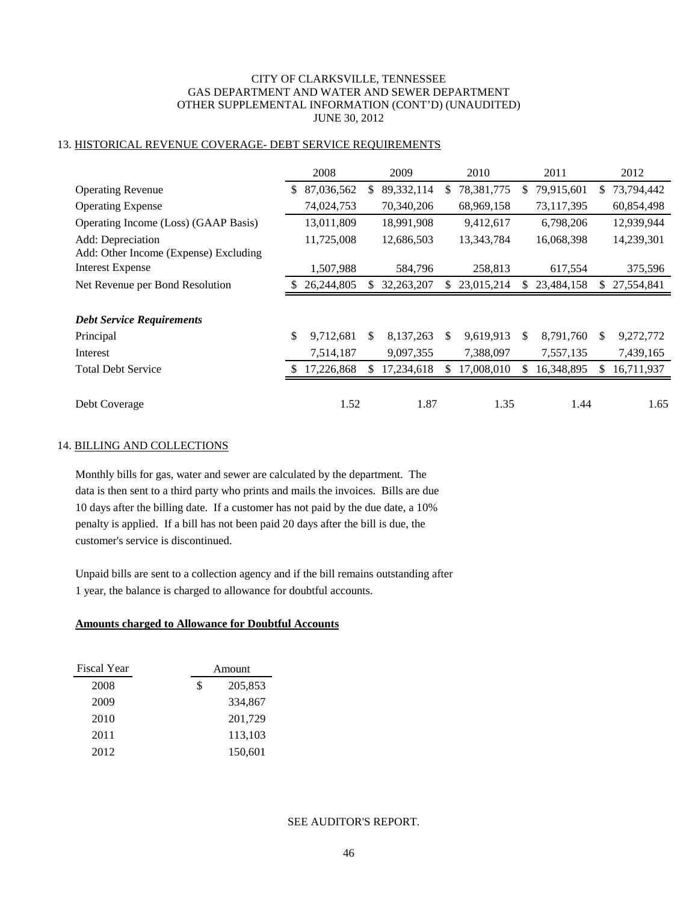# 13. HISTORICAL REVENUE COVERAGE- DEBT SERVICE REQUIREMENTS

|                                       | 2008             |     | 2009         |     | 2010       |     | 2011       |     | 2012       |
|---------------------------------------|------------------|-----|--------------|-----|------------|-----|------------|-----|------------|
| <b>Operating Revenue</b>              | \$<br>87,036,562 | \$. | 89, 332, 114 | S.  | 78,381,775 | \$  | 79,915,601 | S.  | 73,794,442 |
| <b>Operating Expense</b>              | 74,024,753       |     | 70,340,206   |     | 68,969,158 |     | 73,117,395 |     | 60,854,498 |
| Operating Income (Loss) (GAAP Basis)  | 13,011,809       |     | 18,991,908   |     | 9,412,617  |     | 6,798,206  |     | 12,939,944 |
| Add: Depreciation                     | 11,725,008       |     | 12,686,503   |     | 13,343,784 |     | 16,068,398 |     | 14,239,301 |
| Add: Other Income (Expense) Excluding |                  |     |              |     |            |     |            |     |            |
| <b>Interest Expense</b>               | 1,507,988        |     | 584,796      |     | 258,813    |     | 617,554    |     | 375,596    |
| Net Revenue per Bond Resolution       | 26,244,805       | S   | 32,263,207   | S.  | 23,015,214 | \$  | 23,484,158 | S.  | 27,554,841 |
|                                       |                  |     |              |     |            |     |            |     |            |
| <b>Debt Service Requirements</b>      |                  |     |              |     |            |     |            |     |            |
| Principal                             | \$<br>9,712,681  | \$. | 8,137,263    | \$. | 9,619,913  | \$. | 8,791,760  | \$  | 9,272,772  |
| Interest                              | 7,514,187        |     | 9,097,355    |     | 7,388,097  |     | 7,557,135  |     | 7,439,165  |
| <b>Total Debt Service</b>             | 17,226,868       | S   | 17,234,618   | S.  | 17,008,010 | S   | 16,348,895 | \$. | 16,711,937 |
|                                       |                  |     |              |     |            |     |            |     |            |
| Debt Coverage                         | 1.52             |     | 1.87         |     | 1.35       |     | 1.44       |     | 1.65       |

#### 14. BILLING AND COLLECTIONS

Monthly bills for gas, water and sewer are calculated by the department. The data is then sent to a third party who prints and mails the invoices. Bills are due 10 days after the billing date. If a customer has not paid by the due date, a 10% penalty is applied. If a bill has not been paid 20 days after the bill is due, the customer's service is discontinued.

Unpaid bills are sent to a collection agency and if the bill remains outstanding after 1 year, the balance is charged to allowance for doubtful accounts.

#### **Amounts charged to Allowance for Doubtful Accounts**

| <b>Fiscal Year</b> | Amount        |         |  |
|--------------------|---------------|---------|--|
| 2008               | \$<br>205,853 |         |  |
| 2009               |               | 334,867 |  |
| 2010               |               | 201,729 |  |
| 2011               |               | 113,103 |  |
| 2012               |               | 150,601 |  |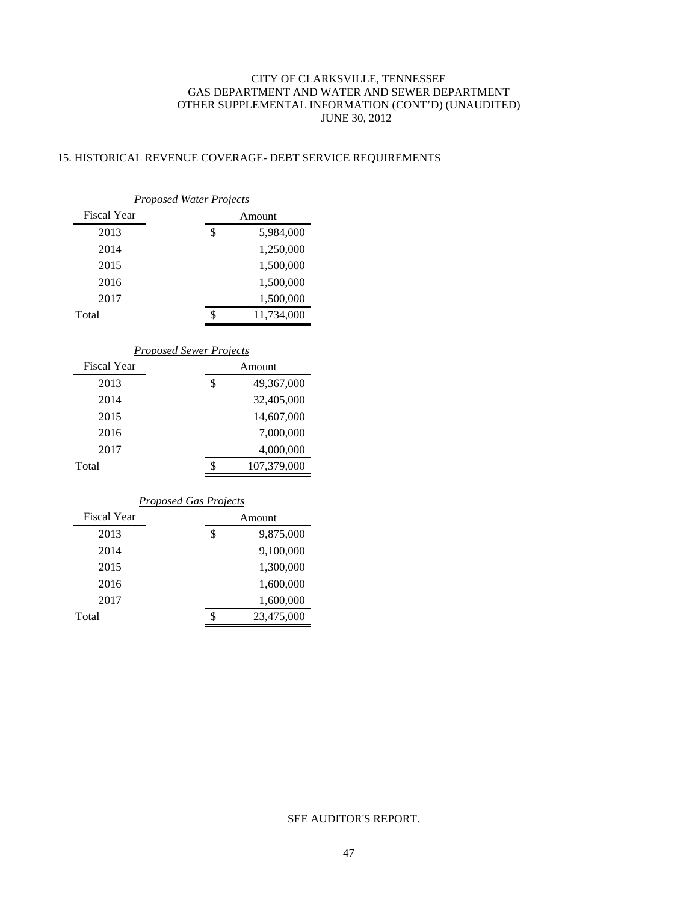### 15. HISTORICAL REVENUE COVERAGE- DEBT SERVICE REQUIREMENTS

| <b>Proposed Water Projects</b>                       |                   |            |  |  |  |  |  |  |
|------------------------------------------------------|-------------------|------------|--|--|--|--|--|--|
| <b>Fiscal Year</b>                                   |                   | Amount     |  |  |  |  |  |  |
| 2013                                                 | \$                | 5,984,000  |  |  |  |  |  |  |
| 2014                                                 |                   | 1,250,000  |  |  |  |  |  |  |
| 2015                                                 |                   | 1,500,000  |  |  |  |  |  |  |
| 2016                                                 |                   | 1,500,000  |  |  |  |  |  |  |
| 2017                                                 |                   | 1,500,000  |  |  |  |  |  |  |
| Total                                                | \$                | 11,734,000 |  |  |  |  |  |  |
| <b>Proposed Sewer Projects</b><br><b>Fiscal Year</b> |                   |            |  |  |  |  |  |  |
|                                                      |                   | Amount     |  |  |  |  |  |  |
| 2013                                                 | \$                | 49,367,000 |  |  |  |  |  |  |
| 2014                                                 |                   | 32,405,000 |  |  |  |  |  |  |
| 2015                                                 |                   | 14,607,000 |  |  |  |  |  |  |
| 2016                                                 |                   | 7,000,000  |  |  |  |  |  |  |
| 2017                                                 |                   | 4,000,000  |  |  |  |  |  |  |
| Total                                                | \$<br>107,379,000 |            |  |  |  |  |  |  |
| <b>Proposed Gas Projects</b>                         |                   |            |  |  |  |  |  |  |
| <b>Fiscal Year</b>                                   |                   | Amount     |  |  |  |  |  |  |
| 2013                                                 | \$                | 9,875,000  |  |  |  |  |  |  |
| 2014                                                 |                   | 9,100,000  |  |  |  |  |  |  |
| 2015                                                 |                   | 1,300,000  |  |  |  |  |  |  |
| 2016                                                 |                   | 1,600,000  |  |  |  |  |  |  |
| 2017                                                 |                   | 1,600,000  |  |  |  |  |  |  |
| Total                                                | \$                | 23,475,000 |  |  |  |  |  |  |